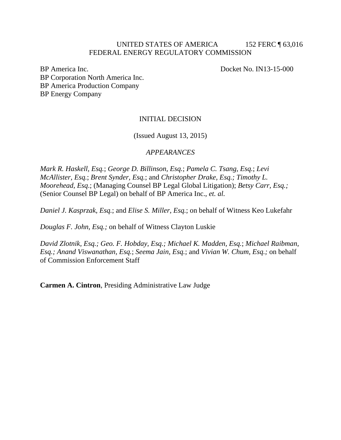#### UNITED STATES OF AMERICA 152 FERC 163,016 FEDERAL ENERGY REGULATORY COMMISSION

BP America Inc. Docket No. IN13-15-000 BP Corporation North America Inc. BP America Production Company BP Energy Company

### INITIAL DECISION

(Issued August 13, 2015)

### *APPEARANCES*

*Mark R. Haskell, Esq.*; *George D. Billinson, Esq.*; *Pamela C. Tsang, Esq.*; *Levi McAllister, Esq.*; *Brent Synder, Esq.*; and *Christopher Drake, Esq.; Timothy L. Moorehead, Esq*.; (Managing Counsel BP Legal Global Litigation); *Betsy Carr, Esq.;* (Senior Counsel BP Legal) on behalf of BP America Inc., *et. al.*

*Daniel J. Kasprzak, Esq.*; and *Elise S. Miller, Esq.*; on behalf of Witness Keo Lukefahr

*Douglas F. John, Esq.;* on behalf of Witness Clayton Luskie

*David Zlotnik, Esq.; Geo. F. Hobday, Esq.; Michael K. Madden, Esq.*; *Michael Raibman, Esq.; Anand Viswanathan, Esq.*; *Seema Jain, Esq.*; and *Vivian W. Chum, Esq.;* on behalf of Commission Enforcement Staff

**Carmen A. Cintron**, Presiding Administrative Law Judge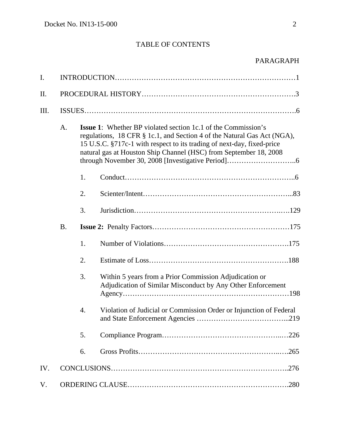# TABLE OF CONTENTS

| I.  |           |                                                                                                                                                                                                                                                                                                |                                                                                                                       |  |
|-----|-----------|------------------------------------------------------------------------------------------------------------------------------------------------------------------------------------------------------------------------------------------------------------------------------------------------|-----------------------------------------------------------------------------------------------------------------------|--|
| II. |           |                                                                                                                                                                                                                                                                                                |                                                                                                                       |  |
| Ш.  |           |                                                                                                                                                                                                                                                                                                |                                                                                                                       |  |
|     | A.        | <b>Issue 1:</b> Whether BP violated section 1c.1 of the Commission's<br>regulations, 18 CFR § 1c.1, and Section 4 of the Natural Gas Act (NGA),<br>15 U.S.C. §717c-1 with respect to its trading of next-day, fixed-price<br>natural gas at Houston Ship Channel (HSC) from September 18, 2008 |                                                                                                                       |  |
|     |           | 1.                                                                                                                                                                                                                                                                                             |                                                                                                                       |  |
|     |           | 2.                                                                                                                                                                                                                                                                                             |                                                                                                                       |  |
|     |           | 3.                                                                                                                                                                                                                                                                                             |                                                                                                                       |  |
|     | <b>B.</b> |                                                                                                                                                                                                                                                                                                |                                                                                                                       |  |
|     |           | 1.                                                                                                                                                                                                                                                                                             |                                                                                                                       |  |
|     |           | 2.                                                                                                                                                                                                                                                                                             |                                                                                                                       |  |
|     |           | 3.                                                                                                                                                                                                                                                                                             | Within 5 years from a Prior Commission Adjudication or<br>Adjudication of Similar Misconduct by Any Other Enforcement |  |
|     |           | $\overline{4}$ .                                                                                                                                                                                                                                                                               | Violation of Judicial or Commission Order or Injunction of Federal<br>.219                                            |  |
|     |           | 5.                                                                                                                                                                                                                                                                                             |                                                                                                                       |  |
|     |           | 6.                                                                                                                                                                                                                                                                                             |                                                                                                                       |  |
| IV. |           |                                                                                                                                                                                                                                                                                                |                                                                                                                       |  |
| V.  |           |                                                                                                                                                                                                                                                                                                |                                                                                                                       |  |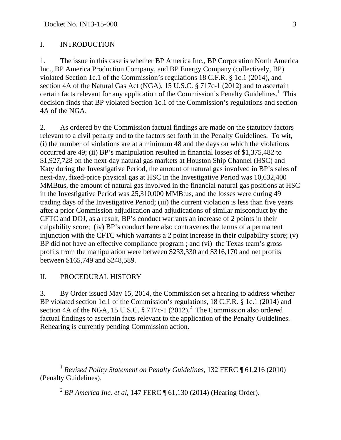### I. INTRODUCTION

1. The issue in this case is whether BP America Inc., BP Corporation North America Inc., BP America Production Company, and BP Energy Company (collectively, BP) violated Section 1c.1 of the Commission's regulations 18 C.F.R. § 1c.1 (2014), and section 4A of the Natural Gas Act (NGA), 15 U.S.C. § 717c-1 (2012) and to ascertain certain facts relevant for any application of the Commission's Penalty Guidelines.<sup>1</sup> This decision finds that BP violated Section 1c.1 of the Commission's regulations and section 4A of the NGA.

2. As ordered by the Commission factual findings are made on the statutory factors relevant to a civil penalty and to the factors set forth in the Penalty Guidelines. To wit, (i) the number of violations are at a minimum 48 and the days on which the violations occurred are 49; (ii) BP's manipulation resulted in financial losses of \$1,375,482 to \$1,927,728 on the next-day natural gas markets at Houston Ship Channel (HSC) and Katy during the Investigative Period, the amount of natural gas involved in BP's sales of next-day, fixed-price physical gas at HSC in the Investigative Period was 10,632,400 MMBtus, the amount of natural gas involved in the financial natural gas positions at HSC in the Investigative Period was 25,310,000 MMBtus, and the losses were during 49 trading days of the Investigative Period; (iii) the current violation is less than five years after a prior Commission adjudication and adjudications of similar misconduct by the CFTC and DOJ, as a result, BP's conduct warrants an increase of 2 points in their culpability score; (iv) BP's conduct here also contravenes the terms of a permanent injunction with the CFTC which warrants a 2 point increase in their culpability score; (v) BP did not have an effective compliance program ; and (vi) the Texas team's gross profits from the manipulation were between \$233,330 and \$316,170 and net profits between \$165,749 and \$248,589.

### II. PROCEDURAL HISTORY

3. By Order issued May 15, 2014, the Commission set a hearing to address whether BP violated section 1c.1 of the Commission's regulations, 18 C.F.R. § 1c.1 (2014) and section 4A of the NGA, 15 U.S.C.  $\S 717c-1$  (2012).<sup>2</sup> The Commission also ordered factual findings to ascertain facts relevant to the application of the Penalty Guidelines. Rehearing is currently pending Commission action.

 <sup>1</sup> *Revised Policy Statement on Penalty Guidelines*, 132 FERC ¶ 61,216 (2010) (Penalty Guidelines).

<sup>2</sup> *BP America Inc. et al*, 147 FERC ¶ 61,130 (2014) (Hearing Order).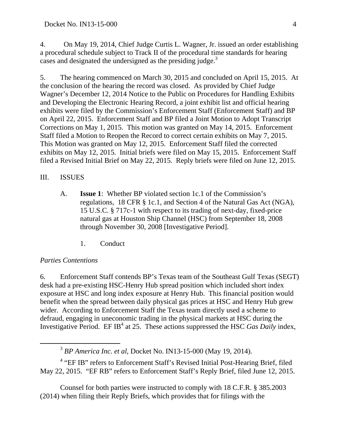4. On May 19, 2014, Chief Judge Curtis L. Wagner, Jr. issued an order establishing a procedural schedule subject to Track II of the procedural time standards for hearing cases and designated the undersigned as the presiding judge.<sup>3</sup>

5. The hearing commenced on March 30, 2015 and concluded on April 15, 2015. At the conclusion of the hearing the record was closed. As provided by Chief Judge Wagner's December 12, 2014 Notice to the Public on Procedures for Handling Exhibits and Developing the Electronic Hearing Record, a joint exhibit list and official hearing exhibits were filed by the Commission's Enforcement Staff (Enforcement Staff) and BP on April 22, 2015. Enforcement Staff and BP filed a Joint Motion to Adopt Transcript Corrections on May 1, 2015. This motion was granted on May 14, 2015. Enforcement Staff filed a Motion to Reopen the Record to correct certain exhibits on May 7, 2015. This Motion was granted on May 12, 2015. Enforcement Staff filed the corrected exhibits on May 12, 2015. Initial briefs were filed on May 15, 2015. Enforcement Staff filed a Revised Initial Brief on May 22, 2015. Reply briefs were filed on June 12, 2015.

### III. ISSUES

- A. **Issue 1**: Whether BP violated section 1c.1 of the Commission's regulations, 18 CFR § 1c.1, and Section 4 of the Natural Gas Act (NGA), 15 U.S.C. § 717c-1 with respect to its trading of next-day, fixed-price natural gas at Houston Ship Channel (HSC) from September 18, 2008 through November 30, 2008 [Investigative Period].
	- 1. Conduct

### *Parties Contentions*

6. Enforcement Staff contends BP's Texas team of the Southeast Gulf Texas (SEGT) desk had a pre-existing HSC-Henry Hub spread position which included short index exposure at HSC and long index exposure at Henry Hub. This financial position would benefit when the spread between daily physical gas prices at HSC and Henry Hub grew wider. According to Enforcement Staff the Texas team directly used a scheme to defraud, engaging in uneconomic trading in the physical markets at HSC during the Investigative Period. EF IB<sup>4</sup> at 25. These actions suppressed the HSC *Gas Daily* index,

<sup>4</sup> "EF IB" refers to Enforcement Staff's Revised Initial Post-Hearing Brief, filed May 22, 2015. "EF RB" refers to Enforcement Staff's Reply Brief, filed June 12, 2015.

Counsel for both parties were instructed to comply with 18 C.F.R. § 385.2003 (2014) when filing their Reply Briefs, which provides that for filings with the

 <sup>3</sup> *BP America Inc. et al*, Docket No. IN13-15-000 (May 19, 2014).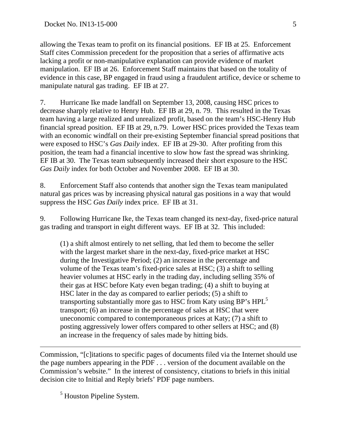allowing the Texas team to profit on its financial positions. EF IB at 25. Enforcement Staff cites Commission precedent for the proposition that a series of affirmative acts lacking a profit or non-manipulative explanation can provide evidence of market manipulation. EF IB at 26. Enforcement Staff maintains that based on the totality of evidence in this case, BP engaged in fraud using a fraudulent artifice, device or scheme to manipulate natural gas trading. EF IB at 27.

7. Hurricane Ike made landfall on September 13, 2008, causing HSC prices to decrease sharply relative to Henry Hub. EF IB at 29, n. 79. This resulted in the Texas team having a large realized and unrealized profit, based on the team's HSC-Henry Hub financial spread position. EF IB at 29, n.79. Lower HSC prices provided the Texas team with an economic windfall on their pre-existing September financial spread positions that were exposed to HSC's *Gas Daily* index. EF IB at 29-30. After profiting from this position, the team had a financial incentive to slow how fast the spread was shrinking. EF IB at 30. The Texas team subsequently increased their short exposure to the HSC *Gas Daily* index for both October and November 2008. EF IB at 30.

8. Enforcement Staff also contends that another sign the Texas team manipulated natural gas prices was by increasing physical natural gas positions in a way that would suppress the HSC *Gas Daily* index price. EF IB at 31.

9. Following Hurricane Ike, the Texas team changed its next-day, fixed-price natural gas trading and transport in eight different ways. EF IB at 32. This included:

(1) a shift almost entirely to net selling, that led them to become the seller with the largest market share in the next-day, fixed-price market at HSC during the Investigative Period; (2) an increase in the percentage and volume of the Texas team's fixed-price sales at HSC; (3) a shift to selling heavier volumes at HSC early in the trading day, including selling 35% of their gas at HSC before Katy even began trading; (4) a shift to buying at HSC later in the day as compared to earlier periods; (5) a shift to transporting substantially more gas to HSC from Katy using BP's HPL<sup>5</sup> transport; (6) an increase in the percentage of sales at HSC that were uneconomic compared to contemporaneous prices at Katy; (7) a shift to posting aggressively lower offers compared to other sellers at HSC; and (8) an increase in the frequency of sales made by hitting bids.

Commission, "[c]itations to specific pages of documents filed via the Internet should use the page numbers appearing in the PDF . . . version of the document available on the Commission's website." In the interest of consistency, citations to briefs in this initial decision cite to Initial and Reply briefs' PDF page numbers.

<sup>5</sup> Houston Pipeline System.

 $\overline{a}$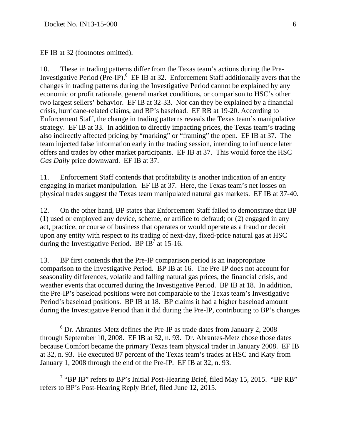EF IB at 32 (footnotes omitted).

10. These in trading patterns differ from the Texas team's actions during the Pre-Investigative Period (Pre-IP). $<sup>6</sup>$  EF IB at 32. Enforcement Staff additionally avers that the</sup> changes in trading patterns during the Investigative Period cannot be explained by any economic or profit rationale, general market conditions, or comparison to HSC's other two largest sellers' behavior. EF IB at 32-33. Nor can they be explained by a financial crisis, hurricane-related claims, and BP's baseload. EF RB at 19-20. According to Enforcement Staff, the change in trading patterns reveals the Texas team's manipulative strategy. EF IB at 33. In addition to directly impacting prices, the Texas team's trading also indirectly affected pricing by "marking" or "framing" the open. EF IB at 37. The team injected false information early in the trading session, intending to influence later offers and trades by other market participants. EF IB at 37. This would force the HSC *Gas Daily* price downward. EF IB at 37.

11. Enforcement Staff contends that profitability is another indication of an entity engaging in market manipulation. EF IB at 37. Here, the Texas team's net losses on physical trades suggest the Texas team manipulated natural gas markets. EF IB at 37-40.

12. On the other hand, BP states that Enforcement Staff failed to demonstrate that BP (1) used or employed any device, scheme, or artifice to defraud; or (2) engaged in any act, practice, or course of business that operates or would operate as a fraud or deceit upon any entity with respect to its trading of next-day, fixed-price natural gas at HSC during the Investigative Period. BP IB<sup>7</sup> at 15-16.

13. BP first contends that the Pre-IP comparison period is an inappropriate comparison to the Investigative Period. BP IB at 16. The Pre-IP does not account for seasonality differences, volatile and falling natural gas prices, the financial crisis, and weather events that occurred during the Investigative Period. BP IB at 18. In addition, the Pre-IP's baseload positions were not comparable to the Texas team's Investigative Period's baseload positions. BP IB at 18. BP claims it had a higher baseload amount during the Investigative Period than it did during the Pre-IP, contributing to BP's changes

<sup>7</sup> "BP IB" refers to BP's Initial Post-Hearing Brief, filed May 15, 2015. "BP RB" refers to BP's Post-Hearing Reply Brief, filed June 12, 2015.

 $\begin{array}{c|c}\n\hline\n\end{array}$  $6$  Dr. Abrantes-Metz defines the Pre-IP as trade dates from January 2, 2008 through September 10, 2008. EF IB at 32, n. 93. Dr. Abrantes-Metz chose those dates because Comfort became the primary Texas team physical trader in January 2008. EF IB at 32, n. 93. He executed 87 percent of the Texas team's trades at HSC and Katy from January 1, 2008 through the end of the Pre-IP. EF IB at 32, n. 93.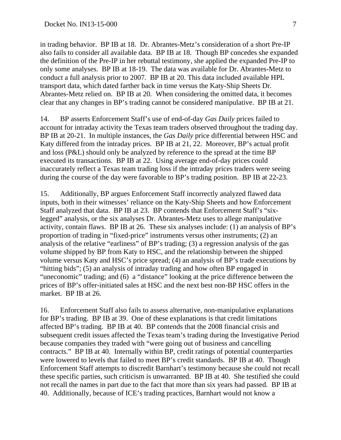in trading behavior. BP IB at 18. Dr. Abrantes-Metz's consideration of a short Pre-IP also fails to consider all available data. BP IB at 18. Though BP concedes she expanded the definition of the Pre-IP in her rebuttal testimony, she applied the expanded Pre-IP to only some analyses. BP IB at 18-19. The data was available for Dr. Abrantes-Metz to conduct a full analysis prior to 2007. BP IB at 20. This data included available HPL transport data, which dated farther back in time versus the Katy-Ship Sheets Dr. Abrantes-Metz relied on. BP IB at 20. When considering the omitted data, it becomes clear that any changes in BP's trading cannot be considered manipulative. BP IB at 21.

14. BP asserts Enforcement Staff's use of end-of-day *Gas Daily* prices failed to account for intraday activity the Texas team traders observed throughout the trading day. BP IB at 20-21. In multiple instances, the *Gas Daily* price differential between HSC and Katy differed from the intraday prices. BP IB at 21, 22. Moreover, BP's actual profit and loss (P&L) should only be analyzed by reference to the spread at the time BP executed its transactions. BP IB at 22. Using average end-of-day prices could inaccurately reflect a Texas team trading loss if the intraday prices traders were seeing during the course of the day were favorable to BP's trading position. BP IB at 22-23.

15. Additionally, BP argues Enforcement Staff incorrectly analyzed flawed data inputs, both in their witnesses' reliance on the Katy-Ship Sheets and how Enforcement Staff analyzed that data. BP IB at 23. BP contends that Enforcement Staff's "sixlegged" analysis, or the six analyses Dr. Abrantes-Metz uses to allege manipulative activity, contain flaws. BP IB at 26. These six analyses include: (1) an analysis of BP's proportion of trading in "fixed-price" instruments versus other instruments; (2) an analysis of the relative "earliness" of BP's trading; (3) a regression analysis of the gas volume shipped by BP from Katy to HSC, and the relationship between the shipped volume versus Katy and HSC's price spread; (4) an analysis of BP's trade executions by "hitting bids"; (5) an analysis of intraday trading and how often BP engaged in "uneconomic" trading; and (6) a "distance" looking at the price difference between the prices of BP's offer-initiated sales at HSC and the next best non-BP HSC offers in the market. BP IB at 26.

16. Enforcement Staff also fails to assess alternative, non-manipulative explanations for BP's trading. BP IB at 39. One of these explanations is that credit limitations affected BP's trading. BP IB at 40. BP contends that the 2008 financial crisis and subsequent credit issues affected the Texas team's trading during the Investigative Period because companies they traded with "were going out of business and cancelling contracts." BP IB at 40. Internally within BP, credit ratings of potential counterparties were lowered to levels that failed to meet BP's credit standards. BP IB at 40. Though Enforcement Staff attempts to discredit Barnhart's testimony because she could not recall these specific parties, such criticism is unwarranted. BP IB at 40. She testified she could not recall the names in part due to the fact that more than six years had passed. BP IB at 40. Additionally, because of ICE's trading practices, Barnhart would not know a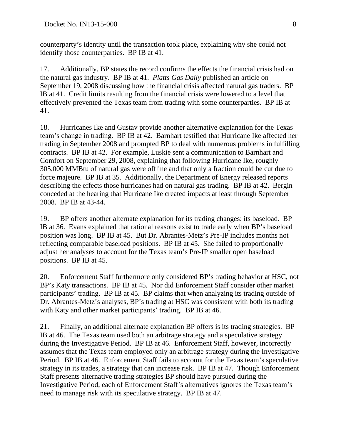counterparty's identity until the transaction took place, explaining why she could not identify those counterparties. BP IB at 41.

17. Additionally, BP states the record confirms the effects the financial crisis had on the natural gas industry. BP IB at 41. *Platts Gas Daily* published an article on September 19, 2008 discussing how the financial crisis affected natural gas traders. BP IB at 41. Credit limits resulting from the financial crisis were lowered to a level that effectively prevented the Texas team from trading with some counterparties. BP IB at 41.

18. Hurricanes Ike and Gustav provide another alternative explanation for the Texas team's change in trading. BP IB at 42. Barnhart testified that Hurricane Ike affected her trading in September 2008 and prompted BP to deal with numerous problems in fulfilling contracts. BP IB at 42. For example, Luskie sent a communication to Barnhart and Comfort on September 29, 2008, explaining that following Hurricane Ike, roughly 305,000 MMBtu of natural gas were offline and that only a fraction could be cut due to force majeure. BP IB at 35. Additionally, the Department of Energy released reports describing the effects those hurricanes had on natural gas trading. BP IB at 42. Bergin conceded at the hearing that Hurricane Ike created impacts at least through September 2008. BP IB at 43-44.

19. BP offers another alternate explanation for its trading changes: its baseload. BP IB at 36. Evans explained that rational reasons exist to trade early when BP's baseload position was long. BP IB at 45. But Dr. Abrantes-Metz's Pre-IP includes months not reflecting comparable baseload positions. BP IB at 45. She failed to proportionally adjust her analyses to account for the Texas team's Pre-IP smaller open baseload positions. BP IB at 45.

20. Enforcement Staff furthermore only considered BP's trading behavior at HSC, not BP's Katy transactions. BP IB at 45. Nor did Enforcement Staff consider other market participants' trading. BP IB at 45. BP claims that when analyzing its trading outside of Dr. Abrantes-Metz's analyses, BP's trading at HSC was consistent with both its trading with Katy and other market participants' trading. BP IB at 46.

21. Finally, an additional alternate explanation BP offers is its trading strategies. BP IB at 46. The Texas team used both an arbitrage strategy and a speculative strategy during the Investigative Period. BP IB at 46. Enforcement Staff, however, incorrectly assumes that the Texas team employed only an arbitrage strategy during the Investigative Period. BP IB at 46. Enforcement Staff fails to account for the Texas team's speculative strategy in its trades, a strategy that can increase risk. BP IB at 47. Though Enforcement Staff presents alternative trading strategies BP should have pursued during the Investigative Period, each of Enforcement Staff's alternatives ignores the Texas team's need to manage risk with its speculative strategy. BP IB at 47.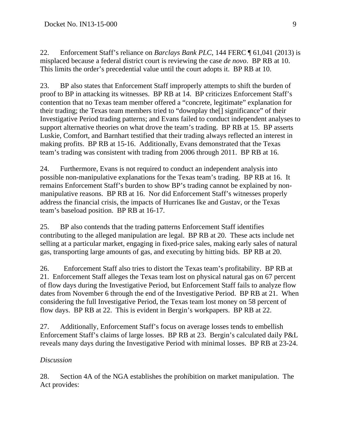22. Enforcement Staff's reliance on *Barclays Bank PLC*, 144 FERC ¶ 61,041 (2013) is misplaced because a federal district court is reviewing the case *de novo*. BP RB at 10. This limits the order's precedential value until the court adopts it. BP RB at 10.

23. BP also states that Enforcement Staff improperly attempts to shift the burden of proof to BP in attacking its witnesses. BP RB at 14. BP criticizes Enforcement Staff's contention that no Texas team member offered a "concrete, legitimate" explanation for their trading; the Texas team members tried to "downplay the[] significance" of their Investigative Period trading patterns; and Evans failed to conduct independent analyses to support alternative theories on what drove the team's trading. BP RB at 15. BP asserts Luskie, Comfort, and Barnhart testified that their trading always reflected an interest in making profits. BP RB at 15-16. Additionally, Evans demonstrated that the Texas team's trading was consistent with trading from 2006 through 2011. BP RB at 16.

24. Furthermore, Evans is not required to conduct an independent analysis into possible non-manipulative explanations for the Texas team's trading. BP RB at 16. It remains Enforcement Staff's burden to show BP's trading cannot be explained by nonmanipulative reasons. BP RB at 16. Nor did Enforcement Staff's witnesses properly address the financial crisis, the impacts of Hurricanes Ike and Gustav, or the Texas team's baseload position. BP RB at 16-17.

25. BP also contends that the trading patterns Enforcement Staff identifies contributing to the alleged manipulation are legal. BP RB at 20. These acts include net selling at a particular market, engaging in fixed-price sales, making early sales of natural gas, transporting large amounts of gas, and executing by hitting bids. BP RB at 20.

26. Enforcement Staff also tries to distort the Texas team's profitability. BP RB at 21. Enforcement Staff alleges the Texas team lost on physical natural gas on 67 percent of flow days during the Investigative Period, but Enforcement Staff fails to analyze flow dates from November 6 through the end of the Investigative Period. BP RB at 21. When considering the full Investigative Period, the Texas team lost money on 58 percent of flow days. BP RB at 22. This is evident in Bergin's workpapers. BP RB at 22.

27. Additionally, Enforcement Staff's focus on average losses tends to embellish Enforcement Staff's claims of large losses. BP RB at 23. Bergin's calculated daily P&L reveals many days during the Investigative Period with minimal losses. BP RB at 23-24.

## *Discussion*

28. Section 4A of the NGA establishes the prohibition on market manipulation. The Act provides: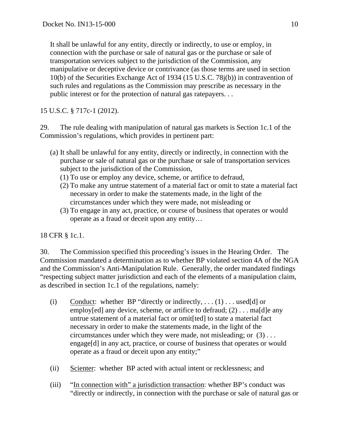It shall be unlawful for any entity, directly or indirectly, to use or employ, in connection with the purchase or sale of natural gas or the purchase or sale of transportation services subject to the jurisdiction of the Commission, any manipulative or deceptive device or contrivance (as those terms are used in section 10(b) of the Securities Exchange Act of 1934 (15 U.S.C. 78j(b)) in contravention of such rules and regulations as the Commission may prescribe as necessary in the public interest or for the protection of natural gas ratepayers. . .

15 U.S.C. § 717c-1 (2012).

29. The rule dealing with manipulation of natural gas markets is Section 1c.1 of the Commission's regulations, which provides in pertinent part:

- (a) It shall be unlawful for any entity, directly or indirectly, in connection with the purchase or sale of natural gas or the purchase or sale of transportation services subject to the jurisdiction of the Commission,
	- (1) To use or employ any device, scheme, or artifice to defraud,
	- (2) To make any untrue statement of a material fact or omit to state a material fact necessary in order to make the statements made, in the light of the circumstances under which they were made, not misleading or
	- (3) To engage in any act, practice, or course of business that operates or would operate as a fraud or deceit upon any entity…

18 CFR § 1c.1.

30. The Commission specified this proceeding's issues in the Hearing Order. The Commission mandated a determination as to whether BP violated section 4A of the NGA and the Commission's Anti-Manipulation Rule. Generally, the order mandated findings "respecting subject matter jurisdiction and each of the elements of a manipulation claim, as described in section 1c.1 of the regulations, namely:

- (i) Conduct: whether BP "directly or indirectly, . . . (1) . . . used[d] or employ[ed] any device, scheme, or artifice to defraud;  $(2)$ ... ma[d]e any untrue statement of a material fact or omit[ted] to state a material fact necessary in order to make the statements made, in the light of the circumstances under which they were made, not misleading; or  $(3)$ ... engage[d] in any act, practice, or course of business that operates or would operate as a fraud or deceit upon any entity;"
- (ii) Scienter: whether BP acted with actual intent or recklessness; and
- (iii) "In connection with" a jurisdiction transaction: whether BP's conduct was "directly or indirectly, in connection with the purchase or sale of natural gas or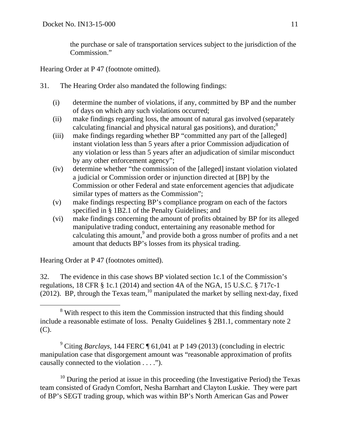the purchase or sale of transportation services subject to the jurisdiction of the Commission."

Hearing Order at P 47 (footnote omitted).

- 31. The Hearing Order also mandated the following findings:
	- (i) determine the number of violations, if any, committed by BP and the number of days on which any such violations occurred;
	- (ii) make findings regarding loss, the amount of natural gas involved (separately calculating financial and physical natural gas positions), and duration; $^8$
	- (iii) make findings regarding whether BP "committed any part of the [alleged] instant violation less than 5 years after a prior Commission adjudication of any violation or less than 5 years after an adjudication of similar misconduct by any other enforcement agency";
	- (iv) determine whether "the commission of the [alleged] instant violation violated a judicial or Commission order or injunction directed at [BP] by the Commission or other Federal and state enforcement agencies that adjudicate similar types of matters as the Commission";
	- (v) make findings respecting BP's compliance program on each of the factors specified in § 1B2.1 of the Penalty Guidelines; and
	- (vi) make findings concerning the amount of profits obtained by BP for its alleged manipulative trading conduct, entertaining any reasonable method for calculating this amount, $9$  and provide both a gross number of profits and a net amount that deducts BP's losses from its physical trading.

Hearing Order at P 47 (footnotes omitted).

32. The evidence in this case shows BP violated section 1c.1 of the Commission's regulations,  $18 \text{ CFR} \text{ } \text{\&} 1c.1 \text{ } (2014)$  and section 4A of the NGA,  $15 \text{ U.S.C.} \text{ } \text{\&} 717c-1$ (2012). BP, through the Texas team,  $^{10}$  manipulated the market by selling next-day, fixed

<sup>9</sup> Citing *Barclays*, 144 FERC ¶ 61,041 at P 149 (2013) (concluding in electric manipulation case that disgorgement amount was "reasonable approximation of profits causally connected to the violation . . . .").

 $10$  During the period at issue in this proceeding (the Investigative Period) the Texas team consisted of Gradyn Comfort, Nesha Barnhart and Clayton Luskie. They were part of BP's SEGT trading group, which was within BP's North American Gas and Power

 <sup>8</sup> <sup>8</sup> With respect to this item the Commission instructed that this finding should include a reasonable estimate of loss. Penalty Guidelines § 2B1.1, commentary note 2 (C).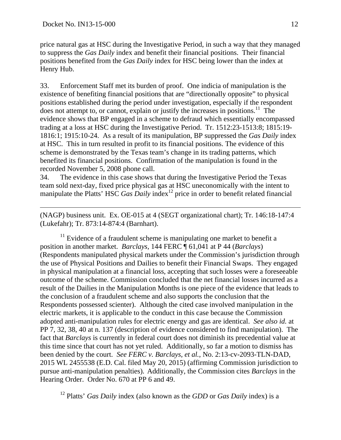price natural gas at HSC during the Investigative Period, in such a way that they managed to suppress the *Gas Daily* index and benefit their financial positions. Their financial positions benefited from the *Gas Daily* index for HSC being lower than the index at Henry Hub.

33. Enforcement Staff met its burden of proof. One indicia of manipulation is the existence of benefiting financial positions that are "directionally opposite" to physical positions established during the period under investigation, especially if the respondent does not attempt to, or cannot, explain or justify the increases in positions.<sup>11</sup> The evidence shows that BP engaged in a scheme to defraud which essentially encompassed trading at a loss at HSC during the Investigative Period. Tr. 1512:23-1513:8; 1815:19- 1816:1; 1915:10-24. As a result of its manipulation, BP suppressed the *Gas Daily* index at HSC. This in turn resulted in profit to its financial positions. The evidence of this scheme is demonstrated by the Texas team's change in its trading patterns, which benefited its financial positions. Confirmation of the manipulation is found in the recorded November 5, 2008 phone call.

34. The evidence in this case shows that during the Investigative Period the Texas team sold next-day, fixed price physical gas at HSC uneconomically with the intent to manipulate the Platts' HSC *Gas Daily* index<sup>12</sup> price in order to benefit related financial

(NAGP) business unit. Ex. OE-015 at 4 (SEGT organizational chart); Tr. 146:18-147:4 (Lukefahr); Tr. 873:14-874:4 (Barnhart).

 $11$  Evidence of a fraudulent scheme is manipulating one market to benefit a position in another market. *Barclays,* 144 FERC ¶ 61,041 at P 44 (*Barclays*) (Respondents manipulated physical markets under the Commission's jurisdiction through the use of Physical Positions and Dailies to benefit their Financial Swaps. They engaged in physical manipulation at a financial loss, accepting that such losses were a foreseeable outcome of the scheme. Commission concluded that the net financial losses incurred as a result of the Dailies in the Manipulation Months is one piece of the evidence that leads to the conclusion of a fraudulent scheme and also supports the conclusion that the Respondents possessed scienter). Although the cited case involved manipulation in the electric markets, it is applicable to the conduct in this case because the Commission adopted anti-manipulation rules for electric energy and gas are identical. *See also id.* at PP 7, 32, 38, 40 at n. 137 (description of evidence considered to find manipulation). The fact that *Barclays* is currently in federal court does not diminish its precedential value at this time since that court has not yet ruled. Additionally, so far a motion to dismiss has been denied by the court. *See FERC v. Barclays, et al.*, No. 2:13-cv-2093-TLN-DAD, 2015 WL 2455538 (E.D. Cal. filed May 20, 2015) (affirming Commission jurisdiction to pursue anti-manipulation penalties). Additionally, the Commission cites *Barclays* in the Hearing Order. Order No. 670 at PP 6 and 49.

12 Platts' *Gas Daily* index (also known as the *GDD* or *Gas Daily* index) is a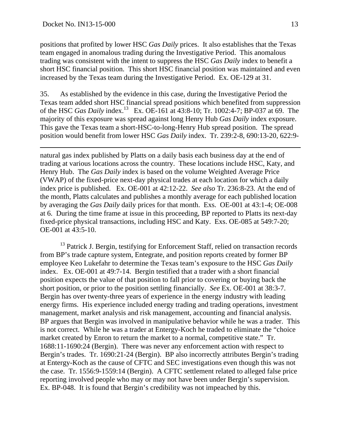positions that profited by lower HSC *Gas Daily* prices. It also establishes that the Texas team engaged in anomalous trading during the Investigative Period. This anomalous trading was consistent with the intent to suppress the HSC *Gas Daily* index to benefit a short HSC financial position. This short HSC financial position was maintained and even increased by the Texas team during the Investigative Period. Ex. OE-129 at 31.

35. As established by the evidence in this case, during the Investigative Period the Texas team added short HSC financial spread positions which benefited from suppression of the HSC *Gas Daily* index.13 Ex. OE-161 at 43:8-10; Tr. 1002:4-7; BP-037 at 69. The majority of this exposure was spread against long Henry Hub *Gas Daily* index exposure. This gave the Texas team a short-HSC-to-long-Henry Hub spread position. The spread position would benefit from lower HSC *Gas Daily* index. Tr. 239:2-8, 690:13-20, 622:9-

natural gas index published by Platts on a daily basis each business day at the end of trading at various locations across the country. These locations include HSC, Katy, and Henry Hub. The *Gas Daily* index is based on the volume Weighted Average Price (VWAP) of the fixed-price next-day physical trades at each location for which a daily index price is published. Ex. OE-001 at 42:12-22. *See also* Tr. 236:8-23. At the end of the month, Platts calculates and publishes a monthly average for each published location by averaging the *Gas Daily* daily prices for that month. Exs. OE-001 at 43:1-4; OE-008 at 6. During the time frame at issue in this proceeding, BP reported to Platts its next-day fixed-price physical transactions, including HSC and Katy. Exs. OE-085 at 549:7-20; OE-001 at 43:5-10.

<sup>13</sup> Patrick J. Bergin, testifying for Enforcement Staff, relied on transaction records from BP's trade capture system, Entegrate, and position reports created by former BP employee Keo Lukefahr to determine the Texas team's exposure to the HSC *Gas Daily* index. Ex. OE-001 at 49:7-14. Bergin testified that a trader with a short financial position expects the value of that position to fall prior to covering or buying back the short position, or prior to the position settling financially. *See* Ex. OE-001 at 38:3-7. Bergin has over twenty-three years of experience in the energy industry with leading energy firms. His experience included energy trading and trading operations, investment management, market analysis and risk management, accounting and financial analysis. BP argues that Bergin was involved in manipulative behavior while he was a trader. This is not correct. While he was a trader at Entergy-Koch he traded to eliminate the "choice market created by Enron to return the market to a normal, competitive state." Tr. 1688:11-1690:24 (Bergin). There was never any enforcement action with respect to Bergin's trades. Tr. 1690:21-24 (Bergin). BP also incorrectly attributes Bergin's trading at Entergy-Koch as the cause of CFTC and SEC investigations even though this was not the case. Tr. 1556:9-1559:14 (Bergin). A CFTC settlement related to alleged false price reporting involved people who may or may not have been under Bergin's supervision. Ex. BP-048. It is found that Bergin's credibility was not impeached by this.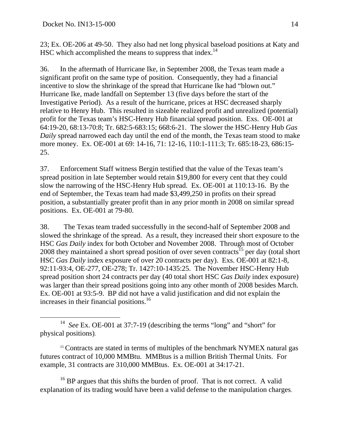23; Ex. OE-206 at 49-50. They also had net long physical baseload positions at Katy and HSC which accomplished the means to suppress that index.<sup>14</sup>

36. In the aftermath of Hurricane Ike, in September 2008, the Texas team made a significant profit on the same type of position. Consequently, they had a financial incentive to slow the shrinkage of the spread that Hurricane Ike had "blown out." Hurricane Ike, made landfall on September 13 (five days before the start of the Investigative Period). As a result of the hurricane, prices at HSC decreased sharply relative to Henry Hub. This resulted in sizeable realized profit and unrealized (potential) profit for the Texas team's HSC-Henry Hub financial spread position. Exs. OE-001 at 64:19-20, 68:13-70:8; Tr. 682:5-683:15; 668:6-21. The slower the HSC-Henry Hub *Gas Daily* spread narrowed each day until the end of the month, the Texas team stood to make more money. Ex. OE-001 at 69: 14-16, 71: 12-16, 110:1-111:3; Tr. 685:18-23, 686:15- 25.

37. Enforcement Staff witness Bergin testified that the value of the Texas team's spread position in late September would retain \$19,800 for every cent that they could slow the narrowing of the HSC-Henry Hub spread. Ex. OE-001 at 110:13-16. By the end of September, the Texas team had made \$3,499,250 in profits on their spread position, a substantially greater profit than in any prior month in 2008 on similar spread positions. Ex. OE-001 at 79-80.

38. The Texas team traded successfully in the second-half of September 2008 and slowed the shrinkage of the spread. As a result, they increased their short exposure to the HSC *Gas Daily* index for both October and November 2008. Through most of October 2008 they maintained a short spread position of over seven contracts<sup>15</sup> per day (total short HSC *Gas Daily* index exposure of over 20 contracts per day). Exs. OE-001 at 82:1-8, 92:11-93:4, OE-277, OE-278; Tr. 1427:10-1435:25. The November HSC-Henry Hub spread position short 24 contracts per day (40 total short HSC *Gas Daily* index exposure) was larger than their spread positions going into any other month of 2008 besides March. Ex. OE-001 at 93:5-9. BP did not have a valid justification and did not explain the increases in their financial positions.<sup>16</sup>

 $16$  BP argues that this shifts the burden of proof. That is not correct. A valid explanation of its trading would have been a valid defense to the manipulation charges.

 <sup>14</sup> *See* Ex. OE-001 at 37:7-19 (describing the terms "long" and "short" for physical positions).

<sup>&</sup>lt;sup>15</sup> Contracts are stated in terms of multiples of the benchmark NYMEX natural gas futures contract of 10,000 MMBtu. MMBtus is a million British Thermal Units. For example, 31 contracts are 310,000 MMBtus. Ex. OE-001 at 34:17-21.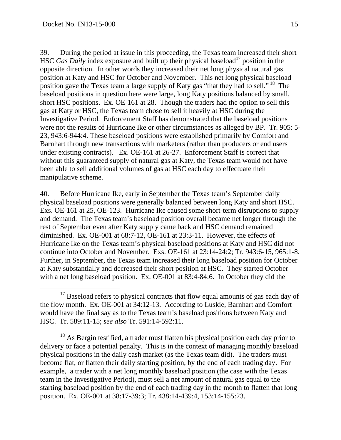39. During the period at issue in this proceeding, the Texas team increased their short HSC *Gas Daily* index exposure and built up their physical baseload<sup>17</sup> position in the opposite direction. In other words they increased their net long physical natural gas position at Katy and HSC for October and November. This net long physical baseload position gave the Texas team a large supply of Katy gas "that they had to sell." <sup>18</sup> The baseload positions in question here were large, long Katy positions balanced by small, short HSC positions. Ex. OE-161 at 28. Though the traders had the option to sell this gas at Katy or HSC, the Texas team chose to sell it heavily at HSC during the Investigative Period. Enforcement Staff has demonstrated that the baseload positions were not the results of Hurricane Ike or other circumstances as alleged by BP. Tr. 905: 5- 23, 943:6-944:4. These baseload positions were established primarily by Comfort and Barnhart through new transactions with marketers (rather than producers or end users under existing contracts). Ex. OE-161 at 26-27. Enforcement Staff is correct that without this guaranteed supply of natural gas at Katy, the Texas team would not have been able to sell additional volumes of gas at HSC each day to effectuate their manipulative scheme.

40. Before Hurricane Ike, early in September the Texas team's September daily physical baseload positions were generally balanced between long Katy and short HSC. Exs. OE-161 at 25, OE-123. Hurricane Ike caused some short-term disruptions to supply and demand. The Texas team's baseload position overall became net longer through the rest of September even after Katy supply came back and HSC demand remained diminished. Ex. OE-001 at 68:7-12, OE-161 at 23:3-11. However, the effects of Hurricane Ike on the Texas team's physical baseload positions at Katy and HSC did not continue into October and November. Exs. OE-161 at 23:14-24:2; Tr. 943:6-15, 965:1-8. Further, in September, the Texas team increased their long baseload position for October at Katy substantially and decreased their short position at HSC. They started October with a net long baseload position. Ex. OE-001 at 83:4-84:6. In October they did the

<sup>18</sup> As Bergin testified, a trader must flatten his physical position each day prior to delivery or face a potential penalty. This is in the context of managing monthly baseload physical positions in the daily cash market (as the Texas team did). The traders must become flat, or flatten their daily starting position, by the end of each trading day. For example, a trader with a net long monthly baseload position (the case with the Texas team in the Investigative Period), must sell a net amount of natural gas equal to the starting baseload position by the end of each trading day in the month to flatten that long position. Ex. OE-001 at 38:17-39:3; Tr. 438:14-439:4, 153:14-155:23.

<sup>&</sup>lt;sup>17</sup> Baseload refers to physical contracts that flow equal amounts of gas each day of the flow month. Ex. OE-001 at 34:12-13. According to Luskie, Barnhart and Comfort would have the final say as to the Texas team's baseload positions between Katy and HSC. Tr. 589:11-15; *see also* Tr. 591:14-592:11.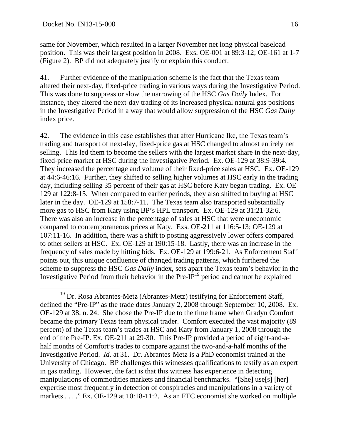same for November, which resulted in a larger November net long physical baseload position. This was their largest position in 2008. Exs. OE-001 at 89:3-12; OE-161 at 1-7 (Figure 2). BP did not adequately justify or explain this conduct.

41. Further evidence of the manipulation scheme is the fact that the Texas team altered their next-day, fixed-price trading in various ways during the Investigative Period. This was done to suppress or slow the narrowing of the HSC *Gas Daily* Index. For instance, they altered the next-day trading of its increased physical natural gas positions in the Investigative Period in a way that would allow suppression of the HSC *Gas Daily* index price.

42. The evidence in this case establishes that after Hurricane Ike, the Texas team's trading and transport of next-day, fixed-price gas at HSC changed to almost entirely net selling. This led them to become the sellers with the largest market share in the next-day, fixed-price market at HSC during the Investigative Period. Ex. OE-129 at 38:9-39:4. They increased the percentage and volume of their fixed-price sales at HSC. Ex. OE-129 at 44:6-46:16. Further, they shifted to selling higher volumes at HSC early in the trading day, including selling 35 percent of their gas at HSC before Katy began trading. Ex. OE-129 at 122:8-15. When compared to earlier periods, they also shifted to buying at HSC later in the day. OE-129 at 158:7-11. The Texas team also transported substantially more gas to HSC from Katy using BP's HPL transport. Ex. OE-129 at 31:21-32:6. There was also an increase in the percentage of sales at HSC that were uneconomic compared to contemporaneous prices at Katy. Exs. OE-211 at 116:5-13; OE-129 at 107:11-16. In addition, there was a shift to posting aggressively lower offers compared to other sellers at HSC. Ex. OE-129 at 190:15-18. Lastly, there was an increase in the frequency of sales made by hitting bids. Ex. OE-129 at 199:6-21. As Enforcement Staff points out, this unique confluence of changed trading patterns, which furthered the scheme to suppress the HSC *Gas Daily* index, sets apart the Texas team's behavior in the Investigative Period from their behavior in the Pre- $I\overline{P}^{19}$  period and cannot be explained

<sup>&</sup>lt;sup>19</sup> Dr. Rosa Abrantes-Metz (Abrantes-Metz) testifying for Enforcement Staff, defined the "Pre-IP" as the trade dates January 2, 2008 through September 10, 2008. Ex. OE-129 at 38, n. 24. She chose the Pre-IP due to the time frame when Gradyn Comfort became the primary Texas team physical trader. Comfort executed the vast majority (89 percent) of the Texas team's trades at HSC and Katy from January 1, 2008 through the end of the Pre-IP. Ex. OE-211 at 29-30. This Pre-IP provided a period of eight-and-ahalf months of Comfort's trades to compare against the two-and-a-half months of the Investigative Period. *Id.* at 31. Dr. Abrantes-Metz is a PhD economist trained at the University of Chicago. BP challenges this witnesses qualifications to testify as an expert in gas trading. However, the fact is that this witness has experience in detecting manipulations of commodities markets and financial benchmarks. "[She] use[s] [her] expertise most frequently in detection of conspiracies and manipulations in a variety of markets . . . . " Ex. OE-129 at 10:18-11:2. As an FTC economist she worked on multiple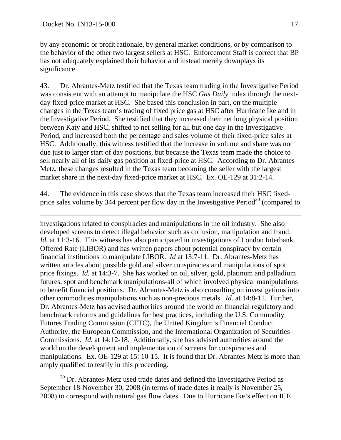by any economic or profit rationale, by general market conditions, or by comparison to the behavior of the other two largest sellers at HSC. Enforcement Staff is correct that BP has not adequately explained their behavior and instead merely downplays its significance.

43. Dr. Abrantes-Metz testified that the Texas team trading in the Investigative Period was consistent with an attempt to manipulate the HSC *Gas Daily* index through the nextday fixed-price market at HSC. She based this conclusion in part, on the multiple changes in the Texas team's trading of fixed price gas at HSC after Hurricane Ike and in the Investigative Period. She testified that they increased their net long physical position between Katy and HSC, shifted to net selling for all but one day in the Investigative Period, and increased both the percentage and sales volume of their fixed-price sales at HSC. Additionally, this witness testified that the increase in volume and share was not due just to larger start of day positions, but because the Texas team made the choice to sell nearly all of its daily gas position at fixed-price at HSC. According to Dr. Abrantes-Metz, these changes resulted in the Texas team becoming the seller with the largest market share in the next-day fixed-price market at HSC. Ex. OE-129 at 31:2-14.

44. The evidence in this case shows that the Texas team increased their HSC fixedprice sales volume by 344 percent per flow day in the Investigative Period<sup>20</sup> (compared to

investigations related to conspiracies and manipulations in the oil industry. She also developed screens to detect illegal behavior such as collusion, manipulation and fraud. *Id.* at 11:3-16. This witness has also participated in investigations of London Interbank Offered Rate (LIBOR) and has written papers about potential conspiracy by certain financial institutions to manipulate LIBOR. *Id* at 13:7-11. Dr. Abrantes-Metz has written articles about possible gold and silver conspiracies and manipulations of spot price fixings. *Id.* at 14:3-7. She has worked on oil, silver, gold, platinum and palladium futures, spot and benchmark manipulations-all of which involved physical manipulations to benefit financial positions. Dr. Abrantes-Metz is also consulting on investigations into other commodities manipulations such as non-precious metals. *Id.* at 14:8-11. Further, Dr. Abrantes-Metz has advised authorities around the world on financial regulatory and benchmark reforms and guidelines for best practices, including the U.S. Commodity Futures Trading Commission (CFTC), the United Kingdom's Financial Conduct Authority, the European Commission, and the International Organization of Securities Commissions. *Id.* at 14:12-18. Additionally, she has advised authorities around the world on the development and implementation of screens for conspiracies and manipulations. Ex. OE-129 at 15: 10-15. It is found that Dr. Abrantes-Metz is more than amply qualified to testify in this proceeding.

 $20$  Dr. Abrantes-Metz used trade dates and defined the Investigative Period as September 18-November 30, 2008 (in terms of trade dates it really is November 25, 2008) to correspond with natural gas flow dates. Due to Hurricane Ike's effect on ICE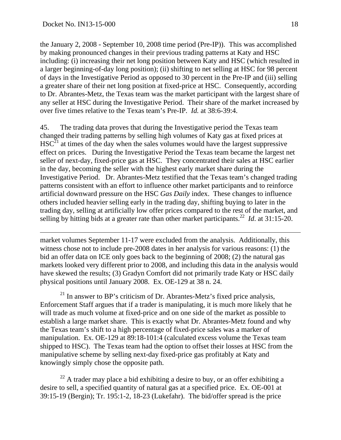the January 2, 2008 - September 10, 2008 time period (Pre-IP)). This was accomplished by making pronounced changes in their previous trading patterns at Katy and HSC including: (i) increasing their net long position between Katy and HSC (which resulted in a larger beginning-of-day long position); (ii) shifting to net selling at HSC for 98 percent of days in the Investigative Period as opposed to 30 percent in the Pre-IP and (iii) selling a greater share of their net long position at fixed-price at HSC. Consequently, according to Dr. Abrantes-Metz, the Texas team was the market participant with the largest share of any seller at HSC during the Investigative Period. Their share of the market increased by over five times relative to the Texas team's Pre-IP. *Id.* at 38:6-39:4.

45. The trading data proves that during the Investigative period the Texas team changed their trading patterns by selling high volumes of Katy gas at fixed prices at  $HSC<sup>21</sup>$  at times of the day when the sales volumes would have the largest suppressive effect on prices. During the Investigative Period the Texas team became the largest net seller of next-day, fixed-price gas at HSC. They concentrated their sales at HSC earlier in the day, becoming the seller with the highest early market share during the Investigative Period. Dr. Abrantes-Metz testified that the Texas team's changed trading patterns consistent with an effort to influence other market participants and to reinforce artificial downward pressure on the HSC *Gas Daily* index. These changes to influence others included heavier selling early in the trading day, shifting buying to later in the trading day, selling at artificially low offer prices compared to the rest of the market, and selling by hitting bids at a greater rate than other market participants.<sup>22</sup> *Id.* at 31:15-20.

market volumes September 11-17 were excluded from the analysis. Additionally, this witness chose not to include pre-2008 dates in her analysis for various reasons: (1) the bid an offer data on ICE only goes back to the beginning of 2008; (2) the natural gas markets looked very different prior to 2008, and including this data in the analysis would have skewed the results; (3) Gradyn Comfort did not primarily trade Katy or HSC daily physical positions until January 2008. Ex. OE-129 at 38 n. 24.

 $21$  In answer to BP's criticism of Dr. Abrantes-Metz's fixed price analysis, Enforcement Staff argues that if a trader is manipulating, it is much more likely that he will trade as much volume at fixed-price and on one side of the market as possible to establish a large market share. This is exactly what Dr. Abrantes-Metz found and why the Texas team's shift to a high percentage of fixed-price sales was a marker of manipulation. Ex. OE-129 at 89:18-101:4 (calculated excess volume the Texas team shipped to HSC). The Texas team had the option to offset their losses at HSC from the manipulative scheme by selling next-day fixed-price gas profitably at Katy and knowingly simply chose the opposite path.

 $22$  A trader may place a bid exhibiting a desire to buy, or an offer exhibiting a desire to sell, a specified quantity of natural gas at a specified price. Ex. OE-001 at 39:15-19 (Bergin); Tr. 195:1-2, 18-23 (Lukefahr). The bid/offer spread is the price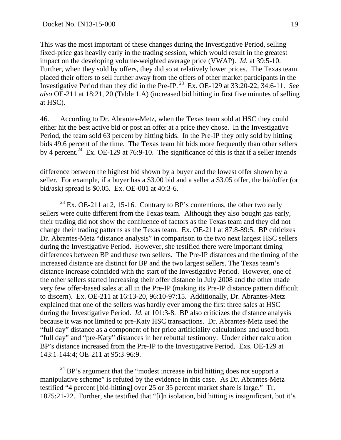This was the most important of these changes during the Investigative Period, selling fixed-price gas heavily early in the trading session, which would result in the greatest impact on the developing volume-weighted average price (VWAP). *Id*. at 39:5-10. Further, when they sold by offers, they did so at relatively lower prices. The Texas team placed their offers to sell further away from the offers of other market participants in the Investigative Period than they did in the Pre-IP. 23 Ex. OE-129 at 33:20-22; 34:6-11. *See also* OE-211 at 18:21, 20 (Table 1.A) (increased bid hitting in first five minutes of selling at HSC).

46. According to Dr. Abrantes-Metz, when the Texas team sold at HSC they could either hit the best active bid or post an offer at a price they chose. In the Investigative Period, the team sold 63 percent by hitting bids. In the Pre-IP they only sold by hitting bids 49.6 percent of the time. The Texas team hit bids more frequently than other sellers by 4 percent.<sup>24</sup> Ex. OE-129 at 76:9-10. The significance of this is that if a seller intends

difference between the highest bid shown by a buyer and the lowest offer shown by a seller. For example, if a buyer has a \$3.00 bid and a seller a \$3.05 offer, the bid/offer (or bid/ask) spread is \$0.05. Ex. OE-001 at 40:3-6.

 $^{23}$  Ex. OE-211 at 2, 15-16. Contrary to BP's contentions, the other two early sellers were quite different from the Texas team. Although they also bought gas early, their trading did not show the confluence of factors as the Texas team and they did not change their trading patterns as the Texas team. Ex. OE-211 at 87:8-89:5. BP criticizes Dr. Abrantes-Metz "distance analysis" in comparison to the two next largest HSC sellers during the Investigative Period. However, she testified there were important timing differences between BP and these two sellers. The Pre-IP distances and the timing of the increased distance are distinct for BP and the two largest sellers. The Texas team's distance increase coincided with the start of the Investigative Period. However, one of the other sellers started increasing their offer distance in July 2008 and the other made very few offer-based sales at all in the Pre-IP (making its Pre-IP distance pattern difficult to discern). Ex. OE-211 at 16:13-20, 96:10-97:15. Additionally, Dr. Abrantes-Metz explained that one of the sellers was hardly ever among the first three sales at HSC during the Investigative Period. *Id.* at 101:3-8. BP also criticizes the distance analysis because it was not limited to pre-Katy HSC transactions. Dr. Abrantes-Metz used the "full day" distance as a component of her price artificiality calculations and used both "full day" and "pre-Katy" distances in her rebuttal testimony. Under either calculation BP's distance increased from the Pre-IP to the Investigative Period. Exs. OE-129 at 143:1-144:4; OE-211 at 95:3-96:9.

 $^{24}$  BP's argument that the "modest increase in bid hitting does not support a manipulative scheme" is refuted by the evidence in this case. As Dr. Abrantes-Metz testified "4 percent [bid-hitting] over 25 or 35 percent market share is large." Tr. 1875:21-22. Further, she testified that "[i]n isolation, bid hitting is insignificant, but it's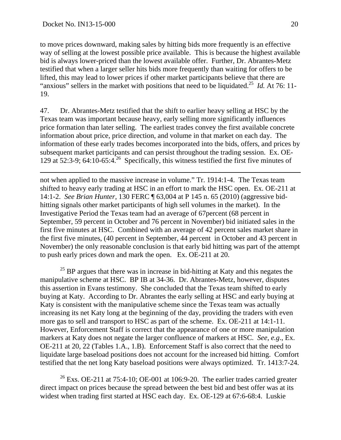to move prices downward, making sales by hitting bids more frequently is an effective way of selling at the lowest possible price available. This is because the highest available bid is always lower-priced than the lowest available offer. Further, Dr. Abrantes-Metz testified that when a larger seller hits bids more frequently than waiting for offers to be lifted, this may lead to lower prices if other market participants believe that there are "anxious" sellers in the market with positions that need to be liquidated.25 *Id.* At 76: 11- 19.

47. Dr. Abrantes-Metz testified that the shift to earlier heavy selling at HSC by the Texas team was important because heavy, early selling more significantly influences price formation than later selling. The earliest trades convey the first available concrete information about price, price direction, and volume in that market on each day. The information of these early trades becomes incorporated into the bids, offers, and prices by subsequent market participants and can persist throughout the trading session. Ex. OE-129 at 52:3-9; 64:10-65:4.<sup>26</sup> Specifically, this witness testified the first five minutes of

not when applied to the massive increase in volume." Tr. 1914:1-4. The Texas team shifted to heavy early trading at HSC in an effort to mark the HSC open. Ex. OE-211 at 14:1-2. *See Brian Hunter,* 130 FERC ¶ 63,004 at P 145 n. 65 (2010) (aggressive bidhitting signals other market participants of high sell volumes in the market). In the Investigative Period the Texas team had an average of 67percent (68 percent in September, 59 percent in October and 76 percent in November) bid initiated sales in the first five minutes at HSC. Combined with an average of 42 percent sales market share in the first five minutes, (40 percent in September, 44 percent in October and 43 percent in November) the only reasonable conclusion is that early bid hitting was part of the attempt to push early prices down and mark the open. Ex. OE-211 at 20.

 $25$  BP argues that there was in increase in bid-hitting at Katy and this negates the manipulative scheme at HSC. BP IB at 34-36. Dr. Abrantes-Metz, however, disputes this assertion in Evans testimony. She concluded that the Texas team shifted to early buying at Katy. According to Dr. Abrantes the early selling at HSC and early buying at Katy is consistent with the manipulative scheme since the Texas team was actually increasing its net Katy long at the beginning of the day, providing the traders with even more gas to sell and transport to HSC as part of the scheme. Ex. OE-211 at 14:1-11. However, Enforcement Staff is correct that the appearance of one or more manipulation markers at Katy does not negate the larger confluence of markers at HSC. *See, e.g*., Ex. OE-211 at 20, 22 (Tables 1.A., 1.B). Enforcement Staff is also correct that the need to liquidate large baseload positions does not account for the increased bid hitting. Comfort testified that the net long Katy baseload positions were always optimized. Tr. 1413:7-24.

<sup>26</sup> Exs. OE-211 at 75:4-10; OE-001 at 106:9-20. The earlier trades carried greater direct impact on prices because the spread between the best bid and best offer was at its widest when trading first started at HSC each day. Ex. OE-129 at 67:6-68:4. Luskie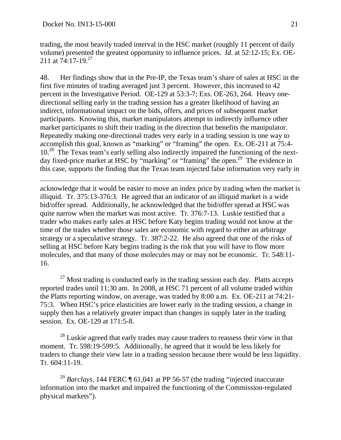trading, the most heavily traded interval in the HSC market (roughly 11 percent of daily volume) presented the greatest opportunity to influence prices. *Id*. at 52:12-15; Ex. OE-211 at  $74:17-19.<sup>27</sup>$ 

48. Her findings show that in the Pre-IP, the Texas team's share of sales at HSC in the first five minutes of trading averaged just 3 percent. However, this increased to 42 percent in the Investigative Period. OE-129 at 53:3-7; Exs. OE-263, 264. Heavy onedirectional selling early in the trading session has a greater likelihood of having an indirect, informational impact on the bids, offers, and prices of subsequent market participants. Knowing this, market manipulators attempt to indirectly influence other market participants to shift their trading in the direction that benefits the manipulator. Repeatedly making one-directional trades very early in a trading session is one way to accomplish this goal, known as "marking" or "framing" the open. Ex. OE-211 at 75:4- 10<sup>28</sup> The Texas team's early selling also indirectly impaired the functioning of the nextday fixed-price market at HSC by "marking" or "framing" the open.<sup>29</sup> The evidence in this case, supports the finding that the Texas team injected false information very early in

acknowledge that it would be easier to move an index price by trading when the market is illiquid*.* Tr. 375:13-376:3. He agreed that an indicator of an illiquid market is a wide bid/offer spread. Additionally, he acknowledged that the bid/offer spread at HSC was quite narrow when the market was most active. Tr. 376:7-13. Luskie testified that a trader who makes early sales at HSC before Katy begins trading would not know at the time of the trades whether those sales are economic with regard to either an arbitrage strategy or a speculative strategy. Tr. 387:2-22. He also agreed that one of the risks of selling at HSC before Katy begins trading is the risk that you will have to flow more molecules, and that many of those molecules may or may not be economic. Tr. 548:11- 16.

 $27$  Most trading is conducted early in the trading session each day. Platts accepts reported trades until 11:30 am. In 2008, at HSC 71 percent of all volume traded within the Platts reporting window, on average, was traded by 8:00 a.m. Ex. OE-211 at 74:21- 75:3. When HSC's price elasticities are lower early in the trading session, a change in supply then has a relatively greater impact than changes in supply later in the trading session. Ex. OE-129 at 171:5-8.

<sup>28</sup> Luskie agreed that early trades may cause traders to reassess their view in that moment. Tr. 598:19-599:5. Additionally, he agreed that it would be less likely for traders to change their view late in a trading session because there would be less liquidity. Tr. 604:11-19.

<sup>29</sup> *Barclays*, 144 FERC ¶ 61,041 at PP 56-57 (the trading "injected inaccurate information into the market and impaired the functioning of the Commission-regulated physical markets").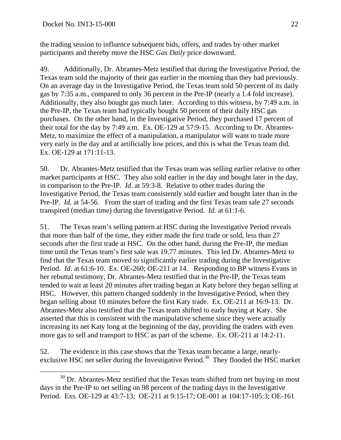the trading session to influence subsequent bids, offers, and trades by other market participants and thereby move the HSC *Gas Daily* price downward.

49. Additionally, Dr. Abrantes-Metz testified that during the Investigative Period, the Texas team sold the majority of their gas earlier in the morning than they had previously. On an average day in the Investigative Period, the Texas team sold 50 percent of its daily gas by 7:35 a.m., compared to only 36 percent in the Pre-IP (nearly a 1.4 fold increase). Additionally, they also bought gas much later. According to this witness, by 7:49 a.m. in the Pre-IP, the Texas team had typically bought 50 percent of their daily HSC gas purchases. On the other hand, in the Investigative Period, they purchased 17 percent of their total for the day by 7:49 a.m. Ex. OE-129 at 57:9-15. According to Dr. Abrantes-Metz, to maximize the effect of a manipulation, a manipulator will want to trade more very early in the day and at artificially low prices, and this is what the Texas team did. Ex. OE-129 at 171:11-13.

50. Dr. Abrantes-Metz testified that the Texas team was selling earlier relative to other market participants at HSC. They also sold earlier in the day and bought later in the day, in comparison to the Pre-IP. *Id*. at 59:3-8. Relative to other trades during the Investigative Period, the Texas team consistently sold earlier and bought later than in the Pre-IP. *Id.* at 54-56. From the start of trading and the first Texas team sale 27 seconds transpired (median time) during the Investigative Period. *Id.* at 61:1-6.

51. The Texas team's selling pattern at HSC during the Investigative Period reveals that more than half of the time, they either made the first trade or sold, less than 27 seconds after the first trade at HSC. On the other hand, during the Pre-IP, the median time until the Texas team's first sale was 19.77 minutes. This led Dr. Abrantes-Metz to find that the Texas team moved to significantly earlier trading during the Investigative Period. *Id*. at 61:6-10. Ex. OE-260; OE-211 at 14. Responding to BP witness Evans in her rebuttal testimony, Dr. Abrantes-Metz testified that in the Pre-IP, the Texas team tended to wait at least 20 minutes after trading began at Katy before they began selling at HSC. However, this pattern changed suddenly in the Investigative Period, when they began selling about 10 minutes before the first Katy trade. Ex. OE-211 at 16:9-13. Dr. Abrantes-Metz also testified that the Texas team shifted to early buying at Katy. She asserted that this is consistent with the manipulative scheme since they were actually increasing its net Katy long at the beginning of the day, providing the traders with even more gas to sell and transport to HSC as part of the scheme. Ex. OE-211 at 14:2-11.

52. The evidence in this case shows that the Texas team became a large, nearlyexclusive HSC net seller during the Investigative Period.<sup>30</sup> They flooded the HSC market

 $30$  Dr. Abrantes-Metz testified that the Texas team shifted from net buying on most days in the Pre-IP to net selling on 98 percent of the trading days in the Investigative Period. Exs. OE-129 at 43:7-13; OE-211 at 9:15-17; OE-001 at 104:17-105:3; OE-161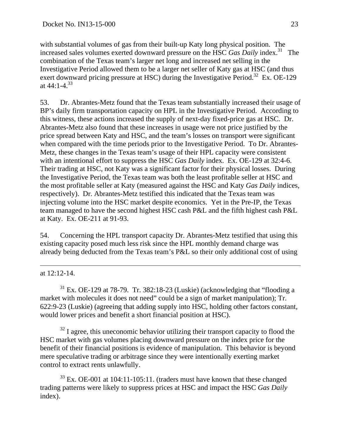with substantial volumes of gas from their built-up Katy long physical position. The increased sales volumes exerted downward pressure on the HSC *Gas Daily* index.<sup>31</sup> The combination of the Texas team's larger net long and increased net selling in the Investigative Period allowed them to be a larger net seller of Katy gas at HSC (and thus exert downward pricing pressure at HSC) during the Investigative Period.<sup>32</sup> Ex. OE-129 at  $44:1 - 4^{33}$ 

53. Dr. Abrantes-Metz found that the Texas team substantially increased their usage of BP's daily firm transportation capacity on HPL in the Investigative Period. According to this witness, these actions increased the supply of next-day fixed-price gas at HSC. Dr. Abrantes-Metz also found that these increases in usage were not price justified by the price spread between Katy and HSC, and the team's losses on transport were significant when compared with the time periods prior to the Investigative Period. To Dr. Abrantes-Metz, these changes in the Texas team's usage of their HPL capacity were consistent with an intentional effort to suppress the HSC *Gas Daily* index. Ex. OE-129 at 32:4-6. Their trading at HSC, not Katy was a significant factor for their physical losses. During the Investigative Period, the Texas team was both the least profitable seller at HSC and the most profitable seller at Katy (measured against the HSC and Katy *Gas Daily* indices, respectively). Dr. Abrantes-Metz testified this indicated that the Texas team was injecting volume into the HSC market despite economics. Yet in the Pre-IP, the Texas team managed to have the second highest HSC cash P&L and the fifth highest cash P&L at Katy. Ex. OE-211 at 91-93.

54. Concerning the HPL transport capacity Dr. Abrantes-Metz testified that using this existing capacity posed much less risk since the HPL monthly demand charge was already being deducted from the Texas team's P&L so their only additional cost of using

at 12:12-14.

 $\overline{a}$ 

 $31$  Ex. OE-129 at 78-79. Tr. 382:18-23 (Luskie) (acknowledging that "flooding a market with molecules it does not need" could be a sign of market manipulation); Tr. 622:9-23 (Luskie) (agreeing that adding supply into HSC, holding other factors constant, would lower prices and benefit a short financial position at HSC).

 $32$  I agree, this uneconomic behavior utilizing their transport capacity to flood the HSC market with gas volumes placing downward pressure on the index price for the benefit of their financial positions is evidence of manipulation. This behavior is beyond mere speculative trading or arbitrage since they were intentionally exerting market control to extract rents unlawfully.

<sup>33</sup> Ex. OE-001 at 104:11-105:11. (traders must have known that these changed trading patterns were likely to suppress prices at HSC and impact the HSC *Gas Daily* index).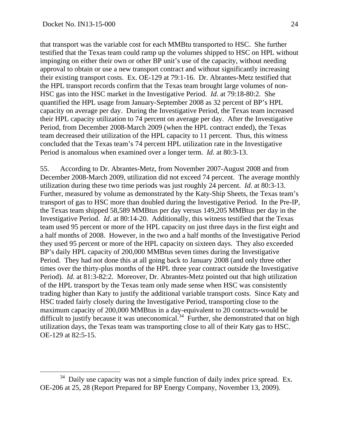that transport was the variable cost for each MMBtu transported to HSC. She further testified that the Texas team could ramp up the volumes shipped to HSC on HPL without impinging on either their own or other BP unit's use of the capacity, without needing approval to obtain or use a new transport contract and without significantly increasing their existing transport costs. Ex. OE-129 at 79:1-16. Dr. Abrantes-Metz testified that the HPL transport records confirm that the Texas team brought large volumes of non-HSC gas into the HSC market in the Investigative Period. *Id*. at 79:18-80:2. She quantified the HPL usage from January-September 2008 as 32 percent of BP's HPL capacity on average per day. During the Investigative Period, the Texas team increased their HPL capacity utilization to 74 percent on average per day. After the Investigative Period, from December 2008-March 2009 (when the HPL contract ended), the Texas team decreased their utilization of the HPL capacity to 11 percent. Thus, this witness concluded that the Texas team's 74 percent HPL utilization rate in the Investigative Period is anomalous when examined over a longer term. *Id*. at 80:3-13.

55. According to Dr. Abrantes-Metz, from November 2007-August 2008 and from December 2008-March 2009, utilization did not exceed 74 percent. The average monthly utilization during these two time periods was just roughly 24 percent. *Id*. at 80:3-13. Further, measured by volume as demonstrated by the Katy-Ship Sheets, the Texas team's transport of gas to HSC more than doubled during the Investigative Period. In the Pre-IP, the Texas team shipped 58,589 MMBtus per day versus 149,205 MMBtus per day in the Investigative Period. *Id*. at 80:14-20. Additionally, this witness testified that the Texas team used 95 percent or more of the HPL capacity on just three days in the first eight and a half months of 2008. However, in the two and a half months of the Investigative Period they used 95 percent or more of the HPL capacity on sixteen days. They also exceeded BP's daily HPL capacity of 200,000 MMBtus seven times during the Investigative Period. They had not done this at all going back to January 2008 (and only three other times over the thirty-plus months of the HPL three year contract outside the Investigative Period). *Id.* at 81:3-82:2. Moreover, Dr. Abrantes-Metz pointed out that high utilization of the HPL transport by the Texas team only made sense when HSC was consistently trading higher than Katy to justify the additional variable transport costs. Since Katy and HSC traded fairly closely during the Investigative Period, transporting close to the maximum capacity of 200,000 MMBtus in a day-equivalent to 20 contracts-would be difficult to justify because it was uneconomical.<sup>34</sup> Further, she demonstrated that on high utilization days, the Texas team was transporting close to all of their Katy gas to HSC. OE-129 at 82:5-15.

 $34$  Daily use capacity was not a simple function of daily index price spread. Ex. OE-206 at 25, 28 (Report Prepared for BP Energy Company, November 13, 2009).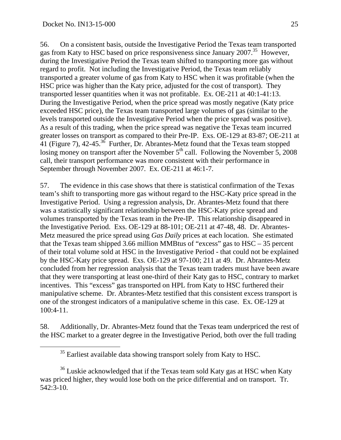56. On a consistent basis, outside the Investigative Period the Texas team transported gas from Katy to HSC based on price responsiveness since January 2007.<sup>35</sup> However, during the Investigative Period the Texas team shifted to transporting more gas without regard to profit. Not including the Investigative Period, the Texas team reliably transported a greater volume of gas from Katy to HSC when it was profitable (when the HSC price was higher than the Katy price, adjusted for the cost of transport). They transported lesser quantities when it was not profitable. Ex. OE-211 at 40:1-41:13. During the Investigative Period, when the price spread was mostly negative (Katy price exceeded HSC price), the Texas team transported large volumes of gas (similar to the levels transported outside the Investigative Period when the price spread was positive). As a result of this trading, when the price spread was negative the Texas team incurred greater losses on transport as compared to their Pre-IP. Exs. OE-129 at 83-87; OE-211 at 41 (Figure 7), 42-45.36 Further, Dr. Abrantes-Metz found that the Texas team stopped losing money on transport after the November  $5<sup>th</sup>$  call. Following the November  $5, 2008$ call, their transport performance was more consistent with their performance in September through November 2007. Ex. OE-211 at 46:1-7.

57. The evidence in this case shows that there is statistical confirmation of the Texas team's shift to transporting more gas without regard to the HSC-Katy price spread in the Investigative Period. Using a regression analysis, Dr. Abrantes-Metz found that there was a statistically significant relationship between the HSC-Katy price spread and volumes transported by the Texas team in the Pre-IP. This relationship disappeared in the Investigative Period. Exs. OE-129 at 88-101; OE-211 at 47-48, 48. Dr. Abrantes-Metz measured the price spread using *Gas Daily* prices at each location. She estimated that the Texas team shipped 3.66 million MMBtus of "excess" gas to HSC – 35 percent of their total volume sold at HSC in the Investigative Period - that could not be explained by the HSC-Katy price spread. Exs. OE-129 at 97-100; 211 at 49. Dr. Abrantes-Metz concluded from her regression analysis that the Texas team traders must have been aware that they were transporting at least one-third of their Katy gas to HSC, contrary to market incentives. This "excess" gas transported on HPL from Katy to HSC furthered their manipulative scheme. Dr. Abrantes-Metz testified that this consistent excess transport is one of the strongest indicators of a manipulative scheme in this case. Ex. OE-129 at 100:4-11.

58. Additionally, Dr. Abrantes-Metz found that the Texas team underpriced the rest of the HSC market to a greater degree in the Investigative Period, both over the full trading

<sup>&</sup>lt;sup>35</sup> Earliest available data showing transport solely from Katy to HSC.

 $36$  Luskie acknowledged that if the Texas team sold Katy gas at HSC when Katy was priced higher, they would lose both on the price differential and on transport. Tr. 542:3-10.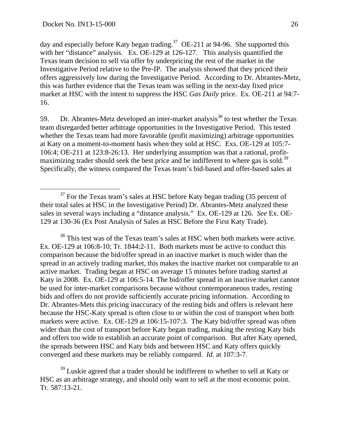day and especially before Katy began trading.<sup>37</sup> OE-211 at 94-96. She supported this with her "distance" analysis. Ex. OE-129 at 126-127. This analysis quantified the Texas team decision to sell via offer by underpricing the rest of the market in the Investigative Period relative to the Pre-IP. The analysis showed that they priced their offers aggressively low during the Investigative Period. According to Dr. Abrantes-Metz, this was further evidence that the Texas team was selling in the next-day fixed price market at HSC with the intent to suppress the HSC *Gas Daily* price. Ex. OE-211 at 94:7- 16.

59. Dr. Abrantes-Metz developed an inter-market analysis<sup>38</sup> to test whether the Texas team disregarded better arbitrage opportunities in the Investigative Period. This tested whether the Texas team had more favorable (profit maximizing) arbitrage opportunities at Katy on a moment-to-moment basis when they sold at HSC. Exs. OE-129 at 105:7- 106:4; OE-211 at 123:8-26:13. Her underlying assumption was that a rational, profitmaximizing trader should seek the best price and be indifferent to where gas is sold.<sup>39</sup> Specifically, the witness compared the Texas team's bid-based and offer-based sales at

<sup>38</sup> This test was of the Texas team's sales at HSC when both markets were active. Ex. OE-129 at 106:8-10; Tr. 1844:2-11. Both markets must be active to conduct this comparison because the bid/offer spread in an inactive market is much wider than the spread in an actively trading market, this makes the inactive market not comparable to an active market. Trading began at HSC on average 15 minutes before trading started at Katy in 2008. Ex. OE-129 at 106:5-14. The bid/offer spread in an inactive market cannot be used for inter-market comparisons because without contemporaneous trades, resting bids and offers do not provide sufficiently accurate pricing information. According to Dr. Abrantes-Mets this pricing inaccuracy of the resting bids and offers is relevant here because the HSC-Katy spread is often close to or within the cost of transport when both markets were active. Ex. OE-129 at 106:15-107:3. The Katy bid/offer spread was often wider than the cost of transport before Katy began trading, making the resting Katy bids and offers too wide to establish an accurate point of comparison. But after Katy opened, the spreads between HSC and Katy bids and between HSC and Katy offers quickly converged and these markets may be reliably compared. *Id.* at 107:3-7.

 $39$  Luskie agreed that a trader should be indifferent to whether to sell at Katy or HSC as an arbitrage strategy, and should only want to sell at the most economic point. Tr. 587:13-21.

 $37$  For the Texas team's sales at HSC before Katy began trading (35 percent of their total sales at HSC in the Investigative Period) Dr. Abrantes-Metz analyzed these sales in several ways including a "distance analysis." Ex. OE-129 at 126. *See* Ex. OE-129 at 130-36 (Ex Post Analysis of Sales at HSC Before the First Katy Trade).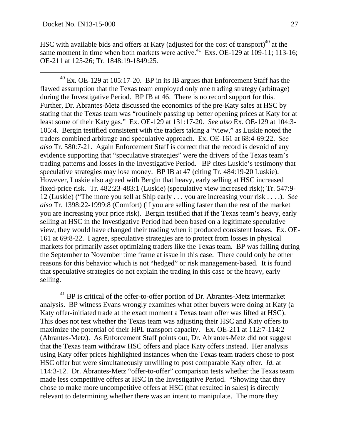HSC with available bids and offers at Katy (adjusted for the cost of transport) $40$  at the same moment in time when both markets were active.<sup>41</sup> Exs. OE-129 at  $109-11$ ; 113-16; OE-211 at 125-26; Tr. 1848:19-1849:25.

 $40$  Ex. OE-129 at 105:17-20. BP in its IB argues that Enforcement Staff has the flawed assumption that the Texas team employed only one trading strategy (arbitrage) during the Investigative Period. BP IB at 46. There is no record support for this. Further, Dr. Abrantes-Metz discussed the economics of the pre-Katy sales at HSC by stating that the Texas team was "routinely passing up better opening prices at Katy for at least some of their Katy gas." Ex. OE-129 at 131:17-20. *See also* Ex. OE-129 at 104:3- 105:4. Bergin testified consistent with the traders taking a "view," as Luskie noted the traders combined arbitrage and speculative approach. Ex. OE-161 at 68:4-69:22. *See also* Tr. 580:7-21. Again Enforcement Staff is correct that the record is devoid of any evidence supporting that "speculative strategies" were the drivers of the Texas team's trading patterns and losses in the Investigative Period. BP cites Luskie's testimony that speculative strategies may lose money. BP IB at 47 (citing Tr. 484:19-20 Luskie). However, Luskie also agreed with Bergin that heavy, early selling at HSC increased fixed-price risk. Tr. 482:23-483:1 (Luskie) (speculative view increased risk); Tr. 547:9- 12 (Luskie) ("The more you sell at Ship early . . . you are increasing your risk . . . .). *See also* Tr. 1398:22-1999:8 (Comfort) (if you are selling faster than the rest of the market you are increasing your price risk). Bergin testified that if the Texas team's heavy, early selling at HSC in the Investigative Period had been based on a legitimate speculative view, they would have changed their trading when it produced consistent losses. Ex. OE-161 at 69:8-22. I agree, speculative strategies are to protect from losses in physical markets for primarily asset optimizing traders like the Texas team. BP was failing during the September to November time frame at issue in this case. There could only be other reasons for this behavior which is not "hedged" or risk management-based. It is found that speculative strategies do not explain the trading in this case or the heavy, early selling.

 $41$  BP is critical of the offer-to-offer portion of Dr. Abrantes-Metz intermarket analysis. BP witness Evans wrongly examines what other buyers were doing at Katy (a Katy offer-initiated trade at the exact moment a Texas team offer was lifted at HSC). This does not test whether the Texas team was adjusting their HSC and Katy offers to maximize the potential of their HPL transport capacity. Ex. OE-211 at 112:7-114:2 (Abrantes-Metz). As Enforcement Staff points out, Dr. Abrantes-Metz did not suggest that the Texas team withdraw HSC offers and place Katy offers instead. Her analysis using Katy offer prices highlighted instances when the Texas team traders chose to post HSC offer but were simultaneously unwilling to post comparable Katy offer. *Id.* at 114:3-12. Dr. Abrantes-Metz "offer-to-offer" comparison tests whether the Texas team made less competitive offers at HSC in the Investigative Period. "Showing that they chose to make more uncompetitive offers at HSC (that resulted in sales) is directly relevant to determining whether there was an intent to manipulate. The more they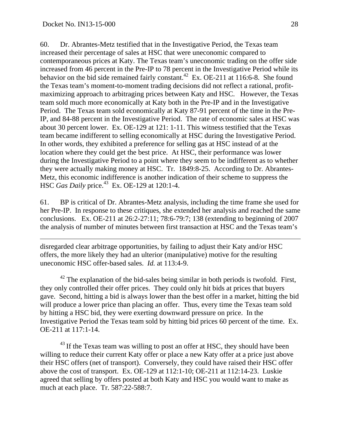60. Dr. Abrantes-Metz testified that in the Investigative Period, the Texas team increased their percentage of sales at HSC that were uneconomic compared to contemporaneous prices at Katy. The Texas team's uneconomic trading on the offer side increased from 46 percent in the Pre-IP to 78 percent in the Investigative Period while its behavior on the bid side remained fairly constant.<sup>42</sup> Ex. OE-211 at 116:6-8. She found the Texas team's moment-to-moment trading decisions did not reflect a rational, profitmaximizing approach to arbitraging prices between Katy and HSC. However, the Texas team sold much more economically at Katy both in the Pre-IP and in the Investigative Period. The Texas team sold economically at Katy 87-91 percent of the time in the Pre-IP, and 84-88 percent in the Investigative Period. The rate of economic sales at HSC was about 30 percent lower. Ex. OE-129 at 121: 1-11. This witness testified that the Texas team became indifferent to selling economically at HSC during the Investigative Period. In other words, they exhibited a preference for selling gas at HSC instead of at the location where they could get the best price. At HSC, their performance was lower during the Investigative Period to a point where they seem to be indifferent as to whether they were actually making money at HSC. Tr. 1849:8-25. According to Dr. Abrantes-Metz, this economic indifference is another indication of their scheme to suppress the HSC *Gas Daily* price.<sup>43</sup> Ex. OE-129 at 120:1-4.

61. BP is critical of Dr. Abrantes-Metz analysis, including the time frame she used for her Pre-IP. In response to these critiques, she extended her analysis and reached the same conclusions. Ex. OE-211 at 26:2-27:11; 78:6-79:7; 138 (extending to beginning of 2007 the analysis of number of minutes between first transaction at HSC and the Texas team's

disregarded clear arbitrage opportunities, by failing to adjust their Katy and/or HSC offers, the more likely they had an ulterior (manipulative) motive for the resulting uneconomic HSC offer-based sales. *Id.* at 113:4-9.

 $42$  The explanation of the bid-sales being similar in both periods is twofold. First, they only controlled their offer prices. They could only hit bids at prices that buyers gave. Second, hitting a bid is always lower than the best offer in a market, hitting the bid will produce a lower price than placing an offer. Thus, every time the Texas team sold by hitting a HSC bid, they were exerting downward pressure on price. In the Investigative Period the Texas team sold by hitting bid prices 60 percent of the time. Ex. OE-211 at 117:1-14.

 $43$  If the Texas team was willing to post an offer at HSC, they should have been willing to reduce their current Katy offer or place a new Katy offer at a price just above their HSC offers (net of transport). Conversely, they could have raised their HSC offer above the cost of transport. Ex. OE-129 at 112:1-10; OE-211 at 112:14-23. Luskie agreed that selling by offers posted at both Katy and HSC you would want to make as much at each place. Tr. 587:22-588:7.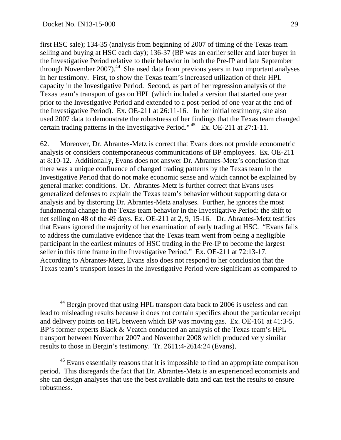first HSC sale); 134-35 (analysis from beginning of 2007 of timing of the Texas team selling and buying at HSC each day); 136-37 (BP was an earlier seller and later buyer in the Investigative Period relative to their behavior in both the Pre-IP and late September through November 2007).<sup>44</sup> She used data from previous years in two important analyses in her testimony. First, to show the Texas team's increased utilization of their HPL capacity in the Investigative Period. Second, as part of her regression analysis of the Texas team's transport of gas on HPL (which included a version that started one year prior to the Investigative Period and extended to a post-period of one year at the end of the Investigative Period). Ex. OE-211 at 26:11-16. In her initial testimony, she also used 2007 data to demonstrate the robustness of her findings that the Texas team changed certain trading patterns in the Investigative Period."  $45$  Ex. OE-211 at 27:1-11.

62. Moreover, Dr. Abrantes-Metz is correct that Evans does not provide econometric analysis or considers contemporaneous communications of BP employees. Ex. OE-211 at 8:10-12. Additionally, Evans does not answer Dr. Abrantes-Metz's conclusion that there was a unique confluence of changed trading patterns by the Texas team in the Investigative Period that do not make economic sense and which cannot be explained by general market conditions. Dr. Abrantes-Metz is further correct that Evans uses generalized defenses to explain the Texas team's behavior without supporting data or analysis and by distorting Dr. Abrantes-Metz analyses. Further, he ignores the most fundamental change in the Texas team behavior in the Investigative Period: the shift to net selling on 48 of the 49 days. Ex. OE-211 at 2, 9, 15-16. Dr. Abrantes-Metz testifies that Evans ignored the majority of her examination of early trading at HSC. "Evans fails to address the cumulative evidence that the Texas team went from being a negligible participant in the earliest minutes of HSC trading in the Pre-IP to become the largest seller in this time frame in the Investigative Period." Ex. OE-211 at 72:13-17. According to Abrantes-Metz, Evans also does not respond to her conclusion that the Texas team's transport losses in the Investigative Period were significant as compared to

<sup>&</sup>lt;sup>44</sup> Bergin proved that using HPL transport data back to 2006 is useless and can lead to misleading results because it does not contain specifics about the particular receipt and delivery points on HPL between which BP was moving gas. Ex. OE-161 at 41:3-5. BP's former experts Black & Veatch conducted an analysis of the Texas team's HPL transport between November 2007 and November 2008 which produced very similar results to those in Bergin's testimony. Tr. 2611:4-2614:24 (Evans).

<sup>&</sup>lt;sup>45</sup> Evans essentially reasons that it is impossible to find an appropriate comparison period. This disregards the fact that Dr. Abrantes-Metz is an experienced economists and she can design analyses that use the best available data and can test the results to ensure robustness.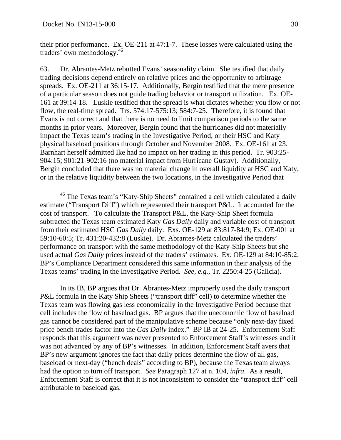their prior performance. Ex. OE-211 at 47:1-7. These losses were calculated using the traders' own methodology.46

63. Dr. Abrantes-Metz rebutted Evans' seasonality claim. She testified that daily trading decisions depend entirely on relative prices and the opportunity to arbitrage spreads. Ex. OE-211 at 36:15-17. Additionally, Bergin testified that the mere presence of a particular season does not guide trading behavior or transport utilization. Ex. OE-161 at 39:14-18. Luskie testified that the spread is what dictates whether you flow or not flow, the real-time spread. Trs. 574:17-575:13; 584:7-25. Therefore, it is found that Evans is not correct and that there is no need to limit comparison periods to the same months in prior years. Moreover, Bergin found that the hurricanes did not materially impact the Texas team's trading in the Investigative Period, or their HSC and Katy physical baseload positions through October and November 2008. Ex. OE-161 at 23. Barnhart herself admitted Ike had no impact on her trading in this period. Tr. 903:25- 904:15; 901:21-902:16 (no material impact from Hurricane Gustav). Additionally, Bergin concluded that there was no material change in overall liquidity at HSC and Katy, or in the relative liquidity between the two locations, in the Investigative Period that

 In its IB, BP argues that Dr. Abrantes-Metz improperly used the daily transport P&L formula in the Katy Ship Sheets ("transport diff" cell) to determine whether the Texas team was flowing gas less economically in the Investigative Period because that cell includes the flow of baseload gas. BP argues that the uneconomic flow of baseload gas cannot be considered part of the manipulative scheme because "only next-day fixed price bench trades factor into the *Gas Daily* index." BP IB at 24-25. Enforcement Staff responds that this argument was never presented to Enforcement Staff's witnesses and it was not advanced by any of BP's witnesses. In addition, Enforcement Staff avers that BP's new argument ignores the fact that daily prices determine the flow of all gas, baseload or next-day ("bench deals" according to BP), because the Texas team always had the option to turn off transport. *See* Paragraph 127 at n. 104, *infra*. As a result, Enforcement Staff is correct that it is not inconsistent to consider the "transport diff" cell attributable to baseload gas.

<sup>&</sup>lt;sup>46</sup> The Texas team's "Katy-Ship Sheets" contained a cell which calculated a daily estimate ("Transport Diff") which represented their transport P&L. It accounted for the cost of transport. To calculate the Transport P&L, the Katy-Ship Sheet formula subtracted the Texas team estimated Katy *Gas Daily* daily and variable cost of transport from their estimated HSC *Gas Daily* daily. Exs. OE-129 at 83:817-84:9; Ex. OE-001 at 59:10-60:5; Tr. 431:20-432:8 (Luskie). Dr. Abrantes-Metz calculated the traders' performance on transport with the same methodology of the Katy-Ship Sheets but she used actual *Gas Daily* prices instead of the traders' estimates. Ex. OE-129 at 84:10-85:2. BP's Compliance Department considered this same information in their analysis of the Texas teams' trading in the Investigative Period. *See, e.g.,* Tr. 2250:4-25 (Galicia).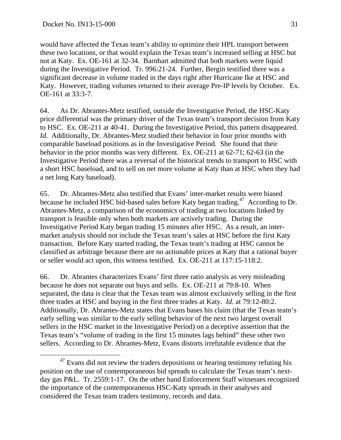would have affected the Texas team's ability to optimize their HPL transport between these two locations, or that would explain the Texas team's increased selling at HSC but not at Katy. Ex. OE-161 at 32-34. Barnhart admitted that both markets were liquid during the Investigative Period. Tr. 996:21-24. Further, Bergin testified there was a significant decrease in volume traded in the days right after Hurricane Ike at HSC and Katy. However, trading volumes returned to their average Pre-IP levels by October. Ex. OE-161 at 33:3-7.

64. As Dr. Abrantes-Metz testified, outside the Investigative Period, the HSC-Katy price differential was the primary driver of the Texas team's transport decision from Katy to HSC. Ex. OE-211 at 40-41. During the Investigative Period, this pattern disappeared. *Id.* Additionally, Dr. Abrantes-Metz studied their behavior in four prior months with comparable baseload positions as in the Investigative Period. She found that their behavior in the prior months was very different. Ex. OE-211 at 62-71; 62-63 (in the Investigative Period there was a reversal of the historical trends to transport to HSC with a short HSC baseload, and to sell on net more volume at Katy than at HSC when they had a net long Katy baseload).

65. Dr. Abrantes-Metz also testified that Evans' inter-market results were biased because he included HSC bid-based sales before Katy began trading.<sup>47</sup> According to Dr. Abrantes-Metz, a comparison of the economics of trading at two locations linked by transport is feasible only when both markets are actively trading. During the Investigative Period Katy began trading 15 minutes after HSC. As a result, an intermarket analysis should not include the Texas team's sales at HSC before the first Katy transaction. Before Katy started trading, the Texas team's trading at HSC cannot be classified as arbitrage because there are no actionable prices at Katy that a rational buyer or seller would act upon, this witness testified. Ex. OE-211 at 117:15-118:2.

66. Dr. Abrantes characterizes Evans' first three ratio analysis as very misleading because he does not separate out buys and sells. Ex. OE-211 at 79:8-10. When separated, the data is clear that the Texas team was almost exclusively selling in the first three trades at HSC and buying in the first three trades at Katy. *Id.* at 79:12-80:2. Additionally, Dr. Abrantes-Metz states that Evans bases his claim (that the Texas team's early selling was similar to the early selling behavior of the next two largest overall sellers in the HSC market in the Investigative Period) on a deceptive assertion that the Texas team's "volume of trading in the first 15 minutes lags behind" these other two sellers. According to Dr. Abrantes-Metz, Evans distorts irrefutable evidence that the

 $47$  Evans did not review the traders depositions or hearing testimony refuting his position on the use of contemporaneous bid spreads to calculate the Texas team's nextday gas P&L. Tr. 2559:1-17. On the other hand Enforcement Staff witnesses recognized the importance of the contemporaneous HSC-Katy spreads in their analyses and considered the Texas team traders testimony, records and data.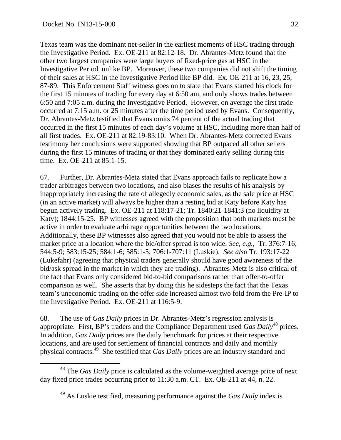Texas team was the dominant net-seller in the earliest moments of HSC trading through the Investigative Period. Ex. OE-211 at 82:12-18. Dr. Abrantes-Metz found that the other two largest companies were large buyers of fixed-price gas at HSC in the Investigative Period, unlike BP. Moreover, these two companies did not shift the timing of their sales at HSC in the Investigative Period like BP did*.* Ex. OE-211 at 16, 23, 25, 87-89. This Enforcement Staff witness goes on to state that Evans started his clock for the first 15 minutes of trading for every day at 6:50 am, and only shows trades between 6:50 and 7:05 a.m. during the Investigative Period. However, on average the first trade occurred at 7:15 a.m. or 25 minutes after the time period used by Evans. Consequently, Dr. Abrantes-Metz testified that Evans omits 74 percent of the actual trading that occurred in the first 15 minutes of each day's volume at HSC, including more than half of all first trades. Ex. OE-211 at 82:19-83:10. When Dr. Abrantes-Metz corrected Evans testimony her conclusions were supported showing that BP outpaced all other sellers during the first 15 minutes of trading or that they dominated early selling during this time. Ex. OE-211 at 85:1-15.

67. Further, Dr. Abrantes-Metz stated that Evans approach fails to replicate how a trader arbitrages between two locations, and also biases the results of his analysis by inappropriately increasing the rate of allegedly economic sales, as the sale price at HSC (in an active market) will always be higher than a resting bid at Katy before Katy has begun actively trading. Ex. OE-211 at 118:17-21; Tr. 1840:21-1841:3 (no liquidity at Katy); 1844:15-25. BP witnesses agreed with the proposition that both markets must be active in order to evaluate arbitrage opportunities between the two locations. Additionally, these BP witnesses also agreed that you would not be able to assess the market price at a location where the bid/offer spread is too wide. *See, e.g.*, Tr. 376:7-16; 544:5-9; 583:15-25; 584:1-6; 585:1-5; 706:1-707:11 (Luskie). *See also* Tr. 193:17-22 (Lukefahr) (agreeing that physical traders generally should have good awareness of the bid/ask spread in the market in which they are trading). Abrantes-Metz is also critical of the fact that Evans only considered bid-to-bid comparisons rather than offer-to-offer comparison as well. She asserts that by doing this he sidesteps the fact that the Texas team's uneconomic trading on the offer side increased almost two fold from the Pre-IP to the Investigative Period. Ex. OE-211 at 116:5-9.

68. The use of *Gas Daily* prices in Dr. Abrantes-Metz's regression analysis is appropriate. First, BP's traders and the Compliance Department used *Gas Daily*48 prices. In addition, *Gas Daily* prices are the daily benchmark for prices at their respective locations, and are used for settlement of financial contracts and daily and monthly physical contracts.49 She testified that *Gas Daily* prices are an industry standard and

 <sup>48</sup> The *Gas Daily* price is calculated as the volume-weighted average price of next day fixed price trades occurring prior to 11:30 a.m. CT. Ex. OE-211 at 44, n. 22.

<sup>49</sup> As Luskie testified, measuring performance against the *Gas Daily* index is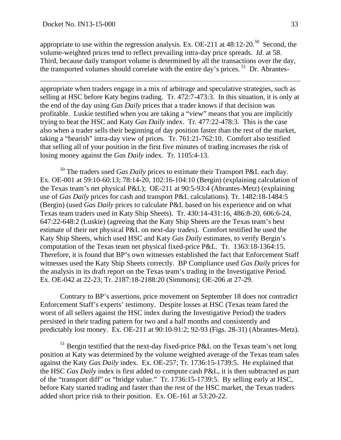appropriate to use within the regression analysis. Ex. OE-211 at  $48:12-20^{50}$  Second, the volume-weighted prices tend to reflect prevailing intra-day price spreads. *Id*. at 58. Third, because daily transport volume is determined by all the transactions over the day, the transported volumes should correlate with the entire day's prices. 51 Dr. Abrantes-

appropriate when traders engage in a mix of arbitrage and speculative strategies, such as selling at HSC before Katy begins trading. Tr. 472:7-473:3. In this situation, it is only at the end of the day using *Gas Daily* prices that a trader knows if that decision was profitable. Luskie testified when you are taking a "view" means that you are implicitly trying to beat the HSC and Katy *Gas Daily* index. Tr. 477:22-478:3. This is the case also when a trader sells their beginning of day position faster than the rest of the market, taking a "bearish" intra-day view of prices. Tr. 761:21-762:10. Comfort also testified that selling all of your position in the first five minutes of trading increases the risk of losing money against the *Gas Daily* index. Tr. 1105:4-13.

50 The traders used *Gas Daily* prices to estimate their Transport P&L each day. Ex. OE-001 at 59:10-60:13; 78:14-20, 102:16-104:10 (Bergin) (explaining calculation of the Texas team's net physical P&L); OE-211 at 90:5-93:4 (Abrantes-Metz) (explaining use of *Gas Daily* prices for cash and transport P&L calculations). Tr. 1482:18-1484:5 (Bergin) (used *Gas Daily* prices to calculate P&L based on his experience and on what Texas team traders used in Katy Ship Sheets). Tr. 430:14-431:16, 486:8-20, 606:6-24, 647:22-648:2 (Luskie) (agreeing that the Katy Ship Sheets are the Texas team's best estimate of their net physical P&L on next-day trades). Comfort testified he used the Katy Ship Sheets, which used HSC and Katy *Gas Daily* estimates, to verify Bergin's computation of the Texas team net physical fixed-price P&L. Tr. 1363:18-1364:15. Therefore, it is found that BP's own witnesses established the fact that Enforcement Staff witnesses used the Katy Ship Sheets correctly. BP Compliance used *Gas Daily* prices for the analysis in its draft report on the Texas team's trading in the Investigative Period. Ex. OE-042 at 22-23; Tr. 2187:18-2188:20 (Simmons); OE-206 at 27-29.

 Contrary to BP's assertions, price movement on September 18 does not contradict Enforcement Staff's experts' testimony. Despite losses at HSC (Texas team fared the worst of all sellers against the HSC index during the Investigative Period) the traders persisted in their trading pattern for two and a half months and consistently and predictably lost money. Ex. OE-211 at 90:10-91:2; 92-93 (Figs. 28-31) (Abrantes-Metz).

 $51$  Bergin testified that the next-day fixed-price P&L on the Texas team's net long position at Katy was determined by the volume weighted average of the Texas team sales against the Katy *Gas Daily* index. Ex. OE-257; Tr. 1736:15-1739:5. He explained that the HSC *Gas Daily* index is first added to compute cash P&L, it is then subtracted as part of the "transport diff" or "bridge value." Tr. 1736:15-1739:5. By selling early at HSC, before Katy started trading and faster than the rest of the HSC market, the Texas traders added short price risk to their position. Ex. OE-161 at 53:20-22.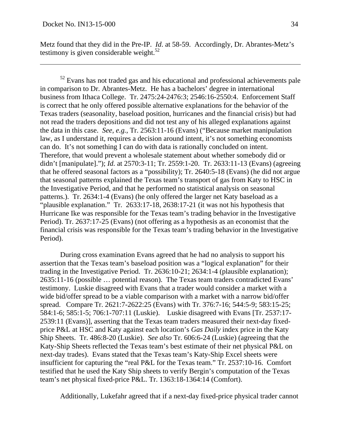Metz found that they did in the Pre-IP. *Id*. at 58-59. Accordingly, Dr. Abrantes-Metz's testimony is given considerable weight. $52$ 

 $52$  Evans has not traded gas and his educational and professional achievements pale in comparison to Dr. Abrantes-Metz. He has a bachelors' degree in international business from Ithaca College. Tr. 2475:24-2476:3; 2546:16-2550:4. Enforcement Staff is correct that he only offered possible alternative explanations for the behavior of the Texas traders (seasonality, baseload position, hurricanes and the financial crisis) but had not read the traders depositions and did not test any of his alleged explanations against the data in this case. *See, e.g.*, Tr. 2563:11-16 (Evans) ("Because market manipulation law, as I understand it, requires a decision around intent, it's not something economists can do. It's not something I can do with data is rationally concluded on intent. Therefore, that would prevent a wholesale statement about whether somebody did or didn't [manipulate]."); *Id.* at 2570:3-11; Tr. 2559:1-20. Tr. 2633:11-13 (Evans) (agreeing that he offered seasonal factors as a "possibility); Tr. 2640:5-18 (Evans) (he did not argue that seasonal patterns explained the Texas team's transport of gas from Katy to HSC in the Investigative Period, and that he performed no statistical analysis on seasonal patterns.). Tr. 2634:1-4 (Evans) (he only offered the larger net Katy baseload as a "plausible explanation." Tr. 2633:17-18, 2638:17-21 (it was not his hypothesis that Hurricane Ike was responsible for the Texas team's trading behavior in the Investigative Period). Tr. 2637:17-25 (Evans) (not offering as a hypothesis as an economist that the financial crisis was responsible for the Texas team's trading behavior in the Investigative Period).

 During cross examination Evans agreed that he had no analysis to support his assertion that the Texas team's baseload position was a "logical explanation" for their trading in the Investigative Period. Tr. 2636:10-21; 2634:1-4 (plausible explanation); 2635:11-16 (possible … potential reason). The Texas team traders contradicted Evans' testimony. Luskie disagreed with Evans that a trader would consider a market with a wide bid/offer spread to be a viable comparison with a market with a narrow bid/offer spread. Compare Tr. 2621:7-2622:25 (Evans) with Tr. 376:7-16; 544:5-9; 583:15-25; 584:1-6; 585:1-5; 706:1-707:11 (Luskie). Luskie disagreed with Evans [Tr. 2537:17- 2539:11 (Evans)], asserting that the Texas team traders measured their next-day fixedprice P&L at HSC and Katy against each location's *Gas Daily* index price in the Katy Ship Sheets. Tr. 486:8-20 (Luskie). *See also* Tr. 606:6-24 (Luskie) (agreeing that the Katy-Ship Sheets reflected the Texas team's best estimate of their net physical P&L on next-day trades). Evans stated that the Texas team's Katy-Ship Excel sheets were insufficient for capturing the "real P&L for the Texas team." Tr. 2537:10-16. Comfort testified that he used the Katy Ship sheets to verify Bergin's computation of the Texas team's net physical fixed-price P&L. Tr. 1363:18-1364:14 (Comfort).

Additionally, Lukefahr agreed that if a next-day fixed-price physical trader cannot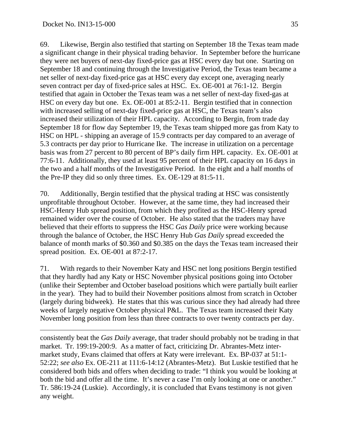69. Likewise, Bergin also testified that starting on September 18 the Texas team made a significant change in their physical trading behavior. In September before the hurricane they were net buyers of next-day fixed-price gas at HSC every day but one. Starting on September 18 and continuing through the Investigative Period, the Texas team became a net seller of next-day fixed-price gas at HSC every day except one, averaging nearly seven contract per day of fixed-price sales at HSC. Ex. OE-001 at 76:1-12. Bergin testified that again in October the Texas team was a net seller of next-day fixed-gas at HSC on every day but one. Ex. OE-001 at 85:2-11. Bergin testified that in connection with increased selling of next-day fixed-price gas at HSC, the Texas team's also increased their utilization of their HPL capacity. According to Bergin, from trade day September 18 for flow day September 19, the Texas team shipped more gas from Katy to HSC on HPL - shipping an average of 15.9 contracts per day compared to an average of 5.3 contracts per day prior to Hurricane Ike. The increase in utilization on a percentage basis was from 27 percent to 80 percent of BP's daily firm HPL capacity. Ex. OE-001 at 77:6-11. Additionally, they used at least 95 percent of their HPL capacity on 16 days in the two and a half months of the Investigative Period. In the eight and a half months of the Pre-IP they did so only three times. Ex. OE-129 at 81:5-11.

70. Additionally, Bergin testified that the physical trading at HSC was consistently unprofitable throughout October. However, at the same time, they had increased their HSC-Henry Hub spread position, from which they profited as the HSC-Henry spread remained wider over the course of October. He also stated that the traders may have believed that their efforts to suppress the HSC *Gas Daily* price were working because through the balance of October, the HSC Henry Hub *Gas Daily* spread exceeded the balance of month marks of \$0.360 and \$0.385 on the days the Texas team increased their spread position. Ex. OE-001 at 87:2-17.

71. With regards to their November Katy and HSC net long positions Bergin testified that they hardly had any Katy or HSC November physical positions going into October (unlike their September and October baseload positions which were partially built earlier in the year). They had to build their November positions almost from scratch in October (largely during bidweek). He states that this was curious since they had already had three weeks of largely negative October physical P&L. The Texas team increased their Katy November long position from less than three contracts to over twenty contracts per day.

consistently beat the *Gas Daily* average, that trader should probably not be trading in that market. Tr. 199:19-200:9. As a matter of fact, criticizing Dr. Abrantes-Metz intermarket study, Evans claimed that offers at Katy were irrelevant. Ex. BP-037 at 51:1- 52:22; *see also* Ex. OE-211 at 111:6-14:12 (Abrantes-Metz). But Luskie testified that he considered both bids and offers when deciding to trade: "I think you would be looking at both the bid and offer all the time. It's never a case I'm only looking at one or another." Tr. 586:19-24 (Luskie). Accordingly, it is concluded that Evans testimony is not given any weight.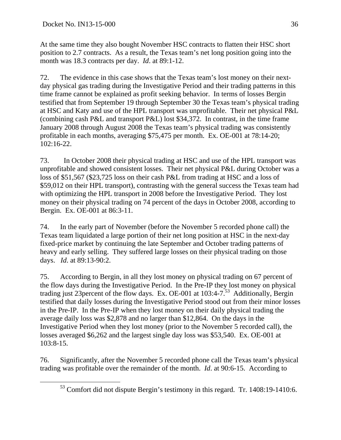At the same time they also bought November HSC contracts to flatten their HSC short position to 2.7 contracts. As a result, the Texas team's net long position going into the month was 18.3 contracts per day. *Id*. at 89:1-12.

72. The evidence in this case shows that the Texas team's lost money on their nextday physical gas trading during the Investigative Period and their trading patterns in this time frame cannot be explained as profit seeking behavior. In terms of losses Bergin testified that from September 19 through September 30 the Texas team's physical trading at HSC and Katy and use of the HPL transport was unprofitable. Their net physical P&L (combining cash P&L and transport P&L) lost \$34,372. In contrast, in the time frame January 2008 through August 2008 the Texas team's physical trading was consistently profitable in each months, averaging \$75,475 per month. Ex. OE-001 at 78:14-20; 102:16-22.

73. In October 2008 their physical trading at HSC and use of the HPL transport was unprofitable and showed consistent losses. Their net physical P&L during October was a loss of \$51,567 (\$23,725 loss on their cash P&L from trading at HSC and a loss of \$59,012 on their HPL transport), contrasting with the general success the Texas team had with optimizing the HPL transport in 2008 before the Investigative Period. They lost money on their physical trading on 74 percent of the days in October 2008, according to Bergin. Ex. OE-001 at 86:3-11.

74. In the early part of November (before the November 5 recorded phone call) the Texas team liquidated a large portion of their net long position at HSC in the next-day fixed-price market by continuing the late September and October trading patterns of heavy and early selling. They suffered large losses on their physical trading on those days. *Id*. at 89:13-90:2.

75. According to Bergin, in all they lost money on physical trading on 67 percent of the flow days during the Investigative Period. In the Pre-IP they lost money on physical trading just 23percent of the flow days. Ex. OE-001 at 103:4-7.53 Additionally, Bergin testified that daily losses during the Investigative Period stood out from their minor losses in the Pre-IP. In the Pre-IP when they lost money on their daily physical trading the average daily loss was \$2,878 and no larger than \$12,864. On the days in the Investigative Period when they lost money (prior to the November 5 recorded call), the losses averaged \$6,262 and the largest single day loss was \$53,540. Ex. OE-001 at 103:8-15.

76. Significantly, after the November 5 recorded phone call the Texas team's physical trading was profitable over the remainder of the month. *Id*. at 90:6-15. According to

 <sup>53</sup> Comfort did not dispute Bergin's testimony in this regard. Tr. 1408:19-1410:6.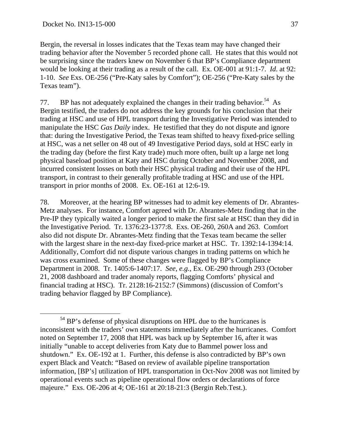Bergin, the reversal in losses indicates that the Texas team may have changed their trading behavior after the November 5 recorded phone call. He states that this would not be surprising since the traders knew on November 6 that BP's Compliance department would be looking at their trading as a result of the call. Ex. OE-001 at 91:1-7. *Id*. at 92: 1-10. *See* Exs. OE-256 ("Pre-Katy sales by Comfort"); OE-256 ("Pre-Katy sales by the Texas team").

77. BP has not adequately explained the changes in their trading behavior.<sup>54</sup> As Bergin testified, the traders do not address the key grounds for his conclusion that their trading at HSC and use of HPL transport during the Investigative Period was intended to manipulate the HSC *Gas Daily* index. He testified that they do not dispute and ignore that: during the Investigative Period, the Texas team shifted to heavy fixed-price selling at HSC, was a net seller on 48 out of 49 Investigative Period days, sold at HSC early in the trading day (before the first Katy trade) much more often, built up a large net long physical baseload position at Katy and HSC during October and November 2008, and incurred consistent losses on both their HSC physical trading and their use of the HPL transport, in contrast to their generally profitable trading at HSC and use of the HPL transport in prior months of 2008. Ex. OE-161 at 12:6-19.

78. Moreover, at the hearing BP witnesses had to admit key elements of Dr. Abrantes-Metz analyses. For instance, Comfort agreed with Dr. Abrantes-Metz finding that in the Pre-IP they typically waited a longer period to make the first sale at HSC than they did in the Investigative Period. Tr. 1376:23-1377:8. Exs. OE-260, 260A and 263. Comfort also did not dispute Dr. Abrantes-Metz finding that the Texas team became the seller with the largest share in the next-day fixed-price market at HSC. Tr. 1392:14-1394:14. Additionally, Comfort did not dispute various changes in trading patterns on which he was cross examined. Some of these changes were flagged by BP's Compliance Department in 2008. Tr. 1405:6-1407:17. *See, e.g.*, Ex. OE-290 through 293 (October 21, 2008 dashboard and trader anomaly reports, flagging Comforts' physical and financial trading at HSC). Tr. 2128:16-2152:7 (Simmons) (discussion of Comfort's trading behavior flagged by BP Compliance).

<sup>&</sup>lt;sup>54</sup> BP's defense of physical disruptions on HPL due to the hurricanes is inconsistent with the traders' own statements immediately after the hurricanes. Comfort noted on September 17, 2008 that HPL was back up by September 16, after it was initially "unable to accept deliveries from Katy due to Bammel power loss and shutdown." Ex. OE-192 at 1. Further, this defense is also contradicted by BP's own expert Black and Veatch: "Based on review of available pipeline transportation information, [BP's] utilization of HPL transportation in Oct-Nov 2008 was not limited by operational events such as pipeline operational flow orders or declarations of force majeure." Exs. OE-206 at 4; OE-161 at 20:18-21:3 (Bergin Reb.Test.).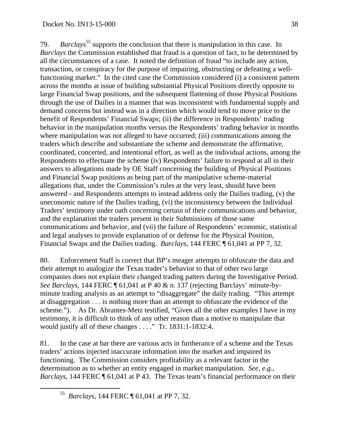79. *Barclays*<sup>55</sup> supports the conclusion that there is manipulation in this case. In *Barclays* the Commission established that fraud is a question of fact, to be determined by all the circumstances of a case. It noted the definition of fraud "to include any action, transaction, or conspiracy for the purpose of impairing, obstructing or defeating a wellfunctioning market." In the cited case the Commission considered (i) a consistent pattern across the months at issue of building substantial Physical Positions directly opposite to large Financial Swap positions, and the subsequent flattening of those Physical Positions through the use of Dailies in a manner that was inconsistent with fundamental supply and demand concerns but instead was in a direction which would tend to move price to the benefit of Respondents' Financial Swaps; (ii) the difference in Respondents' trading behavior in the manipulation months versus the Respondents' trading behavior in months where manipulation was not alleged to have occurred; (iii) communications among the traders which describe and substantiate the scheme and demonstrate the affirmative, coordinated, concerted, and intentional effort, as well as the individual actions, among the Respondents to effectuate the scheme (iv) Respondents' failure to respond at all in their answers to allegations made by OE Staff concerning the building of Physical Positions and Financial Swap positions as being part of the manipulative scheme-material allegations that, under the Commission's rules at the very least, should have been answered - and Respondents attempts to instead address only the Dailies trading, (v) the uneconomic nature of the Dailies trading, (vi) the inconsistency between the Individual Traders' testimony under oath concerning certain of their communications and behavior, and the explanation the traders present in their Submissions of those same communications and behavior, and (vii) the failure of Respondents' economic, statistical and legal analyses to provide explanation of or defense for the Physical Position, Financial Swaps and the Dailies trading. *Barclays*, 144 FERC ¶ 61,041 at PP 7, 32*.* 

80. Enforcement Staff is correct that BP's meager attempts to obfuscate the data and their attempt to analogize the Texas trader's behavior to that of other two large companies does not explain their changed trading patters during the Investigative Period. *See Barclays*, 144 FERC ¶ 61,041 at P 40 & n. 137 (rejecting Barclays' minute-byminute trading analysis as an attempt to "disaggregate" the daily trading. "This attempt at disaggregation . . . is nothing more than an attempt to obfuscate the evidence of the scheme."). As Dr. Abrantes-Metz testified, "Given all the other examples I have in my testimony, it is difficult to think of any other reason than a motive to manipulate that would justify all of these changes . . . ." Tr. 1831:1-1832:4.

81. In the case at bar there are various acts in furtherance of a scheme and the Texas traders' actions injected inaccurate information into the market and impaired its functioning. The Commission considers profitability as a relevant factor in the determination as to whether an entity engaged in market manipulation. *See, e.g., Barclays,* 144 FERC ¶ 61,041 at P 43. The Texas team's financial performance on their

 <sup>55</sup> *Barclays*, 144 FERC ¶ 61,041 at PP 7, 32.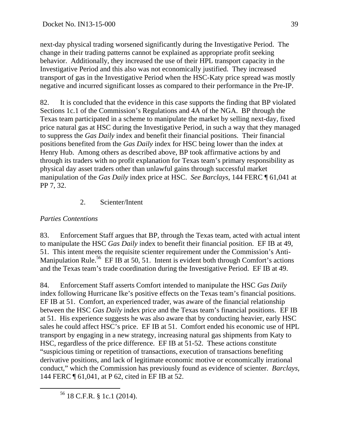next-day physical trading worsened significantly during the Investigative Period. The change in their trading patterns cannot be explained as appropriate profit seeking behavior. Additionally, they increased the use of their HPL transport capacity in the Investigative Period and this also was not economically justified. They increased transport of gas in the Investigative Period when the HSC-Katy price spread was mostly negative and incurred significant losses as compared to their performance in the Pre-IP.

82. It is concluded that the evidence in this case supports the finding that BP violated Sections 1c.1 of the Commission's Regulations and 4A of the NGA. BP through the Texas team participated in a scheme to manipulate the market by selling next-day, fixed price natural gas at HSC during the Investigative Period, in such a way that they managed to suppress the *Gas Daily* index and benefit their financial positions. Their financial positions benefited from the *Gas Daily* index for HSC being lower than the index at Henry Hub. Among others as described above, BP took affirmative actions by and through its traders with no profit explanation for Texas team's primary responsibility as physical day asset traders other than unlawful gains through successful market manipulation of the *Gas Daily* index price at HSC. *See Barclays,* 144 FERC ¶ 61,041 at PP 7, 32.

# 2. Scienter/Intent

# *Parties Contentions*

83. Enforcement Staff argues that BP, through the Texas team, acted with actual intent to manipulate the HSC *Gas Daily* index to benefit their financial position. EF IB at 49, 51. This intent meets the requisite scienter requirement under the Commission's Anti-Manipulation Rule.<sup>56</sup> EF IB at 50, 51. Intent is evident both through Comfort's actions and the Texas team's trade coordination during the Investigative Period. EF IB at 49.

84. Enforcement Staff asserts Comfort intended to manipulate the HSC *Gas Daily* index following Hurricane Ike's positive effects on the Texas team's financial positions. EF IB at 51. Comfort, an experienced trader, was aware of the financial relationship between the HSC *Gas Daily* index price and the Texas team's financial positions. EF IB at 51. His experience suggests he was also aware that by conducting heavier, early HSC sales he could affect HSC's price. EF IB at 51. Comfort ended his economic use of HPL transport by engaging in a new strategy, increasing natural gas shipments from Katy to HSC, regardless of the price difference. EF IB at 51-52. These actions constitute "suspicious timing or repetition of transactions, execution of transactions benefiting derivative positions, and lack of legitimate economic motive or economically irrational conduct," which the Commission has previously found as evidence of scienter. *Barclays*, 144 FERC ¶ 61,041, at P 62, cited in EF IB at 52.

56 18 C.F.R. § 1c.1 (2014).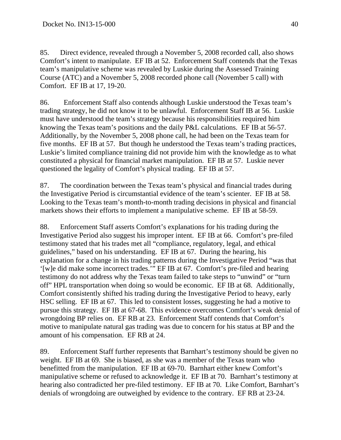85. Direct evidence, revealed through a November 5, 2008 recorded call, also shows Comfort's intent to manipulate. EF IB at 52. Enforcement Staff contends that the Texas team's manipulative scheme was revealed by Luskie during the Assessed Training Course (ATC) and a November 5, 2008 recorded phone call (November 5 call) with Comfort. EF IB at 17, 19-20.

86. Enforcement Staff also contends although Luskie understood the Texas team's trading strategy, he did not know it to be unlawful. Enforcement Staff IB at 56. Luskie must have understood the team's strategy because his responsibilities required him knowing the Texas team's positions and the daily P&L calculations. EF IB at 56-57. Additionally, by the November 5, 2008 phone call, he had been on the Texas team for five months. EF IB at 57. But though he understood the Texas team's trading practices, Luskie's limited compliance training did not provide him with the knowledge as to what constituted a physical for financial market manipulation. EF IB at 57. Luskie never questioned the legality of Comfort's physical trading. EF IB at 57.

87. The coordination between the Texas team's physical and financial trades during the Investigative Period is circumstantial evidence of the team's scienter. EF IB at 58. Looking to the Texas team's month-to-month trading decisions in physical and financial markets shows their efforts to implement a manipulative scheme. EF IB at 58-59.

88. Enforcement Staff asserts Comfort's explanations for his trading during the Investigative Period also suggest his improper intent. EF IB at 66. Comfort's pre-filed testimony stated that his trades met all "compliance, regulatory, legal, and ethical guidelines," based on his understanding. EF IB at 67. During the hearing, his explanation for a change in his trading patterns during the Investigative Period "was that '[w]e did make some incorrect trades.'" EF IB at 67. Comfort's pre-filed and hearing testimony do not address why the Texas team failed to take steps to "unwind" or "turn off" HPL transportation when doing so would be economic. EF IB at 68. Additionally, Comfort consistently shifted his trading during the Investigative Period to heavy, early HSC selling. EF IB at 67. This led to consistent losses, suggesting he had a motive to pursue this strategy. EF IB at 67-68. This evidence overcomes Comfort's weak denial of wrongdoing BP relies on. EF RB at 23. Enforcement Staff contends that Comfort's motive to manipulate natural gas trading was due to concern for his status at BP and the amount of his compensation. EF RB at 24.

89. Enforcement Staff further represents that Barnhart's testimony should be given no weight. EF IB at 69. She is biased, as she was a member of the Texas team who benefitted from the manipulation. EF IB at 69-70. Barnhart either knew Comfort's manipulative scheme or refused to acknowledge it. EF IB at 70. Barnhart's testimony at hearing also contradicted her pre-filed testimony. EF IB at 70. Like Comfort, Barnhart's denials of wrongdoing are outweighed by evidence to the contrary. EF RB at 23-24.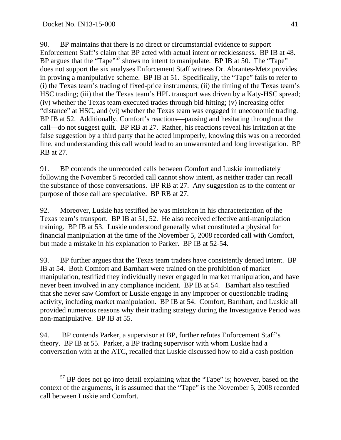90. BP maintains that there is no direct or circumstantial evidence to support Enforcement Staff's claim that BP acted with actual intent or recklessness. BP IB at 48. BP argues that the "Tape"<sup>57</sup> shows no intent to manipulate. BP IB at 50. The "Tape" does not support the six analyses Enforcement Staff witness Dr. Abrantes-Metz provides in proving a manipulative scheme. BP IB at 51. Specifically, the "Tape" fails to refer to (i) the Texas team's trading of fixed-price instruments; (ii) the timing of the Texas team's HSC trading; (iii) that the Texas team's HPL transport was driven by a Katy-HSC spread; (iv) whether the Texas team executed trades through bid-hitting; (v) increasing offer "distance" at HSC; and (vi) whether the Texas team was engaged in uneconomic trading. BP IB at 52. Additionally, Comfort's reactions—pausing and hesitating throughout the call—do not suggest guilt. BP RB at 27. Rather, his reactions reveal his irritation at the false suggestion by a third party that he acted improperly, knowing this was on a recorded line, and understanding this call would lead to an unwarranted and long investigation. BP RB at 27.

91. BP contends the unrecorded calls between Comfort and Luskie immediately following the November 5 recorded call cannot show intent, as neither trader can recall the substance of those conversations. BP RB at 27. Any suggestion as to the content or purpose of those call are speculative. BP RB at 27.

92. Moreover, Luskie has testified he was mistaken in his characterization of the Texas team's transport. BP IB at 51, 52. He also received effective anti-manipulation training. BP IB at 53. Luskie understood generally what constituted a physical for financial manipulation at the time of the November 5, 2008 recorded call with Comfort, but made a mistake in his explanation to Parker. BP IB at 52-54.

93. BP further argues that the Texas team traders have consistently denied intent. BP IB at 54. Both Comfort and Barnhart were trained on the prohibition of market manipulation, testified they individually never engaged in market manipulation, and have never been involved in any compliance incident. BP IB at 54. Barnhart also testified that she never saw Comfort or Luskie engage in any improper or questionable trading activity, including market manipulation. BP IB at 54. Comfort, Barnhart, and Luskie all provided numerous reasons why their trading strategy during the Investigative Period was non-manipulative. BP IB at 55.

94. BP contends Parker, a supervisor at BP, further refutes Enforcement Staff's theory. BP IB at 55. Parker, a BP trading supervisor with whom Luskie had a conversation with at the ATC, recalled that Luskie discussed how to aid a cash position

<sup>&</sup>lt;sup>57</sup> BP does not go into detail explaining what the "Tape" is; however, based on the context of the arguments, it is assumed that the "Tape" is the November 5, 2008 recorded call between Luskie and Comfort.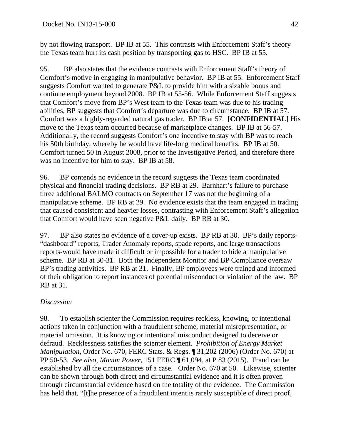by not flowing transport. BP IB at 55. This contrasts with Enforcement Staff's theory the Texas team hurt its cash position by transporting gas to HSC. BP IB at 55.

95. BP also states that the evidence contrasts with Enforcement Staff's theory of Comfort's motive in engaging in manipulative behavior. BP IB at 55. Enforcement Staff suggests Comfort wanted to generate P&L to provide him with a sizable bonus and continue employment beyond 2008. BP IB at 55-56. While Enforcement Staff suggests that Comfort's move from BP's West team to the Texas team was due to his trading abilities, BP suggests that Comfort's departure was due to circumstance. BP IB at 57. Comfort was a highly-regarded natural gas trader. BP IB at 57. **[CONFIDENTIAL]** His move to the Texas team occurred because of marketplace changes. BP IB at 56-57. Additionally, the record suggests Comfort's one incentive to stay with BP was to reach his 50th birthday, whereby he would have life-long medical benefits. BP IB at 50. Comfort turned 50 in August 2008, prior to the Investigative Period, and therefore there was no incentive for him to stay. BP IB at 58.

96. BP contends no evidence in the record suggests the Texas team coordinated physical and financial trading decisions. BP RB at 29. Barnhart's failure to purchase three additional BALMO contracts on September 17 was not the beginning of a manipulative scheme. BP RB at 29. No evidence exists that the team engaged in trading that caused consistent and heavier losses, contrasting with Enforcement Staff's allegation that Comfort would have seen negative P&L daily. BP RB at 30.

97. BP also states no evidence of a cover-up exists. BP RB at 30. BP's daily reports- "dashboard" reports, Trader Anomaly reports, spade reports, and large transactions reports-would have made it difficult or impossible for a trader to hide a manipulative scheme. BP RB at 30-31. Both the Independent Monitor and BP Compliance oversaw BP's trading activities. BP RB at 31. Finally, BP employees were trained and informed of their obligation to report instances of potential misconduct or violation of the law. BP RB at 31.

## *Discussion*

98. To establish scienter the Commission requires reckless, knowing, or intentional actions taken in conjunction with a fraudulent scheme, material misrepresentation, or material omission. It is knowing or intentional misconduct designed to deceive or defraud. Recklessness satisfies the scienter element. *Prohibition of Energy Market Manipulation*, Order No. 670, FERC Stats. & Regs. ¶ 31,202 (2006) (Order No. 670) at PP 50-53. *See also*, *Maxim Power*, 151 FERC ¶ 61,094, at P 83 (2015). Fraud can be established by all the circumstances of a case. Order No. 670 at 50. Likewise, scienter can be shown through both direct and circumstantial evidence and it is often proven through circumstantial evidence based on the totality of the evidence. The Commission has held that, "[t]he presence of a fraudulent intent is rarely susceptible of direct proof,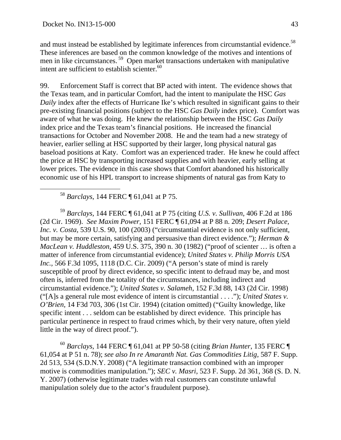and must instead be established by legitimate inferences from circumstantial evidence.<sup>58</sup> These inferences are based on the common knowledge of the motives and intentions of men in like circumstances. 59 Open market transactions undertaken with manipulative intent are sufficient to establish scienter. $60$ 

99. Enforcement Staff is correct that BP acted with intent. The evidence shows that the Texas team, and in particular Comfort, had the intent to manipulate the HSC *Gas Daily* index after the effects of Hurricane Ike's which resulted in significant gains to their pre-existing financial positions (subject to the HSC *Gas Daily* index price). Comfort was aware of what he was doing. He knew the relationship between the HSC *Gas Daily* index price and the Texas team's financial positions. He increased the financial transactions for October and November 2008. He and the team had a new strategy of heavier, earlier selling at HSC supported by their larger, long physical natural gas baseload positions at Katy. Comfort was an experienced trader. He knew he could affect the price at HSC by transporting increased supplies and with heavier, early selling at lower prices. The evidence in this case shows that Comfort abandoned his historically economic use of his HPL transport to increase shipments of natural gas from Katy to

58 *Barclays*, 144 FERC ¶ 61,041 at P 75.

<sup>59</sup> *Barclays,* 144 FERC ¶ 61,041 at P 75 (citing *U.S. v. Sullivan*, 406 F.2d at 186 (2d Cir. 1969). *See Maxim Power,* 151 FERC ¶ 61,094 at P 88 n. 209; *Desert Palace, Inc. v. Costa,* 539 U.S. 90, 100 (2003) ("circumstantial evidence is not only sufficient, but may be more certain, satisfying and persuasive than direct evidence."); *Herman & MacLean v. Huddleston,* 459 U.S. 375, 390 n. 30 (1982) ("proof of scienter … is often a matter of inference from circumstantial evidence); *United States v. Philip Morris USA Inc.,* 566 F.3d 1095, 1118 (D.C. Cir. 2009) ("A person's state of mind is rarely susceptible of proof by direct evidence, so specific intent to defraud may be, and most often is, inferred from the totality of the circumstances, including indirect and circumstantial evidence."); *United States v. Salameh*, 152 F.3d 88, 143 (2d Cir. 1998) ("[A]s a general rule most evidence of intent is circumstantial . . . ."); *United States v. O'Brien,* 14 F3d 703, 306 (1st Cir. 1994) (citation omitted) ("Guilty knowledge, like specific intent . . . seldom can be established by direct evidence. This principle has particular pertinence in respect to fraud crimes which, by their very nature, often yield little in the way of direct proof.").

<sup>60</sup> *Barclays*, 144 FERC ¶ 61,041 at PP 50-58 (citing *Brian Hunter*, 135 FERC ¶ 61,054 at P 51 n. 78); *see also In re Amaranth Nat. Gas Commodities Litig*, 587 F. Supp. 2d 513, 534 (S.D.N.Y. 2008) ("A legitimate transaction combined with an improper motive is commodities manipulation."); *SEC v. Masri*, 523 F. Supp. 2d 361, 368 (S. D. N. Y. 2007) (otherwise legitimate trades with real customers can constitute unlawful manipulation solely due to the actor's fraudulent purpose).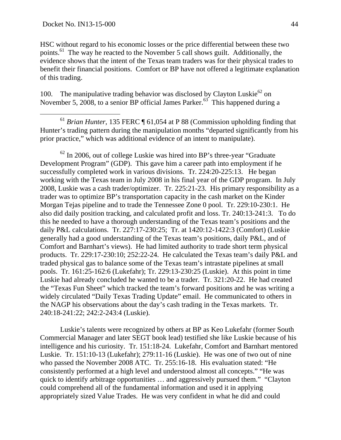HSC without regard to his economic losses or the price differential between these two points.61 The way he reacted to the November 5 call shows guilt. Additionally, the evidence shows that the intent of the Texas team traders was for their physical trades to benefit their financial positions. Comfort or BP have not offered a legitimate explanation of this trading.

100. The manipulative trading behavior was disclosed by Clayton Luskie $^{62}$  on November 5, 2008, to a senior BP official James Parker.<sup>63</sup> This happened during a

 61 *Brian Hunter*, 135 FERC ¶ 61,054 at P 88 (Commission upholding finding that Hunter's trading pattern during the manipulation months "departed significantly from his prior practice," which was additional evidence of an intent to manipulate).

 $62$  In 2006, out of college Luskie was hired into BP's three-year "Graduate" Development Program" (GDP). This gave him a career path into employment if he successfully completed work in various divisions. Tr. 224:20-225:13. He began working with the Texas team in July 2008 in his final year of the GDP program. In July 2008, Luskie was a cash trader/optimizer. Tr. 225:21-23. His primary responsibility as a trader was to optimize BP's transportation capacity in the cash market on the Kinder Morgan Tejas pipeline and to trade the Tennessee Zone 0 pool. Tr. 229:10-230:1. He also did daily position tracking, and calculated profit and loss. Tr. 240:13-241:3. To do this he needed to have a thorough understanding of the Texas team's positions and the daily P&L calculations. Tr. 227:17-230:25; Tr. at 1420:12-1422:3 (Comfort) (Luskie generally had a good understanding of the Texas team's positions, daily P&L, and of Comfort and Barnhart's views). He had limited authority to trade short term physical products. Tr. 229:17-230:10; 252:22-24. He calculated the Texas team's daily P&L and traded physical gas to balance some of the Texas team's intrastate pipelines at small pools. Tr. 161:25-162:6 (Lukefahr); Tr. 229:13-230:25 (Luskie). At this point in time Luskie had already concluded he wanted to be a trader. Tr. 321:20-22. He had created the "Texas Fun Sheet" which tracked the team's forward positions and he was writing a widely circulated "Daily Texas Trading Update" email. He communicated to others in the NAGP his observations about the day's cash trading in the Texas markets. Tr. 240:18-241:22; 242:2-243:4 (Luskie).

Luskie's talents were recognized by others at BP as Keo Lukefahr (former South Commercial Manager and later SEGT book lead) testified she like Luskie because of his intelligence and his curiosity. Tr. 151:18-24. Lukefahr, Comfort and Barnhart mentored Luskie. Tr. 151:10-13 (Lukefahr); 279:11-16 (Luskie). He was one of two out of nine who passed the November 2008 ATC. Tr. 255:16-18. His evaluation stated: "He consistently performed at a high level and understood almost all concepts." "He was quick to identify arbitrage opportunities … and aggressively pursued them." "Clayton could comprehend all of the fundamental information and used it in applying appropriately sized Value Trades. He was very confident in what he did and could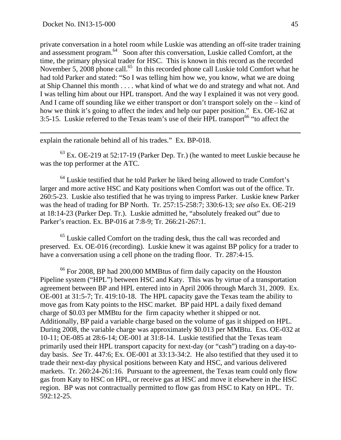$\overline{a}$ 

private conversation in a hotel room while Luskie was attending an off-site trader training and assessment program.<sup>64</sup> Soon after this conversation, Luskie called Comfort, at the time, the primary physical trader for HSC. This is known in this record as the recorded November 5, 2008 phone call.<sup>65</sup> In this recorded phone call Luskie told Comfort what he had told Parker and stated: "So I was telling him how we, you know, what we are doing at Ship Channel this month . . . . what kind of what we do and strategy and what not. And I was telling him about our HPL transport. And the way I explained it was not very good. And I came off sounding like we either transport or don't transport solely on the – kind of how we think it's going to affect the index and help our paper position." Ex. OE-162 at 3:5-15. Luskie referred to the Texas team's use of their  $HPL$  transport<sup>66</sup> "to affect the

explain the rationale behind all of his trades." Ex. BP-018.

 $63$  Ex. OE-219 at 52:17-19 (Parker Dep. Tr.) (he wanted to meet Luskie because he was the top performer at the ATC.

 $64$  Luskie testified that he told Parker he liked being allowed to trade Comfort's larger and more active HSC and Katy positions when Comfort was out of the office. Tr. 260:5-23. Luskie also testified that he was trying to impress Parker. Luskie knew Parker was the head of trading for BP North. Tr. 257:15-258:7; 330:6-13; *see also* Ex. OE-219 at 18:14-23 (Parker Dep. Tr.). Luskie admitted he, "absolutely freaked out" due to Parker's reaction. Ex. BP-016 at 7:8-9; Tr. 266:21-267:1.

<sup>65</sup> Luskie called Comfort on the trading desk, thus the call was recorded and preserved. Ex. OE-016 (recording). Luskie knew it was against BP policy for a trader to have a conversation using a cell phone on the trading floor. Tr. 287:4-15.

<sup>66</sup> For 2008, BP had 200,000 MMBtus of firm daily capacity on the Houston Pipeline system ("HPL") between HSC and Katy. This was by virtue of a transportation agreement between BP and HPL entered into in April 2006 through March 31, 2009. Ex. OE-001 at 31:5-7; Tr. 419:10-18. The HPL capacity gave the Texas team the ability to move gas from Katy points to the HSC market. BP paid HPL a daily fixed demand charge of \$0.03 per MMBtu for the firm capacity whether it shipped or not. Additionally, BP paid a variable charge based on the volume of gas it shipped on HPL. During 2008, the variable charge was approximately \$0.013 per MMBtu. Exs. OE-032 at 10-11; OE-085 at 28:6-14; OE-001 at 31:8-14. Luskie testified that the Texas team primarily used their HPL transport capacity for next-day (or "cash") trading on a day-today basis. *See* Tr. 447:6; Ex. OE-001 at 33:13-34:2. He also testified that they used it to trade their next-day physical positions between Katy and HSC, and various delivered markets. Tr. 260:24-261:16. Pursuant to the agreement, the Texas team could only flow gas from Katy to HSC on HPL, or receive gas at HSC and move it elsewhere in the HSC region. BP was not contractually permitted to flow gas from HSC to Katy on HPL. Tr. 592:12-25.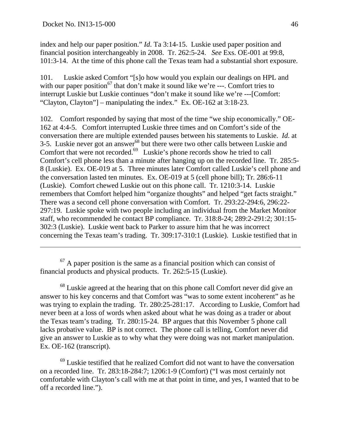index and help our paper position." *Id*. Ta 3:14-15. Luskie used paper position and financial position interchangeably in 2008. Tr. 262:5-24. *See* Exs. OE-001 at 99:8, 101:3-14. At the time of this phone call the Texas team had a substantial short exposure.

101. Luskie asked Comfort "[s]o how would you explain our dealings on HPL and with our paper position<sup>67</sup> that don't make it sound like we're ---. Comfort tries to interrupt Luskie but Luskie continues "don't make it sound like we're ---[Comfort: "Clayton, Clayton"] – manipulating the index." Ex. OE-162 at 3:18-23.

102. Comfort responded by saying that most of the time "we ship economically." OE-162 at 4:4-5. Comfort interrupted Luskie three times and on Comfort's side of the conversation there are multiple extended pauses between his statements to Luskie. *Id*. at 3-5. Luskie never got an answer<sup>68</sup> but there were two other calls between Luskie and Comfort that were not recorded. $69$  Luskie's phone records show he tried to call Comfort's cell phone less than a minute after hanging up on the recorded line. Tr. 285:5- 8 (Luskie). Ex. OE-019 at 5. Three minutes later Comfort called Luskie's cell phone and the conversation lasted ten minutes. Ex. OE-019 at 5 (cell phone bill); Tr. 286:6-11 (Luskie). Comfort chewed Luskie out on this phone call. Tr. 1210:3-14. Luskie remembers that Comfort helped him "organize thoughts" and helped "get facts straight." There was a second cell phone conversation with Comfort. Tr. 293:22-294:6, 296:22- 297:19. Luskie spoke with two people including an individual from the Market Monitor staff, who recommended he contact BP compliance. Tr. 318:8-24; 289:2-291:2; 301:15- 302:3 (Luskie). Luskie went back to Parker to assure him that he was incorrect concerning the Texas team's trading. Tr. 309:17-310:1 (Luskie). Luskie testified that in

 $67$  A paper position is the same as a financial position which can consist of financial products and physical products. Tr. 262:5-15 (Luskie).

 $68$  Luskie agreed at the hearing that on this phone call Comfort never did give an answer to his key concerns and that Comfort was "was to some extent incoherent" as he was trying to explain the trading. Tr. 280:25-281:17. According to Luskie, Comfort had never been at a loss of words when asked about what he was doing as a trader or about the Texas team's trading. Tr. 280:15-24. BP argues that this November 5 phone call lacks probative value. BP is not correct. The phone call is telling, Comfort never did give an answer to Luskie as to why what they were doing was not market manipulation. Ex. OE-162 (transcript).

 $69$  Luskie testified that he realized Comfort did not want to have the conversation on a recorded line. Tr. 283:18-284:7; 1206:1-9 (Comfort) ("I was most certainly not comfortable with Clayton's call with me at that point in time, and yes, I wanted that to be off a recorded line.").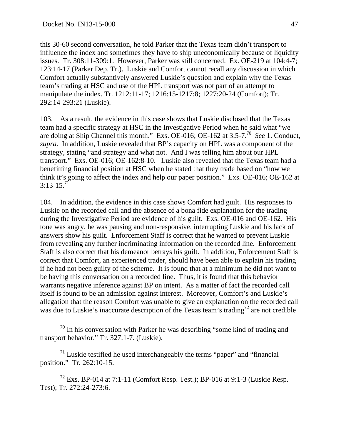this 30-60 second conversation, he told Parker that the Texas team didn't transport to influence the index and sometimes they have to ship uneconomically because of liquidity issues. Tr. 308:11-309:1. However, Parker was still concerned. Ex. OE-219 at 104:4-7; 123:14-17 (Parker Dep. Tr.). Luskie and Comfort cannot recall any discussion in which Comfort actually substantively answered Luskie's question and explain why the Texas team's trading at HSC and use of the HPL transport was not part of an attempt to manipulate the index. Tr. 1212:11-17; 1216:15-1217:8; 1227:20-24 (Comfort); Tr. 292:14-293:21 (Luskie).

103. As a result, the evidence in this case shows that Luskie disclosed that the Texas team had a specific strategy at HSC in the Investigative Period when he said what "we are doing at Ship Channel this month." Exs. OE-016; OE-162 at 3:5-7.70 *See* 1. Conduct, *supra*. In addition, Luskie revealed that BP's capacity on HPL was a component of the strategy, stating "and strategy and what not. And I was telling him about our HPL transport." Exs. OE-016; OE-162:8-10. Luskie also revealed that the Texas team had a benefitting financial position at HSC when he stated that they trade based on "how we think it's going to affect the index and help our paper position." Exs. OE-016; OE-162 at 3:13-15*.* 71

104. In addition, the evidence in this case shows Comfort had guilt. His responses to Luskie on the recorded call and the absence of a bona fide explanation for the trading during the Investigative Period are evidence of his guilt. Exs. OE-016 and OE-162. His tone was angry, he was pausing and non-responsive, interrupting Luskie and his lack of answers show his guilt. Enforcement Staff is correct that he wanted to prevent Luskie from revealing any further incriminating information on the recorded line. Enforcement Staff is also correct that his demeanor betrays his guilt. In addition, Enforcement Staff is correct that Comfort, an experienced trader, should have been able to explain his trading if he had not been guilty of the scheme. It is found that at a minimum he did not want to be having this conversation on a recorded line. Thus, it is found that this behavior warrants negative inference against BP on intent. As a matter of fact the recorded call itself is found to be an admission against interest. Moreover, Comfort's and Luskie's allegation that the reason Comfort was unable to give an explanation on the recorded call was due to Luskie's inaccurate description of the Texas team's trading<sup>72</sup> are not credible

 $70$  In his conversation with Parker he was describing "some kind of trading and transport behavior." Tr. 327:1-7. (Luskie).

 $71$  Luskie testified he used interchangeably the terms "paper" and "financial" position." Tr. 262:10-15.

 $^{72}$  Exs. BP-014 at 7:1-11 (Comfort Resp. Test.); BP-016 at 9:1-3 (Luskie Resp. Test); Tr. 272:24-273:6.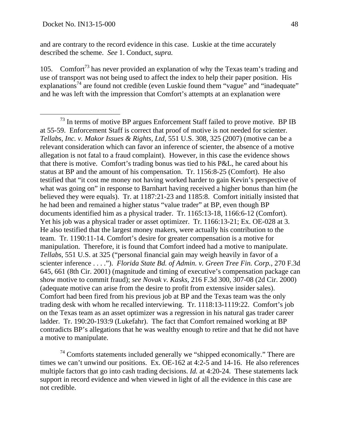and are contrary to the record evidence in this case. Luskie at the time accurately described the scheme. *See* 1. Conduct, *supra.*

105. Comfort<sup>73</sup> has never provided an explanation of why the Texas team's trading and use of transport was not being used to affect the index to help their paper position. His explanations<sup>74</sup> are found not credible (even Luskie found them "vague" and "inadequate" and he was left with the impression that Comfort's attempts at an explanation were

 $74$  Comforts statements included generally we "shipped economically." There are times we can't unwind our positions. Ex. OE-162 at 4:2-5 and 14-16. He also references multiple factors that go into cash trading decisions. *Id.* at 4:20-24. These statements lack support in record evidence and when viewed in light of all the evidence in this case are not credible.

 $73$  In terms of motive BP argues Enforcement Staff failed to prove motive. BP IB at 55-59. Enforcement Staff is correct that proof of motive is not needed for scienter. *Tellabs, Inc. v. Makor Issues & Rights, Ltd*, 551 U.S. 308, 325 (2007) (motive can be a relevant consideration which can favor an inference of scienter, the absence of a motive allegation is not fatal to a fraud complaint). However, in this case the evidence shows that there is motive. Comfort's trading bonus was tied to his P&L, he cared about his status at BP and the amount of his compensation. Tr. 1156:8-25 (Comfort). He also testified that "it cost me money not having worked harder to gain Kevin's perspective of what was going on" in response to Barnhart having received a higher bonus than him (he believed they were equals). Tr. at 1187:21-23 and 1185:8. Comfort initially insisted that he had been and remained a higher status "value trader" at BP, even though BP documents identified him as a physical trader. Tr. 1165:13-18, 1166:6-12 (Comfort). Yet his job was a physical trader or asset optimizer. Tr. 1166:13-21; Ex. OE-028 at 3. He also testified that the largest money makers, were actually his contribution to the team. Tr. 1190:11-14. Comfort's desire for greater compensation is a motive for manipulation. Therefore, it is found that Comfort indeed had a motive to manipulate. *Tellabs*, 551 U.S. at 325 ("personal financial gain may weigh heavily in favor of a scienter inference . . . ."). *Florida State Bd. of Admin. v. Green Tree Fin. Corp.,* 270 F.3d 645, 661 (8th Cir. 2001) (magnitude and timing of executive's compensation package can show motive to commit fraud); *see Novak v. Kasks,* 216 F.3d 300, 307-08 (2d Cir. 2000) (adequate motive can arise from the desire to profit from extensive insider sales). Comfort had been fired from his previous job at BP and the Texas team was the only trading desk with whom he recalled interviewing. Tr. 1118:13-1119:22. Comfort's job on the Texas team as an asset optimizer was a regression in his natural gas trader career ladder. Tr. 190:20-193:9 (Lukefahr). The fact that Comfort remained working at BP contradicts BP's allegations that he was wealthy enough to retire and that he did not have a motive to manipulate.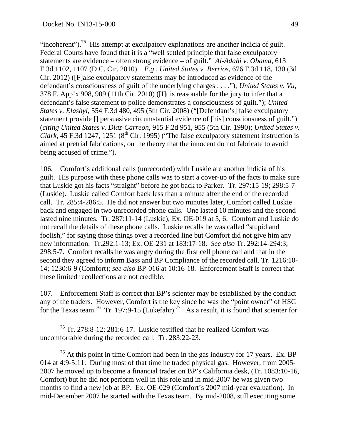"incoherent").<sup>75</sup> His attempt at exculpatory explanations are another indicia of guilt. Federal Courts have found that it is a "well settled principle that false exculpatory statements are evidence – often strong evidence – of guilt." *Al-Adahi v. Obama,* 613 F.3d 1102, 1107 (D.C. Cir. 2010). *E.g*., *United States v. Berrios*, 676 F.3d 118, 130 (3d Cir. 2012) ([F]alse exculpatory statements may be introduced as evidence of the defendant's consciousness of guilt of the underlying charges . . . ."); *United States v. Vu,* 378 F. App'x 908, 909 (11th Cir. 2010) ([I]t is reasonable for the jury to infer that a defendant's false statement to police demonstrates a consciousness of guilt."); *United States v. Elashyi*, 554 F.3d 480, 495 (5th Cir. 2008) ("[Defendant's] false exculpatory statement provide [] persuasive circumstantial evidence of [his] consciousness of guilt.") (*citing United States v. Diaz-Carreon*, 915 F.2d 951, 955 (5th Cir. 1990); *United States v. Clark*, 45 F.3d 1247, 1251 ( $8<sup>th</sup>$  Cir. 1995) ("The false exculpatory statement instruction is aimed at pretrial fabrications, on the theory that the innocent do not fabricate to avoid being accused of crime.").

106. Comfort's additional calls (unrecorded) with Luskie are another indicia of his guilt. His purpose with these phone calls was to start a cover-up of the facts to make sure that Luskie got his facts "straight" before he got back to Parker. Tr. 297:15-19; 298:5-7 (Luskie). Luskie called Comfort back less than a minute after the end of the recorded call. Tr. 285:4-286:5. He did not answer but two minutes later, Comfort called Luskie back and engaged in two unrecorded phone calls. One lasted 10 minutes and the second lasted nine minutes. Tr. 287:11-14 (Luskie); Ex. OE-019 at 5, 6. Comfort and Luskie do not recall the details of these phone calls. Luskie recalls he was called "stupid and foolish," for saying those things over a recorded line but Comfort did not give him any new information. Tr.292:1-13; Ex. OE-231 at 183:17-18. *See also* Tr. 292:14-294:3; 298:5-7. Comfort recalls he was angry during the first cell phone call and that in the second they agreed to inform Bass and BP Compliance of the recorded call. Tr. 1216:10- 14; 1230:6-9 (Comfort); *see also* BP-016 at 10:16-18. Enforcement Staff is correct that these limited recollections are not credible.

107. Enforcement Staff is correct that BP's scienter may be established by the conduct any of the traders. However, Comfort is the key since he was the "point owner" of HSC for the Texas team.<sup>76</sup> Tr. 197:9-15 (Lukefahr).<sup>77</sup> As a result, it is found that scienter for

 75 Tr. 278:8-12; 281:6-17. Luskie testified that he realized Comfort was uncomfortable during the recorded call. Tr. 283:22-23.

 $76$  At this point in time Comfort had been in the gas industry for 17 years. Ex. BP-014 at 4:9-5:11. During most of that time he traded physical gas. However, from 2005- 2007 he moved up to become a financial trader on BP's California desk, (Tr. 1083:10-16, Comfort) but he did not perform well in this role and in mid-2007 he was given two months to find a new job at BP. Ex. OE-029 (Comfort's 2007 mid-year evaluation). In mid-December 2007 he started with the Texas team. By mid-2008, still executing some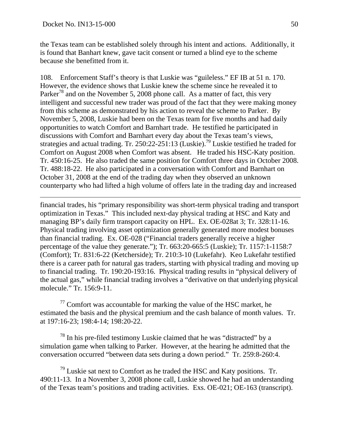$\overline{a}$ 

the Texas team can be established solely through his intent and actions. Additionally, it is found that Banhart knew, gave tacit consent or turned a blind eye to the scheme because she benefitted from it.

108. Enforcement Staff's theory is that Luskie was "guileless." EF IB at 51 n. 170. However, the evidence shows that Luskie knew the scheme since he revealed it to Parker<sup>78</sup> and on the November 5, 2008 phone call. As a matter of fact, this very intelligent and successful new trader was proud of the fact that they were making money from this scheme as demonstrated by his action to reveal the scheme to Parker. By November 5, 2008, Luskie had been on the Texas team for five months and had daily opportunities to watch Comfort and Barnhart trade. He testified he participated in discussions with Comfort and Barnhart every day about the Texas team's views, strategies and actual trading. Tr. 250:22-251:13 (Luskie).79 Luskie testified he traded for Comfort on August 2008 when Comfort was absent. He traded his HSC-Katy position. Tr. 450:16-25. He also traded the same position for Comfort three days in October 2008. Tr. 488:18-22. He also participated in a conversation with Comfort and Barnhart on October 31, 2008 at the end of the trading day when they observed an unknown counterparty who had lifted a high volume of offers late in the trading day and increased

financial trades, his "primary responsibility was short-term physical trading and transport optimization in Texas." This included next-day physical trading at HSC and Katy and managing BP's daily firm transport capacity on HPL. Ex. OE-028at 3; Tr. 328:11-16. Physical trading involving asset optimization generally generated more modest bonuses than financial trading. Ex. OE-028 ("Financial traders generally receive a higher percentage of the value they generate."); Tr. 663:20-665:5 (Luskie); Tr. 1157:1-1158:7 (Comfort); Tr. 831:6-22 (Ketcherside); Tr. 210:3-10 (Lukefahr). Keo Lukefahr testified there is a career path for natural gas traders, starting with physical trading and moving up to financial trading. Tr. 190:20-193:16. Physical trading results in "physical delivery of the actual gas," while financial trading involves a "derivative on that underlying physical molecule." Tr. 156:9-11.

 $77$  Comfort was accountable for marking the value of the HSC market, he estimated the basis and the physical premium and the cash balance of month values. Tr. at 197:16-23; 198:4-14; 198:20-22.

 $78$  In his pre-filed testimony Luskie claimed that he was "distracted" by a simulation game when talking to Parker. However, at the hearing he admitted that the conversation occurred "between data sets during a down period." Tr. 259:8-260:4.

 $79$  Luskie sat next to Comfort as he traded the HSC and Katy positions. Tr. 490:11-13. In a November 3, 2008 phone call, Luskie showed he had an understanding of the Texas team's positions and trading activities. Exs. OE-021; OE-163 (transcript).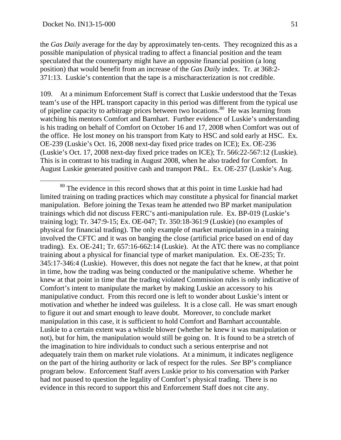the *Gas Daily* average for the day by approximately ten-cents. They recognized this as a possible manipulation of physical trading to affect a financial position and the team speculated that the counterparty might have an opposite financial position (a long position) that would benefit from an increase of the *Gas Daily* index. Tr. at 368:2- 371:13. Luskie's contention that the tape is a mischaracterization is not credible.

109. At a minimum Enforcement Staff is correct that Luskie understood that the Texas team's use of the HPL transport capacity in this period was different from the typical use of pipeline capacity to arbitrage prices between two locations.80 He was learning from watching his mentors Comfort and Barnhart. Further evidence of Luskie's understanding is his trading on behalf of Comfort on October 16 and 17, 2008 when Comfort was out of the office. He lost money on his transport from Katy to HSC and sold early at HSC. Ex. OE-239 (Luskie's Oct. 16, 2008 next-day fixed price trades on ICE); Ex. OE-236 (Luskie's Oct. 17, 2008 next-day fixed price trades on ICE); Tr. 566:22-567:12 (Luskie). This is in contrast to his trading in August 2008, when he also traded for Comfort. In August Luskie generated positive cash and transport P&L. Ex. OE-237 (Luskie's Aug.

<sup>&</sup>lt;sup>80</sup> The evidence in this record shows that at this point in time Luskie had had limited training on trading practices which may constitute a physical for financial market manipulation. Before joining the Texas team he attended two BP market manipulation trainings which did not discuss FERC's anti-manipulation rule. Ex. BP-019 (Luskie's training log); Tr. 347:9-15; Ex. OE-047; Tr. 350:18-361:9 (Luskie) (no examples of physical for financial trading). The only example of market manipulation in a training involved the CFTC and it was on banging the close (artificial price based on end of day trading). Ex. OE-241; Tr. 657:16-662:14 (Luskie). At the ATC there was no compliance training about a physical for financial type of market manipulation. Ex. OE-235; Tr. 345:17-346:4 (Luskie). However, this does not negate the fact that he knew, at that point in time, how the trading was being conducted or the manipulative scheme. Whether he knew at that point in time that the trading violated Commission rules is only indicative of Comfort's intent to manipulate the market by making Luskie an accessory to his manipulative conduct. From this record one is left to wonder about Luskie's intent or motivation and whether he indeed was guileless. It is a close call. He was smart enough to figure it out and smart enough to leave doubt. Moreover, to conclude market manipulation in this case, it is sufficient to hold Comfort and Barnhart accountable. Luskie to a certain extent was a whistle blower (whether he knew it was manipulation or not), but for him, the manipulation would still be going on. It is found to be a stretch of the imagination to hire individuals to conduct such a serious enterprise and not adequately train them on market rule violations. At a minimum, it indicates negligence on the part of the hiring authority or lack of respect for the rules. *See* BP's compliance program below. Enforcement Staff avers Luskie prior to his conversation with Parker had not paused to question the legality of Comfort's physical trading. There is no evidence in this record to support this and Enforcement Staff does not cite any.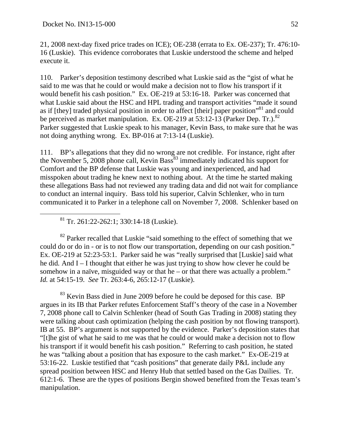21, 2008 next-day fixed price trades on ICE); OE-238 (errata to Ex. OE-237); Tr. 476:10- 16 (Luskie). This evidence corroborates that Luskie understood the scheme and helped execute it.

110. Parker's deposition testimony described what Luskie said as the "gist of what he said to me was that he could or would make a decision not to flow his transport if it would benefit his cash position." Ex. OE-219 at 53:16-18. Parker was concerned that what Luskie said about the HSC and HPL trading and transport activities "made it sound as if [they] traded physical position in order to affect [their] paper position<sup>381</sup> and could be perceived as market manipulation. Ex. OE-219 at  $53:12-13$  (Parker Dep. Tr.).<sup>82</sup> Parker suggested that Luskie speak to his manager, Kevin Bass, to make sure that he was not doing anything wrong. Ex. BP-016 at 7:13-14 (Luskie).

111. BP's allegations that they did no wrong are not credible. For instance, right after the November 5, 2008 phone call, Kevin Bass<sup>83</sup> immediately indicated his support for Comfort and the BP defense that Luskie was young and inexperienced, and had misspoken about trading he knew next to nothing about. At the time he started making these allegations Bass had not reviewed any trading data and did not wait for compliance to conduct an internal inquiry. Bass told his superior, Calvin Schlenker, who in turn communicated it to Parker in a telephone call on November 7, 2008. Schlenker based on

 $81$  Tr. 261:22-262:1; 330:14-18 (Luskie).

 $82$  Parker recalled that Luskie "said something to the effect of something that we could do or do in - or is to not flow our transportation, depending on our cash position." Ex. OE-219 at 52:23-53:1. Parker said he was "really surprised that [Luskie] said what he did. And I – I thought that either he was just trying to show how clever he could be somehow in a naïve, misguided way or that he – or that there was actually a problem." *Id.* at 54:15-19. *See* Tr. 263:4-6, 265:12-17 (Luskie).

<sup>83</sup> Kevin Bass died in June 2009 before he could be deposed for this case. BP argues in its IB that Parker refutes Enforcement Staff's theory of the case in a November 7, 2008 phone call to Calvin Schlenker (head of South Gas Trading in 2008) stating they were talking about cash optimization (helping the cash position by not flowing transport). IB at 55. BP's argument is not supported by the evidence. Parker's deposition states that "[t]he gist of what he said to me was that he could or would make a decision not to flow his transport if it would benefit his cash position." Referring to cash position, he stated he was "talking about a position that has exposure to the cash market." Ex-OE-219 at 53:16-22. Luskie testified that "cash positions" that generate daily P&L include any spread position between HSC and Henry Hub that settled based on the Gas Dailies. Tr. 612:1-6. These are the types of positions Bergin showed benefited from the Texas team's manipulation.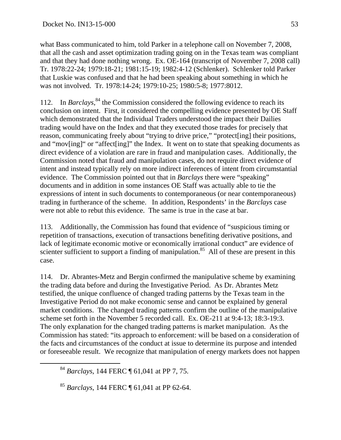what Bass communicated to him, told Parker in a telephone call on November 7, 2008, that all the cash and asset optimization trading going on in the Texas team was compliant and that they had done nothing wrong. Ex. OE-164 (transcript of November 7, 2008 call) Tr. 1978:22-24; 1979:18-21; 1981:15-19; 1982:4-12 (Schlenker). Schlenker told Parker that Luskie was confused and that he had been speaking about something in which he was not involved. Tr. 1978:14-24; 1979:10-25; 1980:5-8; 1977:8012.

112. In *Barclays*,<sup>84</sup> the Commission considered the following evidence to reach its conclusion on intent. First, it considered the compelling evidence presented by OE Staff which demonstrated that the Individual Traders understood the impact their Dailies trading would have on the Index and that they executed those trades for precisely that reason, communicating freely about "trying to drive price," "protect[ing] their positions, and "mov[ing]" or "affect[ing]" the Index. It went on to state that speaking documents as direct evidence of a violation are rare in fraud and manipulation cases. Additionally, the Commission noted that fraud and manipulation cases, do not require direct evidence of intent and instead typically rely on more indirect inferences of intent from circumstantial evidence. The Commission pointed out that in *Barclays* there were "speaking" documents and in addition in some instances OE Staff was actually able to tie the expressions of intent in such documents to contemporaneous (or near contemporaneous) trading in furtherance of the scheme. In addition, Respondents' in the *Barclays* case were not able to rebut this evidence. The same is true in the case at bar.

113. Additionally, the Commission has found that evidence of "suspicious timing or repetition of transactions, execution of transactions benefiting derivative positions, and lack of legitimate economic motive or economically irrational conduct" are evidence of scienter sufficient to support a finding of manipulation.<sup>85</sup> All of these are present in this case.

114. Dr. Abrantes-Metz and Bergin confirmed the manipulative scheme by examining the trading data before and during the Investigative Period. As Dr. Abrantes Metz testified, the unique confluence of changed trading patterns by the Texas team in the Investigative Period do not make economic sense and cannot be explained by general market conditions. The changed trading patterns confirm the outline of the manipulative scheme set forth in the November 5 recorded call. Ex. OE-211 at 9:4-13; 18:3-19:3. The only explanation for the changed trading patterns is market manipulation. As the Commission has stated: "its approach to enforcement: will be based on a consideration of the facts and circumstances of the conduct at issue to determine its purpose and intended or foreseeable result. We recognize that manipulation of energy markets does not happen

 <sup>84</sup> *Barclays*, 144 FERC ¶ 61,041 at PP 7, 75.

<sup>85</sup> *Barclays*, 144 FERC ¶ 61,041 at PP 62-64.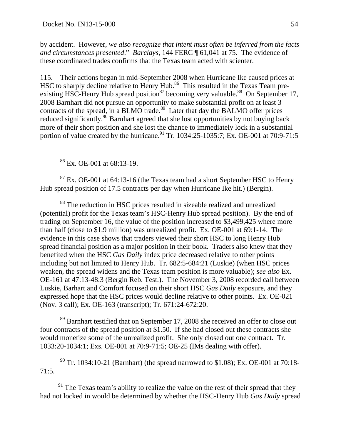by accident. However, *we also recognize that intent must often be inferred from the facts and circumstances presented*." *Barclays*, 144 FERC ¶ 61,041 at 75. The evidence of these coordinated trades confirms that the Texas team acted with scienter.

115. Their actions began in mid-September 2008 when Hurricane Ike caused prices at HSC to sharply decline relative to Henry Hub.<sup>86</sup> This resulted in the Texas Team preexisting HSC-Henry Hub spread position<sup>87</sup> becoming very valuable.<sup>88</sup> On September 17, 2008 Barnhart did not pursue an opportunity to make substantial profit on at least 3 contracts of the spread, in a BLMO trade. $89^{\circ}$  Later that day the BALMO offer prices reduced significantly.<sup>90</sup> Barnhart agreed that she lost opportunities by not buying back more of their short position and she lost the chance to immediately lock in a substantial portion of value created by the hurricane.<sup>91</sup> Tr. 1034:25-1035:7; Ex. OE-001 at 70:9-71:5

86 Ex. OE-001 at 68:13-19.

 $87$  Ex. OE-001 at 64:13-16 (the Texas team had a short September HSC to Henry Hub spread position of 17.5 contracts per day when Hurricane Ike hit.) (Bergin).

88 The reduction in HSC prices resulted in sizeable realized and unrealized (potential) profit for the Texas team's HSC-Henry Hub spread position). By the end of trading on September 16, the value of the position increased to \$3,499,425 where more than half (close to \$1.9 million) was unrealized profit. Ex. OE-001 at 69:1-14. The evidence in this case shows that traders viewed their short HSC to long Henry Hub spread financial position as a major position in their book. Traders also knew that they benefited when the HSC *Gas Daily* index price decreased relative to other points including but not limited to Henry Hub. Tr. 682:5-684:21 (Luskie) (when HSC prices weaken, the spread widens and the Texas team position is more valuable); *see also* Ex. OE-161 at 47:13-48:3 (Bergin Reb. Test.). The November 3, 2008 recorded call between Luskie, Barhart and Comfort focused on their short HSC *Gas Daily* exposure, and they expressed hope that the HSC prices would decline relative to other points. Ex. OE-021 (Nov. 3 call); Ex. OE-163 (transcript); Tr. 671:24-672:20.

<sup>89</sup> Barnhart testified that on September 17, 2008 she received an offer to close out four contracts of the spread position at \$1.50. If she had closed out these contracts she would monetize some of the unrealized profit. She only closed out one contract. Tr. 1033:20-1034:1; Exs. OE-001 at 70:9-71:5; OE-25 (IMs dealing with offer).

 $90$  Tr. 1034:10-21 (Barnhart) (the spread narrowed to \$1.08); Ex. OE-001 at 70:18-71:5.

 $91$  The Texas team's ability to realize the value on the rest of their spread that they had not locked in would be determined by whether the HSC-Henry Hub *Gas Daily* spread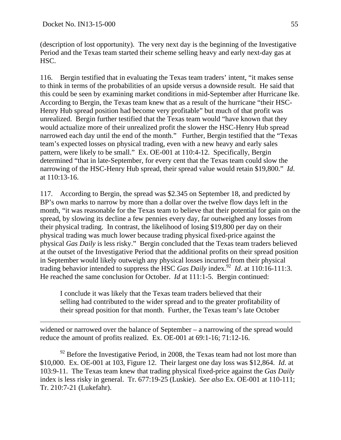(description of lost opportunity). The very next day is the beginning of the Investigative Period and the Texas team started their scheme selling heavy and early next-day gas at HSC.

116. Bergin testified that in evaluating the Texas team traders' intent, "it makes sense to think in terms of the probabilities of an upside versus a downside result. He said that this could be seen by examining market conditions in mid-September after Hurricane Ike. According to Bergin, the Texas team knew that as a result of the hurricane "their HSC-Henry Hub spread position had become very profitable" but much of that profit was unrealized. Bergin further testified that the Texas team would "have known that they would actualize more of their unrealized profit the slower the HSC-Henry Hub spread narrowed each day until the end of the month." Further, Bergin testified that the "Texas team's expected losses on physical trading, even with a new heavy and early sales pattern, were likely to be small." Ex. OE-001 at 110:4-12. Specifically, Bergin determined "that in late-September, for every cent that the Texas team could slow the narrowing of the HSC-Henry Hub spread, their spread value would retain \$19,800." *Id*. at 110:13-16.

117. According to Bergin, the spread was \$2.345 on September 18, and predicted by BP's own marks to narrow by more than a dollar over the twelve flow days left in the month, "it was reasonable for the Texas team to believe that their potential for gain on the spread, by slowing its decline a few pennies every day, far outweighed any losses from their physical trading. In contrast, the likelihood of losing \$19,800 per day on their physical trading was much lower because trading physical fixed-price against the physical *Gas Daily* is less risky." Bergin concluded that the Texas team traders believed at the outset of the Investigative Period that the additional profits on their spread position in September would likely outweigh any physical losses incurred from their physical trading behavior intended to suppress the HSC *Gas Daily* index.<sup>92</sup> *Id.* at 110:16-111:3. He reached the same conclusion for October. *Id* at 111:1-5. Bergin continued:

I conclude it was likely that the Texas team traders believed that their selling had contributed to the wider spread and to the greater profitability of their spread position for that month. Further, the Texas team's late October

widened or narrowed over the balance of September – a narrowing of the spread would reduce the amount of profits realized. Ex. OE-001 at 69:1-16; 71:12-16.

 $92$  Before the Investigative Period, in 2008, the Texas team had not lost more than \$10,000. Ex. OE-001 at 103, Figure 12. Their largest one day loss was \$12,864. *Id.* at 103:9-11. The Texas team knew that trading physical fixed-price against the *Gas Daily* index is less risky in general. Tr. 677:19-25 (Luskie). *See also* Ex. OE-001 at 110-111; Tr. 210:7-21 (Lukefahr).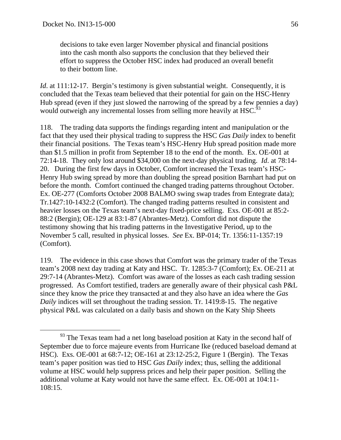decisions to take even larger November physical and financial positions into the cash month also supports the conclusion that they believed their effort to suppress the October HSC index had produced an overall benefit to their bottom line.

*Id.* at 111:12-17. Bergin's testimony is given substantial weight. Consequently, it is concluded that the Texas team believed that their potential for gain on the HSC-Henry Hub spread (even if they just slowed the narrowing of the spread by a few pennies a day) would outweigh any incremental losses from selling more heavily at HSC.<sup>5</sup>

118. The trading data supports the findings regarding intent and manipulation or the fact that they used their physical trading to suppress the HSC *Gas Daily* index to benefit their financial positions. The Texas team's HSC-Henry Hub spread position made more than \$1.5 million in profit from September 18 to the end of the month. Ex. OE-001 at 72:14-18. They only lost around \$34,000 on the next-day physical trading. *Id*. at 78:14- 20. During the first few days in October, Comfort increased the Texas team's HSC-Henry Hub swing spread by more than doubling the spread position Barnhart had put on before the month. Comfort continued the changed trading patterns throughout October. Ex. OE-277 (Comforts October 2008 BALMO swing swap trades from Entegrate data); Tr.1427:10-1432:2 (Comfort). The changed trading patterns resulted in consistent and heavier losses on the Texas team's next-day fixed-price selling. Exs. OE-001 at 85:2- 88:2 (Bergin); OE-129 at 83:1-87 (Abrantes-Metz). Comfort did not dispute the testimony showing that his trading patterns in the Investigative Period, up to the November 5 call, resulted in physical losses. *See* Ex. BP-014; Tr. 1356:11-1357:19 (Comfort).

119. The evidence in this case shows that Comfort was the primary trader of the Texas team's 2008 next day trading at Katy and HSC. Tr. 1285:3-7 (Comfort); Ex. OE-211 at 29:7-14 (Abrantes-Metz). Comfort was aware of the losses as each cash trading session progressed. As Comfort testified, traders are generally aware of their physical cash P&L since they know the price they transacted at and they also have an idea where the *Gas Daily* indices will set throughout the trading session. Tr. 1419:8-15. The negative physical P&L was calculated on a daily basis and shown on the Katy Ship Sheets

<sup>&</sup>lt;sup>93</sup> The Texas team had a net long baseload position at Katy in the second half of September due to force majeure events from Hurricane Ike (reduced baseload demand at HSC). Exs. OE-001 at 68:7-12; OE-161 at 23:12-25:2, Figure 1 (Bergin). The Texas team's paper position was tied to HSC *Gas Daily* index; thus, selling the additional volume at HSC would help suppress prices and help their paper position. Selling the additional volume at Katy would not have the same effect. Ex. OE-001 at 104:11- 108:15.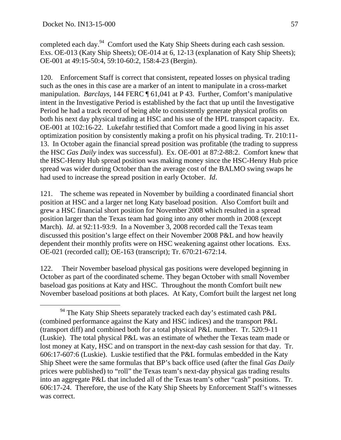completed each day.<sup>94</sup> Comfort used the Katy Ship Sheets during each cash session. Exs. OE-013 (Katy Ship Sheets); OE-014 at 6, 12-13 (explanation of Katy Ship Sheets); OE-001 at 49:15-50:4, 59:10-60:2, 158:4-23 (Bergin).

120. Enforcement Staff is correct that consistent, repeated losses on physical trading such as the ones in this case are a marker of an intent to manipulate in a cross-market manipulation. *Barclays*, 144 FERC ¶ 61,041 at P 43. Further, Comfort's manipulative intent in the Investigative Period is established by the fact that up until the Investigative Period he had a track record of being able to consistently generate physical profits on both his next day physical trading at HSC and his use of the HPL transport capacity. Ex. OE-001 at 102:16-22. Lukefahr testified that Comfort made a good living in his asset optimization position by consistently making a profit on his physical trading. Tr. 210:11- 13. In October again the financial spread position was profitable (the trading to suppress the HSC *Gas Daily* index was successful). Ex. OE-001 at 87:2-88:2. Comfort knew that the HSC-Henry Hub spread position was making money since the HSC-Henry Hub price spread was wider during October than the average cost of the BALMO swing swaps he had used to increase the spread position in early October. *Id*.

121. The scheme was repeated in November by building a coordinated financial short position at HSC and a larger net long Katy baseload position. Also Comfort built and grew a HSC financial short position for November 2008 which resulted in a spread position larger than the Texas team had going into any other month in 2008 (except March). *Id*. at 92:11-93:9. In a November 3, 2008 recorded call the Texas team discussed this position's large effect on their November 2008 P&L and how heavily dependent their monthly profits were on HSC weakening against other locations. Exs. OE-021 (recorded call); OE-163 (transcript); Tr. 670:21-672:14.

122. Their November baseload physical gas positions were developed beginning in October as part of the coordinated scheme. They began October with small November baseload gas positions at Katy and HSC. Throughout the month Comfort built new November baseload positions at both places. At Katy, Comfort built the largest net long

 $94$  The Katy Ship Sheets separately tracked each day's estimated cash P&L (combined performance against the Katy and HSC indices) and the transport P&L (transport diff) and combined both for a total physical P&L number. Tr. 520:9-11 (Luskie). The total physical P&L was an estimate of whether the Texas team made or lost money at Katy, HSC and on transport in the next-day cash session for that day. Tr. 606:17-607:6 (Luskie). Luskie testified that the P&L formulas embedded in the Katy Ship Sheet were the same formulas that BP's back office used (after the final *Gas Daily* prices were published) to "roll" the Texas team's next-day physical gas trading results into an aggregate P&L that included all of the Texas team's other "cash" positions. Tr. 606:17-24. Therefore, the use of the Katy Ship Sheets by Enforcement Staff's witnesses was correct.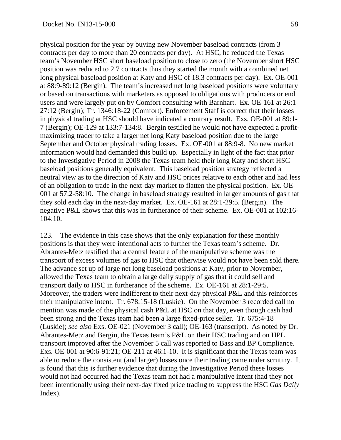physical position for the year by buying new November baseload contracts (from 3 contracts per day to more than 20 contracts per day). At HSC, he reduced the Texas team's November HSC short baseload position to close to zero (the November short HSC position was reduced to 2.7 contracts thus they started the month with a combined net long physical baseload position at Katy and HSC of 18.3 contracts per day). Ex. OE-001 at 88:9-89:12 (Bergin). The team's increased net long baseload positions were voluntary or based on transactions with marketers as opposed to obligations with producers or end users and were largely put on by Comfort consulting with Barnhart. Ex. OE-161 at 26:1- 27:12 (Bergin); Tr. 1346:18-22 (Comfort). Enforcement Staff is correct that their losses in physical trading at HSC should have indicated a contrary result. Exs. OE-001 at 89:1- 7 (Bergin); OE-129 at 133:7-134:8. Bergin testified he would not have expected a profitmaximizing trader to take a larger net long Katy baseload position due to the large September and October physical trading losses. Ex. OE-001 at 88:9-8. No new market information would had demanded this build up. Especially in light of the fact that prior to the Investigative Period in 2008 the Texas team held their long Katy and short HSC baseload positions generally equivalent. This baseload position strategy reflected a neutral view as to the direction of Katy and HSC prices relative to each other and had less of an obligation to trade in the next-day market to flatten the physical position. Ex. OE-001 at 57:2-58:10. The change in baseload strategy resulted in larger amounts of gas that they sold each day in the next-day market. Ex. OE-161 at 28:1-29:5. (Bergin). The negative P&L shows that this was in furtherance of their scheme. Ex. OE-001 at 102:16- 104:10.

123. The evidence in this case shows that the only explanation for these monthly positions is that they were intentional acts to further the Texas team's scheme. Dr. Abrantes-Metz testified that a central feature of the manipulative scheme was the transport of excess volumes of gas to HSC that otherwise would not have been sold there. The advance set up of large net long baseload positions at Katy, prior to November, allowed the Texas team to obtain a large daily supply of gas that it could sell and transport daily to HSC in furtherance of the scheme. Ex. OE-161 at 28:1-29:5. Moreover, the traders were indifferent to their next-day physical P&L and this reinforces their manipulative intent. Tr. 678:15-18 (Luskie). On the November 3 recorded call no mention was made of the physical cash P&L at HSC on that day, even though cash had been strong and the Texas team had been a large fixed-price seller. Tr. 675:4-18 (Luskie); *see also* Exs. OE-021 (November 3 call); OE-163 (transcript). As noted by Dr. Abrantes-Metz and Bergin, the Texas team's P&L on their HSC trading and on HPL transport improved after the November 5 call was reported to Bass and BP Compliance. Exs. OE-001 at 90:6-91:21; OE-211 at 46:1-10. It is significant that the Texas team was able to reduce the consistent (and larger) losses once their trading came under scrutiny. It is found that this is further evidence that during the Investigative Period these losses would not had occurred had the Texas team not had a manipulative intent (had they not been intentionally using their next-day fixed price trading to suppress the HSC *Gas Daily* Index).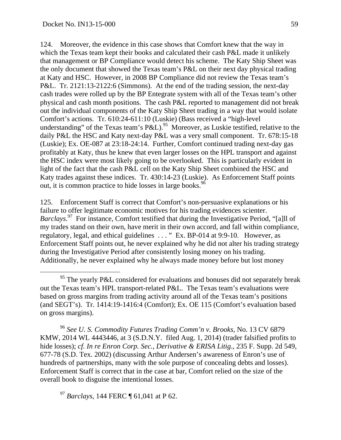124. Moreover, the evidence in this case shows that Comfort knew that the way in which the Texas team kept their books and calculated their cash P&L made it unlikely that management or BP Compliance would detect his scheme. The Katy Ship Sheet was the only document that showed the Texas team's P&L on their next day physical trading at Katy and HSC. However, in 2008 BP Compliance did not review the Texas team's P&L. Tr. 2121:13-2122:6 (Simmons). At the end of the trading session, the next-day cash trades were rolled up by the BP Entegrate system with all of the Texas team's other physical and cash month positions. The cash P&L reported to management did not break out the individual components of the Katy Ship Sheet trading in a way that would isolate Comfort's actions. Tr. 610:24-611:10 (Luskie) (Bass received a "high-level understanding" of the Texas team's P&L).<sup>95</sup> Moreover, as Luskie testified, relative to the daily P&L the HSC and Katy next-day P&L was a very small component. Tr. 678:15-18 (Luskie); Ex. OE-087 at 23:18-24:14. Further, Comfort continued trading next-day gas profitably at Katy, thus he knew that even larger losses on the HPL transport and against the HSC index were most likely going to be overlooked. This is particularly evident in light of the fact that the cash P&L cell on the Katy Ship Sheet combined the HSC and Katy trades against these indices. Tr. 430:14-23 (Luskie). As Enforcement Staff points out, it is common practice to hide losses in large books.<sup>96</sup>

125. Enforcement Staff is correct that Comfort's non-persuasive explanations or his failure to offer legitimate economic motives for his trading evidences scienter. *Barclays*. 97 For instance, Comfort testified that during the Investigative Period, "[a]ll of my trades stand on their own, have merit in their own accord, and fall within compliance, regulatory, legal, and ethical guidelines . . . " Ex. BP-014 at 9:9-10. However, as Enforcement Staff points out, he never explained why he did not alter his trading strategy during the Investigative Period after consistently losing money on his trading. Additionally, he never explained why he always made money before but lost money

<sup>96</sup> *See U. S. Commodity Futures Trading Comm'n v. Brooks*, No. 13 CV 6879 KMW, 2014 WL 4443446, at 3 (S.D.N.Y. filed Aug. 1, 2014) (trader falsified profits to hide losses); *cf. In re Enron Corp. Sec., Derivative & ERISA Litig*., 235 F. Supp. 2d 549, 677-78 (S.D. Tex. 2002) (discussing Arthur Andersen's awareness of Enron's use of hundreds of partnerships, many with the sole purpose of concealing debts and losses). Enforcement Staff is correct that in the case at bar, Comfort relied on the size of the overall book to disguise the intentional losses.

<sup>97</sup> *Barclays*, 144 FERC ¶ 61,041 at P 62.

 $95$  The yearly P&L considered for evaluations and bonuses did not separately break out the Texas team's HPL transport-related P&L. The Texas team's evaluations were based on gross margins from trading activity around all of the Texas team's positions (and SEGT's). Tr. 1414:19-1416:4 (Comfort); Ex. OE 115 (Comfort's evaluation based on gross margins).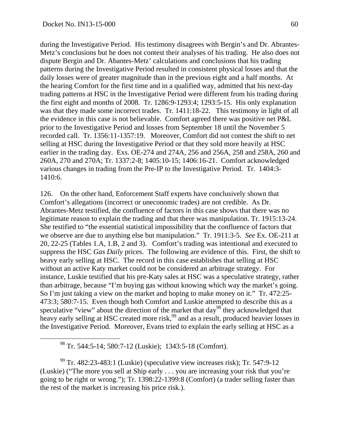during the Investigative Period. His testimony disagrees with Bergin's and Dr. Abrantes-Metz's conclusions but he does not contest their analyses of his trading. He also does not dispute Bergin and Dr. Abantes-Metz' calculations and conclusions that his trading patterns during the Investigative Period resulted in consistent physical losses and that the daily losses were of greater magnitude than in the previous eight and a half months. At the hearing Comfort for the first time and in a qualified way, admitted that his next-day trading patterns at HSC in the Investigative Period were different from his trading during the first eight and months of 2008. Tr. 1286:9-1293:4; 1293:5-15. His only explanation was that they made some incorrect trades. Tr. 1411:18-22. This testimony in light of all the evidence in this case is not believable. Comfort agreed there was positive net P&L prior to the Investigative Period and losses from September 18 until the November 5 recorded call. Tr. 1356:11-1357:19. Moreover, Comfort did not contest the shift to net selling at HSC during the Investigative Period or that they sold more heavily at HSC earlier in the trading day. Exs. OE-274 and 274A, 256 and 256A, 258 and 258A, 260 and 260A, 270 and 270A; Tr. 1337:2-8; 1405:10-15; 1406:16-21. Comfort acknowledged various changes in trading from the Pre-IP to the Investigative Period. Tr. 1404:3- 1410:6.

126. On the other hand, Enforcement Staff experts have conclusively shown that Comfort's allegations (incorrect or uneconomic trades) are not credible. As Dr. Abrantes-Metz testified, the confluence of factors in this case shows that there was no legitimate reason to explain the trading and that there was manipulation. Tr. 1915:13-24. She testified to "the essential statistical impossibility that the confluence of factors that we observe are due to anything else but manipulation." Tr. 1911:3-5. *See* Ex. OE-211 at 20, 22-25 (Tables 1.A, 1.B, 2 and 3). Comfort's trading was intentional and executed to suppress the HSC *Gas Daily* prices. The following are evidence of this. First, the shift to heavy early selling at HSC. The record in this case establishes that selling at HSC without an active Katy market could not be considered an arbitrage strategy. For instance, Luskie testified that his pre-Katy sales at HSC was a speculative strategy, rather than arbitrage, because "I'm buying gas without knowing which way the market's going. So I'm just taking a view on the market and hoping to make money on it." Tr. 472:25- 473:3; 580:7-15. Even though both Comfort and Luskie attempted to describe this as a speculative "view" about the direction of the market that  $day^{98}$  they acknowledged that heavy early selling at HSC created more risk,<sup>99</sup> and as a result, produced heavier losses in the Investigative Period. Moreover, Evans tried to explain the early selling at HSC as a

98 Tr. 544:5-14; 580:7-12 (Luskie); 1343:5-18 (Comfort).

 $99$  Tr. 482:23-483:1 (Luskie) (speculative view increases risk); Tr. 547:9-12 (Luskie) ("The more you sell at Ship early . . . you are increasing your risk that you're going to be right or wrong."); Tr. 1398:22-1399:8 (Comfort) (a trader selling faster than the rest of the market is increasing his price risk.).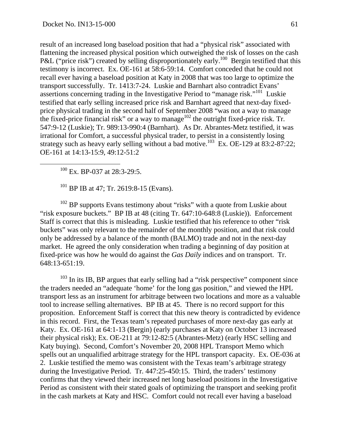result of an increased long baseload position that had a "physical risk" associated with flattening the increased physical position which outweighed the risk of losses on the cash P&L ("price risk") created by selling disproportionately early.<sup>100</sup> Bergin testified that this testimony is incorrect. Ex. OE-161 at 58:6-59:14. Comfort conceded that he could not recall ever having a baseload position at Katy in 2008 that was too large to optimize the transport successfully. Tr. 1413:7-24. Luskie and Barnhart also contradict Evans' assertions concerning trading in the Investigative Period to "manage risk."101 Luskie testified that early selling increased price risk and Barnhart agreed that next-day fixedprice physical trading in the second half of September 2008 "was not a way to manage the fixed-price financial risk" or a way to manage $102$  the outright fixed-price risk. Tr. 547:9-12 (Luskie); Tr. 989:13-990:4 (Barnhart). As Dr. Abrantes-Metz testified, it was irrational for Comfort, a successful physical trader, to persist in a consistently losing strategy such as heavy early selling without a bad motive.<sup>103</sup> Ex. OE-129 at 83:2-87:22; OE-161 at 14:13-15:9, 49:12-51:2

<sup>100</sup> Ex. BP-037 at 28:3-29:5.

<sup>101</sup> BP IB at 47; Tr. 2619:8-15 (Evans).

 $102$  BP supports Evans testimony about "risks" with a quote from Luskie about "risk exposure buckets." BP IB at 48 (citing Tr. 647:10-648:8 (Luskie)). Enforcement Staff is correct that this is misleading. Luskie testified that his reference to other "risk buckets" was only relevant to the remainder of the monthly position, and that risk could only be addressed by a balance of the month (BALMO) trade and not in the next-day market. He agreed the only consideration when trading a beginning of day position at fixed-price was how he would do against the *Gas Daily* indices and on transport. Tr. 648:13-651:19.

<sup>103</sup> In its IB, BP argues that early selling had a "risk perspective" component since the traders needed an "adequate 'home' for the long gas position," and viewed the HPL transport less as an instrument for arbitrage between two locations and more as a valuable tool to increase selling alternatives. BP IB at 45. There is no record support for this proposition. Enforcement Staff is correct that this new theory is contradicted by evidence in this record. First, the Texas team's repeated purchases of more next-day gas early at Katy. Ex. OE-161 at 64:1-13 (Bergin) (early purchases at Katy on October 13 increased their physical risk); Ex. OE-211 at 79:12-82:5 (Abrantes-Metz) (early HSC selling and Katy buying). Second, Comfort's November 20, 2008 HPL Transport Memo which spells out an unqualified arbitrage strategy for the HPL transport capacity. Ex. OE-036 at 2. Luskie testified the memo was consistent with the Texas team's arbitrage strategy during the Investigative Period. Tr. 447:25-450:15. Third, the traders' testimony confirms that they viewed their increased net long baseload positions in the Investigative Period as consistent with their stated goals of optimizing the transport and seeking profit in the cash markets at Katy and HSC. Comfort could not recall ever having a baseload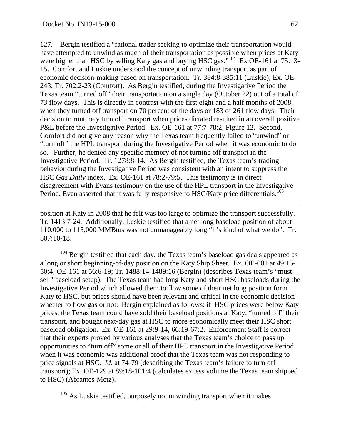127. Bergin testified a "rational trader seeking to optimize their transportation would have attempted to unwind as much of their transportation as possible when prices at Katy were higher than HSC by selling Katy gas and buying HSC gas."<sup>104</sup> Ex OE-161 at 75:13-15. Comfort and Luskie understood the concept of unwinding transport as part of economic decision-making based on transportation. Tr. 384:8-385:11 (Luskie); Ex. OE-243; Tr. 702:2-23 (Comfort). As Bergin testified, during the Investigative Period the Texas team "turned off" their transportation on a single day (October 22) out of a total of 73 flow days. This is directly in contrast with the first eight and a half months of 2008, when they turned off transport on 70 percent of the days or 183 of 261 flow days. Their decision to routinely turn off transport when prices dictated resulted in an overall positive P&L before the Investigative Period. Ex. OE-161 at 77:7-78:2, Figure 12. Second, Comfort did not give any reason why the Texas team frequently failed to "unwind" or "turn off" the HPL transport during the Investigative Period when it was economic to do so. Further, he denied any specific memory of not turning off transport in the Investigative Period. Tr. 1278:8-14. As Bergin testified, the Texas team's trading behavior during the Investigative Period was consistent with an intent to suppress the HSC *Gas Daily* index. Ex. OE-161 at 78:2-79:5. This testimony is in direct disagreement with Evans testimony on the use of the HPL transport in the Investigative Period, Evan asserted that it was fully responsive to HSC/Katy price differentials.<sup>105</sup>

position at Katy in 2008 that he felt was too large to optimize the transport successfully. Tr. 1413:7-24. Additionally, Luskie testified that a net long baseload position of about 110,000 to 115,000 MMBtus was not unmanageably long,"it's kind of what we do". Tr. 507:10-18.

<sup>104</sup> Bergin testified that each day, the Texas team's baseload gas deals appeared as a long or short beginning-of-day position on the Katy Ship Sheet. Ex. OE-001 at 49:15- 50:4; OE-161 at 56:6-19; Tr. 1488:14-1489:16 (Bergin) (describes Texas team's "mustsell" baseload setup). The Texas team had long Katy and short HSC baseloads during the Investigative Period which allowed them to flow some of their net long position form Katy to HSC, but prices should have been relevant and critical in the economic decision whether to flow gas or not. Bergin explained as follows: if HSC prices were below Katy prices, the Texas team could have sold their baseload positions at Katy, "turned off" their transport, and bought next-day gas at HSC to more economically meet their HSC short baseload obligation. Ex. OE-161 at 29:9-14, 66:19-67:2. Enforcement Staff is correct that their experts proved by various analyses that the Texas team's choice to pass up opportunities to "turn off" some or all of their HPL transport in the Investigative Period when it was economic was additional proof that the Texas team was not responding to price signals at HSC. *Id.* at 74-79 (describing the Texas team's failure to turn off transport); Ex. OE-129 at 89:18-101:4 (calculates excess volume the Texas team shipped to HSC) (Abrantes-Metz).

<sup>105</sup> As Luskie testified, purposely not unwinding transport when it makes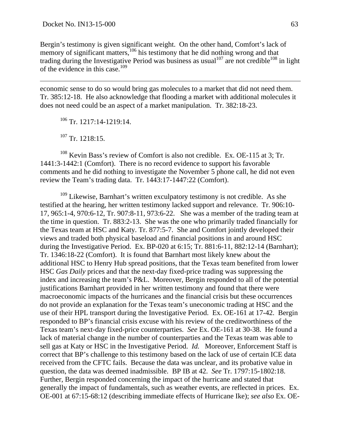Bergin's testimony is given significant weight. On the other hand, Comfort's lack of memory of significant matters, $106$  his testimony that he did nothing wrong and that trading during the Investigative Period was business as usual<sup>107</sup> are not credible<sup>108</sup> in light of the evidence in this case.<sup>109</sup>

economic sense to do so would bring gas molecules to a market that did not need them. Tr. 385:12-18. He also acknowledge that flooding a market with additional molecules it does not need could be an aspect of a market manipulation. Tr. 382:18-23.

106 Tr. 1217:14-1219:14.

107 Tr. 1218:15.

 $108$  Kevin Bass's review of Comfort is also not credible. Ex. OE-115 at 3; Tr. 1441:3-1442:1 (Comfort). There is no record evidence to support his favorable comments and he did nothing to investigate the November 5 phone call, he did not even review the Team's trading data. Tr. 1443:17-1447:22 (Comfort).

<sup>109</sup> Likewise, Barnhart's written exculpatory testimony is not credible. As she testified at the hearing, her written testimony lacked support and relevance. Tr. 906:10- 17, 965:1-4, 970:6-12, Tr. 907:8-11, 973:6-22. She was a member of the trading team at the time in question. Tr. 883:2-13. She was the one who primarily traded financially for the Texas team at HSC and Katy. Tr. 877:5-7. She and Comfort jointly developed their views and traded both physical baseload and financial positions in and around HSC during the Investigative Period. Ex. BP-020 at 6:15; Tr. 881:6-11, 882:12-14 (Barnhart); Tr. 1346:18-22 (Comfort). It is found that Barnhart most likely knew about the additional HSC to Henry Hub spread positions, that the Texas team benefited from lower HSC *Gas Daily* prices and that the next-day fixed-price trading was suppressing the index and increasing the team's P&L. Moreover, Bergin responded to all of the potential justifications Barnhart provided in her written testimony and found that there were macroeconomic impacts of the hurricanes and the financial crisis but these occurrences do not provide an explanation for the Texas team's uneconomic trading at HSC and the use of their HPL transport during the Investigative Period. Ex. OE-161 at 17-42. Bergin responded to BP's financial crisis excuse with his review of the creditworthiness of the Texas team's next-day fixed-price counterparties. *See* Ex. OE-161 at 30-38. He found a lack of material change in the number of counterparties and the Texas team was able to sell gas at Katy or HSC in the Investigative Period. *Id.* Moreover, Enforcement Staff is correct that BP's challenge to this testimony based on the lack of use of certain ICE data received from the CFTC fails. Because the data was unclear, and its probative value in question, the data was deemed inadmissible. BP IB at 42. *See* Tr. 1797:15-1802:18. Further, Bergin responded concerning the impact of the hurricane and stated that generally the impact of fundamentals, such as weather events, are reflected in prices. Ex. OE-001 at 67:15-68:12 (describing immediate effects of Hurricane Ike); *see also* Ex. OE-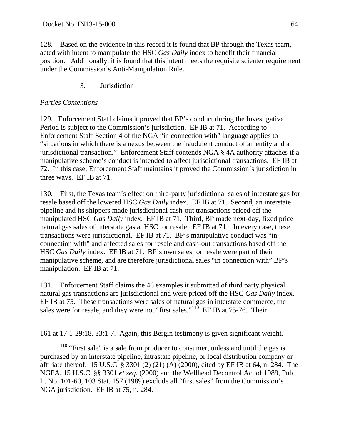128. Based on the evidence in this record it is found that BP through the Texas team, acted with intent to manipulate the HSC *Gas Daily* index to benefit their financial position. Additionally, it is found that this intent meets the requisite scienter requirement under the Commission's Anti-Manipulation Rule.

## 3. Jurisdiction

#### *Parties Contentions*

 $\overline{a}$ 

129. Enforcement Staff claims it proved that BP's conduct during the Investigative Period is subject to the Commission's jurisdiction. EF IB at 71. According to Enforcement Staff Section 4 of the NGA "in connection with" language applies to "situations in which there is a nexus between the fraudulent conduct of an entity and a jurisdictional transaction." Enforcement Staff contends NGA § 4A authority attaches if a manipulative scheme's conduct is intended to affect jurisdictional transactions. EF IB at 72. In this case, Enforcement Staff maintains it proved the Commission's jurisdiction in three ways. EF IB at 71.

130. First, the Texas team's effect on third-party jurisdictional sales of interstate gas for resale based off the lowered HSC *Gas Daily* index. EF IB at 71. Second, an interstate pipeline and its shippers made jurisdictional cash-out transactions priced off the manipulated HSC *Gas Daily* index. EF IB at 71. Third, BP made next-day, fixed price natural gas sales of interstate gas at HSC for resale. EF IB at 71. In every case, these transactions were jurisdictional. EF IB at 71. BP's manipulative conduct was "in connection with" and affected sales for resale and cash-out transactions based off the HSC *Gas Daily* index. EF IB at 71. BP's own sales for resale were part of their manipulative scheme, and are therefore jurisdictional sales "in connection with" BP's manipulation. EF IB at 71.

131. Enforcement Staff claims the 46 examples it submitted of third party physical natural gas transactions are jurisdictional and were priced off the HSC *Gas Daily* index. EF IB at 75. These transactions were sales of natural gas in interstate commerce, the sales were for resale, and they were not "first sales."<sup>110</sup> EF IB at 75-76. Their

161 at 17:1-29:18, 33:1-7. Again, this Bergin testimony is given significant weight.

<sup>110</sup> "First sale" is a sale from producer to consumer, unless and until the gas is purchased by an interstate pipeline, intrastate pipeline, or local distribution company or affiliate thereof. 15 U.S.C. § 3301 (2) (21) (A) (2000), cited by EF IB at 64, n. 284. The NGPA, 15 U.S.C. §§ 3301 *et seq*. (2000) and the Wellhead Decontrol Act of 1989, Pub. L. No. 101-60, 103 Stat. 157 (1989) exclude all "first sales" from the Commission's NGA jurisdiction. EF IB at 75, n. 284.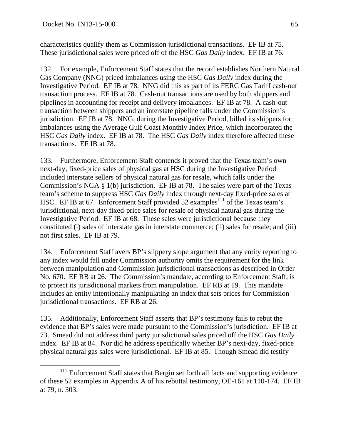characteristics qualify them as Commission jurisdictional transactions. EF IB at 75. These jurisdictional sales were priced off of the HSC *Gas Daily* index. EF IB at 76.

132. For example, Enforcement Staff states that the record establishes Northern Natural Gas Company (NNG) priced imbalances using the HSC *Gas Daily* index during the Investigative Period. EF IB at 78. NNG did this as part of its FERC Gas Tariff cash-out transaction process. EF IB at 78. Cash-out transactions are used by both shippers and pipelines in accounting for receipt and delivery imbalances. EF IB at 78. A cash-out transaction between shippers and an interstate pipeline falls under the Commission's jurisdiction. EF IB at 78. NNG, during the Investigative Period, billed its shippers for imbalances using the Average Gulf Coast Monthly Index Price, which incorporated the HSC *Gas Daily* index. EF IB at 78. The HSC *Gas Daily* index therefore affected these transactions. EF IB at 78.

133. Furthermore, Enforcement Staff contends it proved that the Texas team's own next-day, fixed-price sales of physical gas at HSC during the Investigative Period included interstate sellers of physical natural gas for resale, which falls under the Commission's NGA § 1(b) jurisdiction. EF IB at 78. The sales were part of the Texas team's scheme to suppress HSC *Gas Daily* index through next-day fixed-price sales at HSC. EF IB at 67. Enforcement Staff provided 52 examples<sup>111</sup> of the Texas team's jurisdictional, next-day fixed-price sales for resale of physical natural gas during the Investigative Period. EF IB at 68. These sales were jurisdictional because they constituted (i) sales of interstate gas in interstate commerce; (ii) sales for resale; and (iii) not first sales. EF IB at 79.

134. Enforcement Staff avers BP's slippery slope argument that any entity reporting to any index would fall under Commission authority omits the requirement for the link between manipulation and Commission jurisdictional transactions as described in Order No. 670. EF RB at 26. The Commission's mandate, according to Enforcement Staff, is to protect its jurisdictional markets from manipulation. EF RB at 19. This mandate includes an entity intentionally manipulating an index that sets prices for Commission jurisdictional transactions. EF RB at 26.

135. Additionally, Enforcement Staff asserts that BP's testimony fails to rebut the evidence that BP's sales were made pursuant to the Commission's jurisdiction. EF IB at 73. Smead did not address third party jurisdictional sales priced off the HSC *Gas Daily* index. EF IB at 84. Nor did he address specifically whether BP's next-day, fixed-price physical natural gas sales were jurisdictional. EF IB at 85. Though Smead did testify

<sup>&</sup>lt;sup>111</sup> Enforcement Staff states that Bergin set forth all facts and supporting evidence of these 52 examples in Appendix A of his rebuttal testimony, OE-161 at 110-174. EF IB at 79, n. 303.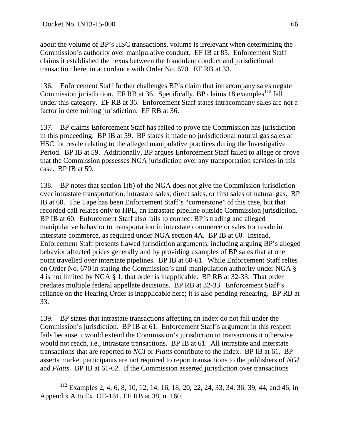about the volume of BP's HSC transactions, volume is irrelevant when determining the Commission's authority over manipulative conduct. EF IB at 85. Enforcement Staff claims it established the nexus between the fraudulent conduct and jurisdictional transaction here, in accordance with Order No. 670. EF RB at 33.

136. Enforcement Staff further challenges BP's claim that intracompany sales negate Commission jurisdiction. EF RB at 36. Specifically, BP claims  $18$  examples<sup>112</sup> fall under this category. EF RB at 36. Enforcement Staff states intracompany sales are not a factor in determining jurisdiction. EF RB at 36.

137. BP claims Enforcement Staff has failed to prove the Commission has jurisdiction in this proceeding. BP IB at 59. BP states it made no jurisdictional natural gas sales at HSC for resale relating to the alleged manipulative practices during the Investigative Period. BP IB at 59. Additionally, BP argues Enforcement Staff failed to allege or prove that the Commission possesses NGA jurisdiction over any transportation services in this case. BP IB at 59.

138. BP notes that section 1(b) of the NGA does not give the Commission jurisdiction over intrastate transportation, intrastate sales, direct sales, or first sales of natural gas. BP IB at 60. The Tape has been Enforcement Staff's "cornerstone" of this case, but that recorded call relates only to HPL, an intrastate pipeline outside Commission jurisdiction. BP IB at 60. Enforcement Staff also fails to connect BP's trading and alleged manipulative behavior to transportation in interstate commerce or sales for resale in interstate commerce, as required under NGA section 4A. BP IB at 60. Instead, Enforcement Staff presents flawed jurisdiction arguments, including arguing BP's alleged behavior affected prices generally and by providing examples of BP sales that at one point travelled over interstate pipelines. BP IB at 60-61. While Enforcement Staff relies on Order No. 670 in stating the Commission's anti-manipulation authority under NGA § 4 is not limited by NGA § 1, that order is inapplicable. BP RB at 32-33. That order predates multiple federal appellate decisions. BP RB at 32-33. Enforcement Staff's reliance on the Hearing Order is inapplicable here; it is also pending rehearing. BP RB at 33.

139. BP states that intrastate transactions affecting an index do not fall under the Commission's jurisdiction. BP IB at 61. Enforcement Staff's argument in this respect fails because it would extend the Commission's jurisdiction to transactions it otherwise would not reach, i.e., intrastate transactions. BP IB at 61. All intrastate and interstate transactions that are reported to *NGI* or *Platts* contribute to the index. BP IB at 61. BP asserts market participants are not required to report transactions to the publishers of *NGI* and *Platts*. BP IB at 61-62. If the Commission asserted jurisdiction over transactions

 <sup>112</sup> Examples 2, 4, 6, 8, 10, 12, 14, 16, 18, 20, 22, 24, 33, 34, 36, 39, 44, and 46, in Appendix A to Ex. OE-161. EF RB at 38, n. 160.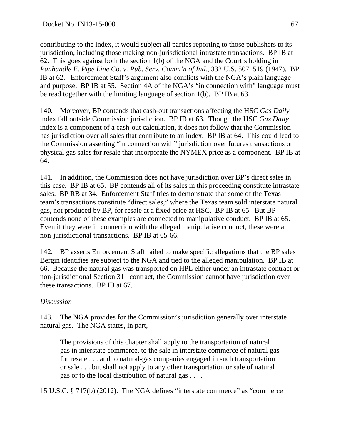contributing to the index, it would subject all parties reporting to those publishers to its jurisdiction, including those making non-jurisdictional intrastate transactions. BP IB at 62. This goes against both the section 1(b) of the NGA and the Court's holding in *Panhandle E. Pipe Line Co. v. Pub. Serv. Comm'n of Ind.*, 332 U.S. 507, 519 (1947). BP IB at 62. Enforcement Staff's argument also conflicts with the NGA's plain language and purpose. BP IB at 55. Section 4A of the NGA's "in connection with" language must be read together with the limiting language of section 1(b). BP IB at 63.

140. Moreover, BP contends that cash-out transactions affecting the HSC *Gas Daily* index fall outside Commission jurisdiction. BP IB at 63. Though the HSC *Gas Daily* index is a component of a cash-out calculation, it does not follow that the Commission has jurisdiction over all sales that contribute to an index. BP IB at 64. This could lead to the Commission asserting "in connection with" jurisdiction over futures transactions or physical gas sales for resale that incorporate the NYMEX price as a component. BP IB at 64.

141. In addition, the Commission does not have jurisdiction over BP's direct sales in this case. BP IB at 65. BP contends all of its sales in this proceeding constitute intrastate sales. BP RB at 34. Enforcement Staff tries to demonstrate that some of the Texas team's transactions constitute "direct sales," where the Texas team sold interstate natural gas, not produced by BP, for resale at a fixed price at HSC. BP IB at 65. But BP contends none of these examples are connected to manipulative conduct. BP IB at 65. Even if they were in connection with the alleged manipulative conduct, these were all non-jurisdictional transactions. BP IB at 65-66.

142. BP asserts Enforcement Staff failed to make specific allegations that the BP sales Bergin identifies are subject to the NGA and tied to the alleged manipulation. BP IB at 66. Because the natural gas was transported on HPL either under an intrastate contract or non-jurisdictional Section 311 contract, the Commission cannot have jurisdiction over these transactions. BP IB at 67.

### *Discussion*

143. The NGA provides for the Commission's jurisdiction generally over interstate natural gas. The NGA states, in part,

The provisions of this chapter shall apply to the transportation of natural gas in interstate commerce, to the sale in interstate commerce of natural gas for resale . . . and to natural-gas companies engaged in such transportation or sale . . . but shall not apply to any other transportation or sale of natural gas or to the local distribution of natural gas . . . .

15 U.S.C. § 717(b) (2012). The NGA defines "interstate commerce" as "commerce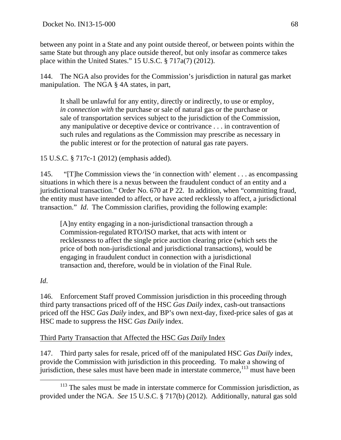between any point in a State and any point outside thereof, or between points within the same State but through any place outside thereof, but only insofar as commerce takes place within the United States." 15 U.S.C. § 717a(7) (2012).

144. The NGA also provides for the Commission's jurisdiction in natural gas market manipulation. The NGA § 4A states, in part,

It shall be unlawful for any entity, directly or indirectly, to use or employ, *in connection with* the purchase or sale of natural gas or the purchase or sale of transportation services subject to the jurisdiction of the Commission, any manipulative or deceptive device or contrivance . . . in contravention of such rules and regulations as the Commission may prescribe as necessary in the public interest or for the protection of natural gas rate payers.

15 U.S.C. § 717c-1 (2012) (emphasis added).

145. "[T]he Commission views the 'in connection with' element . . . as encompassing situations in which there is a nexus between the fraudulent conduct of an entity and a jurisdictional transaction." Order No. 670 at P 22. In addition, when "committing fraud, the entity must have intended to affect, or have acted recklessly to affect, a jurisdictional transaction." *Id*. The Commission clarifies, providing the following example:

[A]ny entity engaging in a non-jurisdictional transaction through a Commission-regulated RTO/ISO market, that acts with intent or recklessness to affect the single price auction clearing price (which sets the price of both non-jurisdictional and jurisdictional transactions), would be engaging in fraudulent conduct in connection with a jurisdictional transaction and, therefore, would be in violation of the Final Rule.

### *Id*.

146. Enforcement Staff proved Commission jurisdiction in this proceeding through third party transactions priced off of the HSC *Gas Daily* index, cash-out transactions priced off the HSC *Gas Daily* index, and BP's own next-day, fixed-price sales of gas at HSC made to suppress the HSC *Gas Daily* index.

### Third Party Transaction that Affected the HSC *Gas Daily* Index

147. Third party sales for resale, priced off of the manipulated HSC *Gas Daily* index, provide the Commission with jurisdiction in this proceeding. To make a showing of jurisdiction, these sales must have been made in interstate commerce,  $113$  must have been

<sup>&</sup>lt;sup>113</sup> The sales must be made in interstate commerce for Commission jurisdiction, as provided under the NGA. *See* 15 U.S.C. § 717(b) (2012). Additionally, natural gas sold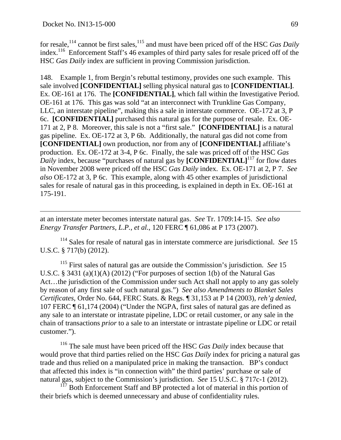$\overline{a}$ 

for resale,<sup>114</sup> cannot be first sales,<sup>115</sup> and must have been priced off of the HSC *Gas Daily* index.<sup>116</sup> Enforcement Staff's 46 examples of third party sales for resale priced off of the HSC *Gas Daily* index are sufficient in proving Commission jurisdiction.

148. Example 1, from Bergin's rebuttal testimony, provides one such example. This sale involved **[CONFIDENTIAL]** selling physical natural gas to **[CONFIDENTIAL]**. Ex. OE-161 at 176. The **[CONFIDENTIAL]**, which fall within the Investigative Period. OE-161 at 176. This gas was sold "at an interconnect with Trunkline Gas Company, LLC, an interstate pipeline", making this a sale in interstate commerce. OE-172 at 3, P 6c. **[CONFIDENTIAL]** purchased this natural gas for the purpose of resale. Ex. OE-171 at 2, P 8. Moreover, this sale is not a "first sale." **[CONFIDENTIAL]** is a natural gas pipeline. Ex. OE-172 at 3, P 6b. Additionally, the natural gas did not come from **[CONFIDENTIAL]** own production, nor from any of **[CONFIDENTIAL]** affiliate's production. Ex. OE-172 at 3-4, P 6c. Finally, the sale was priced off of the HSC *Gas Daily* index, because "purchases of natural gas by **[CONFIDENTIAL**]<sup>117</sup> for flow dates in November 2008 were priced off the HSC *Gas Daily* index. Ex. OE-171 at 2, P 7. *See also* OE-172 at 3, P 6c. This example, along with 45 other examples of jurisdictional sales for resale of natural gas in this proceeding, is explained in depth in Ex. OE-161 at 175-191.

at an interstate meter becomes interstate natural gas. *See* Tr. 1709:14-15. *See also Energy Transfer Partners, L.P.*, *et al.*, 120 FERC ¶ 61,086 at P 173 (2007).

114 Sales for resale of natural gas in interstate commerce are jurisdictional. *See* 15 U.S.C. § 717(b) (2012).

115 First sales of natural gas are outside the Commission's jurisdiction. *See* 15 U.S.C. § 3431 (a)(1)(A) (2012) ("For purposes of section 1(b) of the Natural Gas Act…the jurisdiction of the Commission under such Act shall not apply to any gas solely by reason of any first sale of such natural gas.") *See also Amendments to Blanket Sales Certificates*, Order No. 644, FERC Stats. & Regs. ¶ 31,153 at P 14 (2003), *reh'g denied*, 107 FERC ¶ 61,174 (2004) ("Under the NGPA, first sales of natural gas are defined as any sale to an interstate or intrastate pipeline, LDC or retail customer, or any sale in the chain of transactions *prior* to a sale to an interstate or intrastate pipeline or LDC or retail customer.").

116 The sale must have been priced off the HSC *Gas Daily* index because that would prove that third parties relied on the HSC *Gas Daily* index for pricing a natural gas trade and thus relied on a manipulated price in making the transaction. BP's conduct that affected this index is "in connection with" the third parties' purchase or sale of natural gas, subject to the Commission's jurisdiction. *See* 15 U.S.C. § 717c-1 (2012).

 $117$  Both Enforcement Staff and BP protected a lot of material in this portion of their briefs which is deemed unnecessary and abuse of confidentiality rules.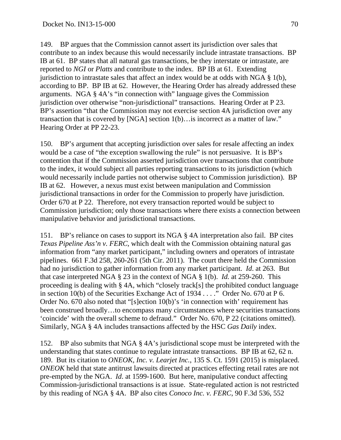149. BP argues that the Commission cannot assert its jurisdiction over sales that contribute to an index because this would necessarily include intrastate transactions. BP IB at 61. BP states that all natural gas transactions, be they interstate or intrastate, are reported to *NGI* or *Platts* and contribute to the index. BP IB at 61. Extending jurisdiction to intrastate sales that affect an index would be at odds with NGA  $\S$  1(b), according to BP. BP IB at 62. However, the Hearing Order has already addressed these arguments. NGA § 4A's "in connection with" language gives the Commission jurisdiction over otherwise "non-jurisdictional" transactions. Hearing Order at P 23. BP's assertion "that the Commission may not exercise section 4A jurisdiction over any transaction that is covered by [NGA] section 1(b)…is incorrect as a matter of law." Hearing Order at PP 22-23.

150. BP's argument that accepting jurisdiction over sales for resale affecting an index would be a case of "the exception swallowing the rule" is not persuasive. It is BP's contention that if the Commission asserted jurisdiction over transactions that contribute to the index, it would subject all parties reporting transactions to its jurisdiction (which would necessarily include parties not otherwise subject to Commission jurisdiction). BP IB at 62. However, a nexus must exist between manipulation and Commission jurisdictional transactions in order for the Commission to properly have jurisdiction. Order 670 at P 22. Therefore, not every transaction reported would be subject to Commission jurisdiction; only those transactions where there exists a connection between manipulative behavior and jurisdictional transactions.

151. BP's reliance on cases to support its NGA § 4A interpretation also fail. BP cites *Texas Pipeline Ass'n v. FERC*, which dealt with the Commission obtaining natural gas information from "any market participant," including owners and operators of intrastate pipelines. 661 F.3d 258, 260-261 (5th Cir. 2011). The court there held the Commission had no jurisdiction to gather information from any market participant. *Id*. at 263. But that case interpreted NGA § 23 in the context of NGA § 1(b). *Id.* at 259-260. This proceeding is dealing with § 4A, which "closely track[s] the prohibited conduct language in section 10(b) of the Securities Exchange Act of 1934 . . . ." Order No. 670 at P 6. Order No. 670 also noted that "[s]ection 10(b)'s 'in connection with' requirement has been construed broadly…to encompass many circumstances where securities transactions 'coincide' with the overall scheme to defraud." Order No. 670, P 22 (citations omitted). Similarly, NGA § 4A includes transactions affected by the HSC *Gas Daily* index.

152. BP also submits that NGA § 4A's jurisdictional scope must be interpreted with the understanding that states continue to regulate intrastate transactions. BP IB at 62, 62 n. 189. But its citation to *ONEOK, Inc. v. Learjet Inc.*, 135 S. Ct. 1591 (2015) is misplaced. *ONEOK* held that state antitrust lawsuits directed at practices effecting retail rates are not pre-empted by the NGA. *Id*. at 1599-1600. But here, manipulative conduct affecting Commission-jurisdictional transactions is at issue. State-regulated action is not restricted by this reading of NGA § 4A. BP also cites *Conoco Inc. v. FERC*, 90 F.3d 536, 552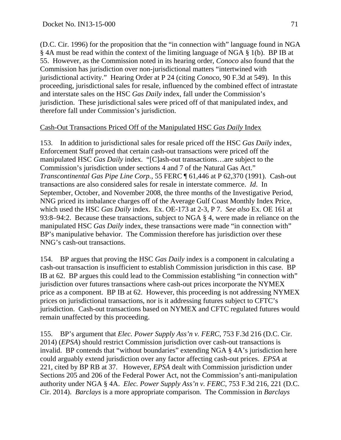(D.C. Cir. 1996) for the proposition that the "in connection with" language found in NGA § 4A must be read within the context of the limiting language of NGA § 1(b). BP IB at 55. However, as the Commission noted in its hearing order, *Conoco* also found that the Commission has jurisdiction over non-jurisdictional matters "intertwined with jurisdictional activity." Hearing Order at P 24 (citing *Conoco*, 90 F.3d at 549). In this proceeding, jurisdictional sales for resale, influenced by the combined effect of intrastate and interstate sales on the HSC *Gas Daily* index, fall under the Commission's jurisdiction. These jurisdictional sales were priced off of that manipulated index, and therefore fall under Commission's jurisdiction.

### Cash-Out Transactions Priced Off of the Manipulated HSC *Gas Daily* Index

153. In addition to jurisdictional sales for resale priced off the HSC *Gas Daily* index, Enforcement Staff proved that certain cash-out transactions were priced off the manipulated HSC *Gas Daily* index. "[C]ash-out transactions…are subject to the Commission's jurisdiction under sections 4 and 7 of the Natural Gas Act." *Transcontinental Gas Pipe Line Corp.*, 55 FERC ¶ 61,446 at P 62,370 (1991). Cash-out transactions are also considered sales for resale in interstate commerce. *Id*. In September, October, and November 2008, the three months of the Investigative Period, NNG priced its imbalance charges off of the Average Gulf Coast Monthly Index Price, which used the HSC *Gas Daily* index. Ex. OE-173 at 2-3, P 7. *See also* Ex. OE 161 at 93:8–94:2. Because these transactions, subject to NGA § 4, were made in reliance on the manipulated HSC *Gas Daily* index, these transactions were made "in connection with" BP's manipulative behavior. The Commission therefore has jurisdiction over these NNG's cash-out transactions.

154. BP argues that proving the HSC *Gas Daily* index is a component in calculating a cash-out transaction is insufficient to establish Commission jurisdiction in this case. BP IB at 62. BP argues this could lead to the Commission establishing "in connection with" jurisdiction over futures transactions where cash-out prices incorporate the NYMEX price as a component. BP IB at 62. However, this proceeding is not addressing NYMEX prices on jurisdictional transactions, nor is it addressing futures subject to CFTC's jurisdiction. Cash-out transactions based on NYMEX and CFTC regulated futures would remain unaffected by this proceeding.

155. BP's argument that *Elec. Power Supply Ass'n v. FERC*, 753 F.3d 216 (D.C. Cir. 2014) (*EPSA*) should restrict Commission jurisdiction over cash-out transactions is invalid. BP contends that "without boundaries" extending NGA § 4A's jurisdiction here could arguably extend jurisdiction over any factor affecting cash-out prices. *EPSA* at 221, cited by BP RB at 37. However, *EPSA* dealt with Commission jurisdiction under Sections 205 and 206 of the Federal Power Act, not the Commission's anti-manipulation authority under NGA § 4A. *Elec. Power Supply Ass'n v. FERC*, 753 F.3d 216, 221 (D.C. Cir. 2014). *Barclays* is a more appropriate comparison. The Commission in *Barclays*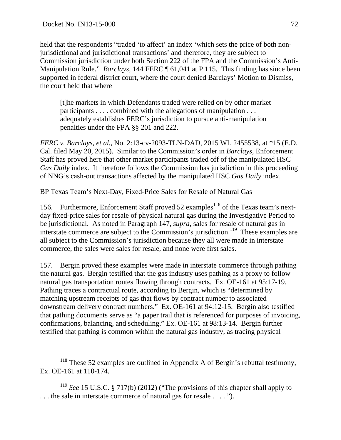held that the respondents "traded 'to affect' an index 'which sets the price of both nonjurisdictional and jurisdictional transactions' and therefore, they are subject to Commission jurisdiction under both Section 222 of the FPA and the Commission's Anti-Manipulation Rule." *Barclays*, 144 FERC ¶ 61,041 at P 115. This finding has since been supported in federal district court, where the court denied Barclays' Motion to Dismiss, the court held that where

[t]he markets in which Defendants traded were relied on by other market participants . . . . combined with the allegations of manipulation . . . adequately establishes FERC's jurisdiction to pursue anti-manipulation penalties under the FPA §§ 201 and 222.

*FERC v. Barclays, et al.*, No. 2:13-cv-2093-TLN-DAD, 2015 WL 2455538, at \*15 (E.D. Cal. filed May 20, 2015). Similar to the Commission's order in *Barclays*, Enforcement Staff has proved here that other market participants traded off of the manipulated HSC *Gas Daily* index. It therefore follows the Commission has jurisdiction in this proceeding of NNG's cash-out transactions affected by the manipulated HSC *Gas Daily* index.

#### BP Texas Team's Next-Day, Fixed-Price Sales for Resale of Natural Gas

156. Furthermore, Enforcement Staff proved 52 examples<sup>118</sup> of the Texas team's nextday fixed-price sales for resale of physical natural gas during the Investigative Period to be jurisdictional. As noted in Paragraph 147, *supra*, sales for resale of natural gas in interstate commerce are subject to the Commission's jurisdiction.<sup>119</sup> These examples are all subject to the Commission's jurisdiction because they all were made in interstate commerce, the sales were sales for resale, and none were first sales.

157. Bergin proved these examples were made in interstate commerce through pathing the natural gas. Bergin testified that the gas industry uses pathing as a proxy to follow natural gas transportation routes flowing through contracts. Ex. OE-161 at 95:17-19. Pathing traces a contractual route, according to Bergin, which is "determined by matching upstream receipts of gas that flows by contract number to associated downstream delivery contract numbers." Ex. OE-161 at 94:12-15. Bergin also testified that pathing documents serve as "a paper trail that is referenced for purposes of invoicing, confirmations, balancing, and scheduling." Ex. OE-161 at 98:13-14. Bergin further testified that pathing is common within the natural gas industry, as tracing physical

<sup>&</sup>lt;sup>118</sup> These 52 examples are outlined in Appendix A of Bergin's rebuttal testimony, Ex. OE-161 at 110-174.

<sup>&</sup>lt;sup>119</sup> *See* 15 U.S.C. § 717(b) (2012) ("The provisions of this chapter shall apply to . . . the sale in interstate commerce of natural gas for resale . . . . ").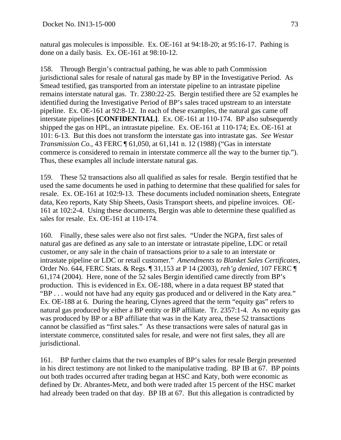natural gas molecules is impossible. Ex. OE-161 at 94:18-20; at 95:16-17. Pathing is done on a daily basis. Ex. OE-161 at 98:10-12.

158. Through Bergin's contractual pathing, he was able to path Commission jurisdictional sales for resale of natural gas made by BP in the Investigative Period. As Smead testified, gas transported from an interstate pipeline to an intrastate pipeline remains interstate natural gas. Tr. 2380:22-25. Bergin testified there are 52 examples he identified during the Investigative Period of BP's sales traced upstream to an interstate pipeline. Ex. OE-161 at 92:8-12. In each of these examples, the natural gas came off interstate pipelines **[CONFIDENTIAL]**. Ex. OE-161 at 110-174. BP also subsequently shipped the gas on HPL, an intrastate pipeline. Ex. OE-161 at 110-174; Ex. OE-161 at 101: 6-13. But this does not transform the interstate gas into intrastate gas. *See Westar Transmission Co.*, 43 FERC ¶ 61,050, at 61,141 n. 12 (1988) ("Gas in interstate commerce is considered to remain in interstate commerce all the way to the burner tip."). Thus, these examples all include interstate natural gas.

159. These 52 transactions also all qualified as sales for resale. Bergin testified that he used the same documents he used in pathing to determine that these qualified for sales for resale. Ex. OE-161 at 102:9-13. These documents included nomination sheets, Entegrate data, Keo reports, Katy Ship Sheets, Oasis Transport sheets, and pipeline invoices. OE-161 at 102:2-4. Using these documents, Bergin was able to determine these qualified as sales for resale. Ex. OE-161 at 110-174.

160. Finally, these sales were also not first sales. "Under the NGPA, first sales of natural gas are defined as any sale to an interstate or intrastate pipeline, LDC or retail customer, or any sale in the chain of transactions prior to a sale to an interstate or intrastate pipeline or LDC or retail customer." *Amendments to Blanket Sales Certificates*, Order No. 644, FERC Stats. & Regs. ¶ 31,153 at P 14 (2003), *reh'g denied*, 107 FERC ¶ 61,174 (2004). Here, none of the 52 sales Bergin identified came directly from BP's production. This is evidenced in Ex. OE-188, where in a data request BP stated that "BP . . . would not have had any equity gas produced and or delivered in the Katy area." Ex. OE-188 at 6. During the hearing, Clynes agreed that the term "equity gas" refers to natural gas produced by either a BP entity or BP affiliate. Tr. 2357:1-4. As no equity gas was produced by BP or a BP affiliate that was in the Katy area, these 52 transactions cannot be classified as "first sales." As these transactions were sales of natural gas in interstate commerce, constituted sales for resale, and were not first sales, they all are jurisdictional.

161. BP further claims that the two examples of BP's sales for resale Bergin presented in his direct testimony are not linked to the manipulative trading. BP IB at 67. BP points out both trades occurred after trading began at HSC and Katy, both were economic as defined by Dr. Abrantes-Metz, and both were traded after 15 percent of the HSC market had already been traded on that day. BP IB at 67. But this allegation is contradicted by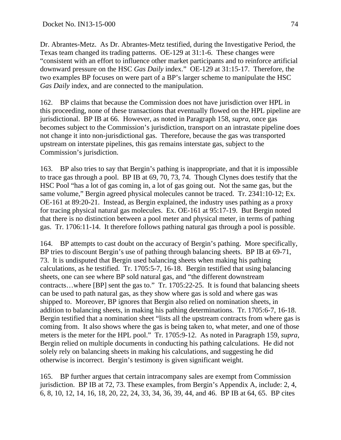Dr. Abrantes-Metz. As Dr. Abrantes-Metz testified, during the Investigative Period, the Texas team changed its trading patterns. OE-129 at 31:1-6. These changes were "consistent with an effort to influence other market participants and to reinforce artificial downward pressure on the HSC *Gas Daily* index." OE-129 at 31:15-17. Therefore, the two examples BP focuses on were part of a BP's larger scheme to manipulate the HSC *Gas Daily* index, and are connected to the manipulation.

162. BP claims that because the Commission does not have jurisdiction over HPL in this proceeding, none of these transactions that eventually flowed on the HPL pipeline are jurisdictional. BP IB at 66. However, as noted in Paragraph 158, *supra*, once gas becomes subject to the Commission's jurisdiction, transport on an intrastate pipeline does not change it into non-jurisdictional gas. Therefore, because the gas was transported upstream on interstate pipelines, this gas remains interstate gas, subject to the Commission's jurisdiction.

163. BP also tries to say that Bergin's pathing is inappropriate, and that it is impossible to trace gas through a pool. BP IB at 69, 70, 73, 74. Though Clynes does testify that the HSC Pool "has a lot of gas coming in, a lot of gas going out. Not the same gas, but the same volume," Bergin agreed physical molecules cannot be traced. Tr. 2341:10-12; Ex. OE-161 at 89:20-21. Instead, as Bergin explained, the industry uses pathing as a proxy for tracing physical natural gas molecules. Ex. OE-161 at 95:17-19. But Bergin noted that there is no distinction between a pool meter and physical meter, in terms of pathing gas. Tr. 1706:11-14. It therefore follows pathing natural gas through a pool is possible.

164. BP attempts to cast doubt on the accuracy of Bergin's pathing. More specifically, BP tries to discount Bergin's use of pathing through balancing sheets. BP IB at 69-71, 73. It is undisputed that Bergin used balancing sheets when making his pathing calculations, as he testified. Tr. 1705:5-7, 16-18. Bergin testified that using balancing sheets, one can see where BP sold natural gas, and "the different downstream contracts…where [BP] sent the gas to." Tr. 1705:22-25. It is found that balancing sheets can be used to path natural gas, as they show where gas is sold and where gas was shipped to. Moreover, BP ignores that Bergin also relied on nomination sheets, in addition to balancing sheets, in making his pathing determinations. Tr. 1705:6-7, 16-18. Bergin testified that a nomination sheet "lists all the upstream contracts from where gas is coming from. It also shows where the gas is being taken to, what meter, and one of those meters is the meter for the HPL pool." Tr. 1705:9-12. As noted in Paragraph 159, *supra*, Bergin relied on multiple documents in conducting his pathing calculations. He did not solely rely on balancing sheets in making his calculations, and suggesting he did otherwise is incorrect. Bergin's testimony is given significant weight.

165. BP further argues that certain intracompany sales are exempt from Commission jurisdiction. BP IB at 72, 73. These examples, from Bergin's Appendix A, include: 2, 4, 6, 8, 10, 12, 14, 16, 18, 20, 22, 24, 33, 34, 36, 39, 44, and 46. BP IB at 64, 65. BP cites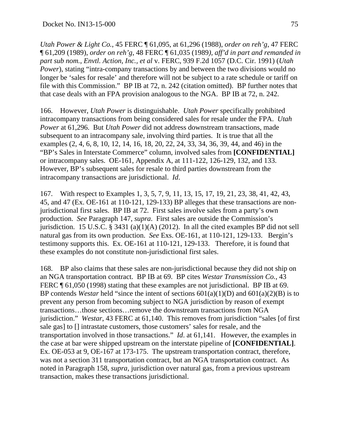*Utah Power & Light Co.*, 45 FERC ¶ 61,095, at 61,296 (1988), *order on reh'g*, 47 FERC ¶ 61,209 (1989), *order on reh'g*, 48 FERC ¶ 61,035 (1989*), aff'd in part and remanded in part sub nom.*, *Envtl. Action, Inc., et al* v. FERC, 939 F.2d 1057 (D.C. Cir. 1991) (*Utah Power*), stating "intra-company transactions by and between the two divisions would no longer be 'sales for resale' and therefore will not be subject to a rate schedule or tariff on file with this Commission." BP IB at 72, n. 242 (citation omitted). BP further notes that that case deals with an FPA provision analogous to the NGA. BP IB at 72, n. 242.

166. However, *Utah Power* is distinguishable. *Utah Power* specifically prohibited intracompany transactions from being considered sales for resale under the FPA. *Utah Power* at 61,296. But *Utah Power* did not address downstream transactions, made subsequent to an intracompany sale, involving third parties. It is true that all the examples (2, 4, 6, 8, 10, 12, 14, 16, 18, 20, 22, 24, 33, 34, 36, 39, 44, and 46) in the "BP's Sales in Interstate Commerce" column, involved sales from **[CONFIDENTIAL]** or intracompany sales. OE-161, Appendix A, at 111-122, 126-129, 132, and 133. However, BP's subsequent sales for resale to third parties downstream from the intracompany transactions are jurisdictional. *Id*.

167. With respect to Examples 1, 3, 5, 7, 9, 11, 13, 15, 17, 19, 21, 23, 38, 41, 42, 43, 45, and 47 (Ex. OE-161 at 110-121, 129-133) BP alleges that these transactions are nonjurisdictional first sales. BP IB at 72. First sales involve sales from a party's own production. *See* Paragraph 147, *supra*. First sales are outside the Commission's jurisdiction. 15 U.S.C. § 3431 (a)(1)(A) (2012). In all the cited examples BP did not sell natural gas from its own production. *See* Exs. OE-161, at 110-121, 129-133. Bergin's testimony supports this. Ex. OE-161 at 110-121, 129-133. Therefore, it is found that these examples do not constitute non-jurisdictional first sales.

168. BP also claims that these sales are non-jurisdictional because they did not ship on an NGA transportation contract. BP IB at 69. BP cites *Westar Transmission Co.*, 43 FERC ¶ 61,050 (1998) stating that these examples are not jurisdictional. BP IB at 69. BP contends *Westar* held "since the intent of sections 601(a)(1)(D) and 601(a)(2)(B) is to prevent any person from becoming subject to NGA jurisdiction by reason of exempt transactions…those sections…remove the downstream transactions from NGA jurisdiction." *Westar*, 43 FERC at 61,140. This removes from jurisdiction "sales [of first sale gas] to [] intrastate customers, those customers' sales for resale, and the transportation involved in those transactions." *Id*. at 61,141. However, the examples in the case at bar were shipped upstream on the interstate pipeline of **[CONFIDENTIAL]**. Ex. OE-053 at 9, OE-167 at 173-175. The upstream transportation contract, therefore, was not a section 311 transportation contract, but an NGA transportation contract. As noted in Paragraph 158, *supra*, jurisdiction over natural gas, from a previous upstream transaction, makes these transactions jurisdictional.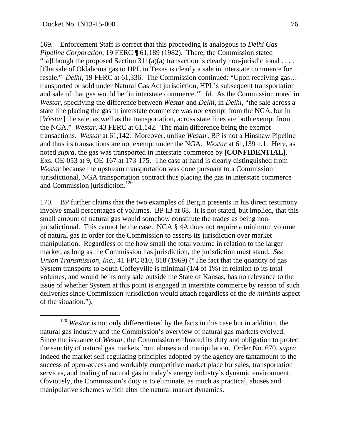169. Enforcement Staff is correct that this proceeding is analogous to *Delhi Gas Pipeline Corporation*, 19 FERC ¶ 61,189 (1982). There, the Commission stated "[a]lthough the proposed Section  $311(a)(a)$  transaction is clearly non-jurisdictional ... [t]he sale of Oklahoma gas to HPL in Texas is clearly a sale in interstate commerce for resale." *Delhi*, 19 FERC at 61,336. The Commission continued: "Upon receiving gas… transported or sold under Natural Gas Act jurisdiction, HPL's subsequent transportation and sale of that gas would be 'in interstate commerce.'" *Id*. As the Commission noted in *Westar*, specifying the difference between *Westar* and *Delhi*, in *Delhi*, "the sale across a state line placing the gas in interstate commerce was not exempt from the NGA, but in [*Westar*] the sale, as well as the transportation, across state lines are both exempt from the NGA." *Westar*, 43 FERC at 61,142. The main difference being the exempt transactions. *Westar* at 61,142. Moreover, unlike *Westar*, BP is not a Hinshaw Pipeline and thus its transactions are not exempt under the NGA. *Westar* at 61,139 n.1. Here, as noted *supra*, the gas was transported in interstate commerce by **[CONFIDENTIAL]**. Exs. OE-053 at 9, OE-167 at 173-175. The case at hand is clearly distinguished from *Westar* because the upstream transportation was done pursuant to a Commission jurisdictional, NGA transportation contract thus placing the gas in interstate commerce and Commission jurisdiction.<sup>120</sup>

170. BP further claims that the two examples of Bergin presents in his direct testimony involve small percentages of volumes. BP IB at 68. It is not stated, but implied, that this small amount of natural gas would somehow constitute the trades as being nonjurisdictional. This cannot be the case. NGA § 4A does not require a minimum volume of natural gas in order for the Commission to asserts its jurisdiction over market manipulation. Regardless of the how small the total volume in relation to the larger market, as long as the Commission has jurisdiction, the jurisdiction must stand. *See Union Transmission, Inc.*, 41 FPC 810, 818 (1969) ("The fact that the quantity of gas System transports to South Coffeyville is minimal (1/4 of 1%) in relation to its total volumes, and would be its only sale outside the State of Kansas, has no relevance to the issue of whether System at this point is engaged in interstate commerce by reason of such deliveries since Commission jurisdiction would attach regardless of the *de minimis* aspect of the situation.").

<sup>&</sup>lt;sup>120</sup> *Westar* is not only differentiated by the facts in this case but in addition, the natural gas industry and the Commission's overview of natural gas markets evolved. Since the issuance of *Westar*, the Commission embraced its duty and obligation to protect the sanctity of natural gas markets from abuses and manipulation. Order No. 670, *supra*. Indeed the market self-regulating principles adopted by the agency are tantamount to the success of open-access and workably competitive market place for sales, transportation services, and trading of natural gas in today's energy industry's dynamic environment. Obviously, the Commission's duty is to eliminate, as much as practical, abuses and manipulative schemes which alter the natural market dynamics.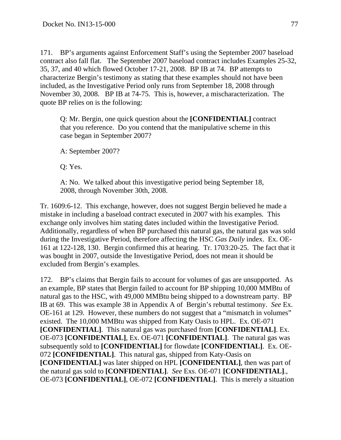171. BP's arguments against Enforcement Staff's using the September 2007 baseload contract also fall flat. The September 2007 baseload contract includes Examples 25-32, 35, 37, and 40 which flowed October 17-21, 2008. BP IB at 74. BP attempts to characterize Bergin's testimony as stating that these examples should not have been included, as the Investigative Period only runs from September 18, 2008 through November 30, 2008. BP IB at 74-75. This is, however, a mischaracterization. The quote BP relies on is the following:

Q: Mr. Bergin, one quick question about the **[CONFIDENTIAL]** contract that you reference. Do you contend that the manipulative scheme in this case began in September 2007?

A: September 2007?

Q: Yes.

A: No. We talked about this investigative period being September 18, 2008, through November 30th, 2008.

Tr. 1609:6-12. This exchange, however, does not suggest Bergin believed he made a mistake in including a baseload contract executed in 2007 with his examples. This exchange only involves him stating dates included within the Investigative Period. Additionally, regardless of when BP purchased this natural gas, the natural gas was sold during the Investigative Period, therefore affecting the HSC *Gas Daily* index. Ex. OE-161 at 122-128, 130. Bergin confirmed this at hearing. Tr. 1703:20-25. The fact that it was bought in 2007, outside the Investigative Period, does not mean it should be excluded from Bergin's examples.

172. BP's claims that Bergin fails to account for volumes of gas are unsupported. As an example, BP states that Bergin failed to account for BP shipping 10,000 MMBtu of natural gas to the HSC, with 49,000 MMBtu being shipped to a downstream party. BP IB at 69. This was example 38 in Appendix A of Bergin's rebuttal testimony. *See* Ex. OE-161 at 129. However, these numbers do not suggest that a "mismatch in volumes" existed. The 10,000 MMBtu was shipped from Katy Oasis to HPL. Ex. OE-071 **[CONFIDENTIAL]**. This natural gas was purchased from **[CONFIDENTIAL]**. Ex. OE-073 **[CONFIDENTIAL]**, Ex. OE-071 **[CONFIDENTIAL]**. The natural gas was subsequently sold to **[CONFIDENTIAL]** for flowdate **[CONFIDENTIAL]**. Ex. OE-072 **[CONFIDENTIAL]**. This natural gas, shipped from Katy-Oasis on **[CONFIDENTIAL]** was later shipped on HPL **[CONFIDENTIAL]**, then was part of the natural gas sold to **[CONFIDENTIAL]**. *See* Exs. OE-071 **[CONFIDENTIAL]**., OE-073 **[CONFIDENTIAL]**, OE-072 **[CONFIDENTIAL]**. This is merely a situation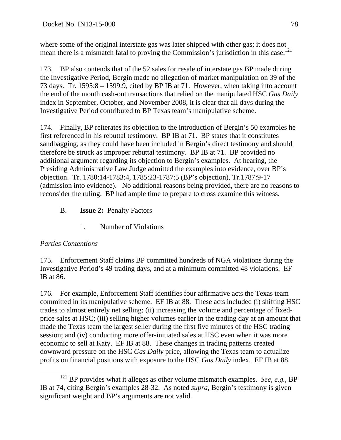where some of the original interstate gas was later shipped with other gas; it does not mean there is a mismatch fatal to proving the Commission's jurisdiction in this case.<sup>121</sup>

173. BP also contends that of the 52 sales for resale of interstate gas BP made during the Investigative Period, Bergin made no allegation of market manipulation on 39 of the 73 days. Tr. 1595:8 – 1599:9, cited by BP IB at 71. However, when taking into account the end of the month cash-out transactions that relied on the manipulated HSC *Gas Daily* index in September, October, and November 2008, it is clear that all days during the Investigative Period contributed to BP Texas team's manipulative scheme.

174. Finally, BP reiterates its objection to the introduction of Bergin's 50 examples he first referenced in his rebuttal testimony. BP IB at 71. BP states that it constitutes sandbagging, as they could have been included in Bergin's direct testimony and should therefore be struck as improper rebuttal testimony. BP IB at 71. BP provided no additional argument regarding its objection to Bergin's examples. At hearing, the Presiding Administrative Law Judge admitted the examples into evidence, over BP's objection. Tr. 1780:14-1783:4, 1785:23-1787:5 (BP's objection), Tr.1787:9-17 (admission into evidence). No additional reasons being provided, there are no reasons to reconsider the ruling. BP had ample time to prepare to cross examine this witness.

- B. **Issue 2:** Penalty Factors
	- 1. Number of Violations

## *Parties Contentions*

175. Enforcement Staff claims BP committed hundreds of NGA violations during the Investigative Period's 49 trading days, and at a minimum committed 48 violations. EF IB at 86.

176. For example, Enforcement Staff identifies four affirmative acts the Texas team committed in its manipulative scheme. EF IB at 88. These acts included (i) shifting HSC trades to almost entirely net selling; (ii) increasing the volume and percentage of fixedprice sales at HSC; (iii) selling higher volumes earlier in the trading day at an amount that made the Texas team the largest seller during the first five minutes of the HSC trading session; and (iv) conducting more offer-initiated sales at HSC even when it was more economic to sell at Katy. EF IB at 88. These changes in trading patterns created downward pressure on the HSC *Gas Daily* price, allowing the Texas team to actualize profits on financial positions with exposure to the HSC *Gas Daily* index. EF IB at 88.

<sup>&</sup>lt;sup>121</sup> BP provides what it alleges as other volume mismatch examples. *See, e.g.*, BP IB at 74, citing Bergin's examples 28-32. As noted *supra*, Bergin's testimony is given significant weight and BP's arguments are not valid.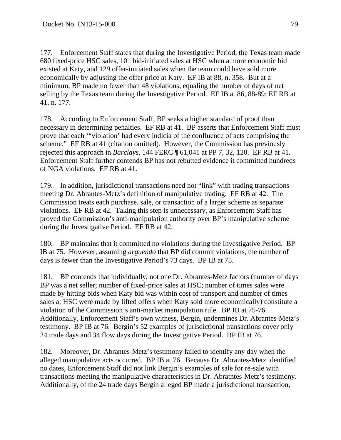177. Enforcement Staff states that during the Investigative Period, the Texas team made 680 fixed-price HSC sales, 101 bid-initiated sales at HSC when a more economic bid existed at Katy, and 129 offer-initiated sales when the team could have sold more economically by adjusting the offer price at Katy. EF IB at 88, n. 358. But at a minimum, BP made no fewer than 48 violations, equaling the number of days of net selling by the Texas team during the Investigative Period. EF IB at 86, 88-89; EF RB at 41, n. 177.

178. According to Enforcement Staff, BP seeks a higher standard of proof than necessary in determining penalties. EF RB at 41. BP asserts that Enforcement Staff must prove that each '"violation' had every indicia of the confluence of acts comprising the scheme." EF RB at 41 (citation omitted). However, the Commission has previously rejected this approach in *Barclays*, 144 FERC ¶ 61,041 at PP 7, 32, 120. EF RB at 41. Enforcement Staff further contends BP has not rebutted evidence it committed hundreds of NGA violations. EF RB at 41.

179. In addition, jurisdictional transactions need not "link" with trading transactions meeting Dr. Abrantes-Metz's definition of manipulative trading. EF RB at 42. The Commission treats each purchase, sale, or transaction of a larger scheme as separate violations. EF RB at 42. Taking this step is unnecessary, as Enforcement Staff has proved the Commission's anti-manipulation authority over BP's manipulative scheme during the Investigative Period. EF RB at 42.

180. BP maintains that it committed no violations during the Investigative Period. BP IB at 75. However, assuming *arguendo* that BP did commit violations, the number of days is fewer than the Investigative Period's 73 days. BP IB at 75.

181. BP contends that individually, not one Dr. Abrantes-Metz factors (number of days BP was a net seller; number of fixed-price sales at HSC; number of times sales were made by hitting bids when Katy bid was within cost of transport and number of times sales at HSC were made by lifted offers when Katy sold more economically) constitute a violation of the Commission's anti-market manipulation rule. BP IB at 75-76. Additionally, Enforcement Staff's own witness, Bergin, undermines Dr. Abrantes-Metz's testimony. BP IB at 76. Bergin's 52 examples of jurisdictional transactions cover only 24 trade days and 34 flow days during the Investigative Period. BP IB at 76.

182. Moreover, Dr. Abrantes-Metz's testimony failed to identify any day when the alleged manipulative acts occurred. BP IB at 76. Because Dr. Abrantes-Metz identified no dates, Enforcement Staff did not link Bergin's examples of sale for re-sale with transactions meeting the manipulative characteristics in Dr. Abratntes-Metz's testimony. Additionally, of the 24 trade days Bergin alleged BP made a jurisdictional transaction,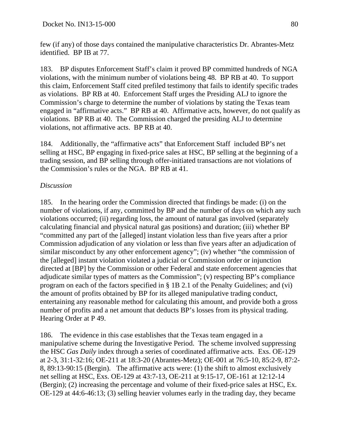few (if any) of those days contained the manipulative characteristics Dr. Abrantes-Metz identified. BP IB at 77.

183. BP disputes Enforcement Staff's claim it proved BP committed hundreds of NGA violations, with the minimum number of violations being 48. BP RB at 40. To support this claim, Enforcement Staff cited prefiled testimony that fails to identify specific trades as violations. BP RB at 40. Enforcement Staff urges the Presiding ALJ to ignore the Commission's charge to determine the number of violations by stating the Texas team engaged in "affirmative acts." BP RB at 40. Affirmative acts, however, do not qualify as violations. BP RB at 40. The Commission charged the presiding ALJ to determine violations, not affirmative acts. BP RB at 40.

184. Additionally, the "affirmative acts" that Enforcement Staff included BP's net selling at HSC, BP engaging in fixed-price sales at HSC, BP selling at the beginning of a trading session, and BP selling through offer-initiated transactions are not violations of the Commission's rules or the NGA. BP RB at 41.

# *Discussion*

185. In the hearing order the Commission directed that findings be made: (i) on the number of violations, if any, committed by BP and the number of days on which any such violations occurred; (ii) regarding loss, the amount of natural gas involved (separately calculating financial and physical natural gas positions) and duration; (iii) whether BP "committed any part of the [alleged] instant violation less than five years after a prior Commission adjudication of any violation or less than five years after an adjudication of similar misconduct by any other enforcement agency"; (iv) whether "the commission of the [alleged] instant violation violated a judicial or Commission order or injunction directed at [BP] by the Commission or other Federal and state enforcement agencies that adjudicate similar types of matters as the Commission"; (v) respecting BP's compliance program on each of the factors specified in § 1B 2.1 of the Penalty Guidelines; and (vi) the amount of profits obtained by BP for its alleged manipulative trading conduct, entertaining any reasonable method for calculating this amount, and provide both a gross number of profits and a net amount that deducts BP's losses from its physical trading. Hearing Order at P 49.

186. The evidence in this case establishes that the Texas team engaged in a manipulative scheme during the Investigative Period. The scheme involved suppressing the HSC *Gas Daily* index through a series of coordinated affirmative acts. Exs. OE-129 at 2-3, 31:1-32:16; OE-211 at 18:3-20 (Abrantes-Metz); OE-001 at 76:5-10, 85:2-9, 87:2- 8, 89:13-90:15 (Bergin). The affirmative acts were: (1) the shift to almost exclusively net selling at HSC, Exs. OE-129 at 43:7-13, OE-211 at 9:15-17, OE-161 at 12:12-14 (Bergin); (2) increasing the percentage and volume of their fixed-price sales at HSC, Ex. OE-129 at 44:6-46:13; (3) selling heavier volumes early in the trading day, they became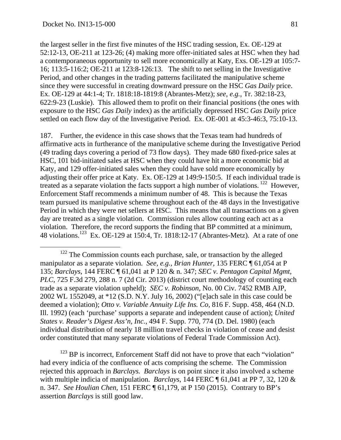the largest seller in the first five minutes of the HSC trading session, Ex. OE-129 at 52:12-13, OE-211 at 123-26; (4) making more offer-initiated sales at HSC when they had a contemporaneous opportunity to sell more economically at Katy, Exs. OE-129 at 105:7- 16; 113:5-116:2; OE-211 at 123:8-126:13. The shift to net selling in the Investigative Period, and other changes in the trading patterns facilitated the manipulative scheme since they were successful in creating downward pressure on the HSC *Gas Daily* price. Ex. OE-129 at 44:1-4; Tr. 1818:18-1819:8 (Abrantes-Metz); *see, e.g.*, Tr. 382:18-23, 622:9-23 (Luskie). This allowed them to profit on their financial positions (the ones with exposure to the HSC *Gas Daily* index) as the artificially depressed HSC *Gas Daily* price settled on each flow day of the Investigative Period. Ex. OE-001 at 45:3-46:3, 75:10-13.

187. Further, the evidence in this case shows that the Texas team had hundreds of affirmative acts in furtherance of the manipulative scheme during the Investigative Period (49 trading days covering a period of 73 flow days). They made 680 fixed-price sales at HSC, 101 bid-initiated sales at HSC when they could have hit a more economic bid at Katy, and 129 offer-initiated sales when they could have sold more economically by adjusting their offer price at Katy. Ex. OE-129 at 149:9-150:5. If each individual trade is treated as a separate violation the facts support a high number of violations. 122 However, Enforcement Staff recommends a minimum number of 48. This is because the Texas team pursued its manipulative scheme throughout each of the 48 days in the Investigative Period in which they were net sellers at HSC. This means that all transactions on a given day are treated as a single violation. Commission rules allow counting each act as a violation. Therefore, the record supports the finding that BP committed at a minimum, 48 violations.123 Ex. OE-129 at 150:4, Tr. 1818:12-17 (Abrantes-Metz). At a rate of one

<sup>123</sup> BP is incorrect, Enforcement Staff did not have to prove that each "violation" had every indicia of the confluence of acts comprising the scheme. The Commission rejected this approach in *Barclays. Barclays* is on point since it also involved a scheme with multiple indicia of manipulation. *Barclays*, 144 FERC ¶ 61,041 at PP 7, 32, 120 & n. 347. *See Houlian Chen*, 151 FERC ¶ 61,179, at P 150 (2015). Contrary to BP's assertion *Barclays* is still good law.

<sup>&</sup>lt;sup>122</sup> The Commission counts each purchase, sale, or transaction by the alleged manipulator as a separate violation. *See, e.g., Brian Hunter*, 135 FERC ¶ 61,054 at P 135; *Barclays*, 144 FERC ¶ 61,041 at P 120 & n. 347; *SEC v. Pentagon Capital Mgmt*, *PLC*, 725 F.3d 279, 288 n. 7 (2d Cir. 2013) (district court methodology of counting each trade as a separate violation upheld); *SEC v. Robinson*, No. 00 Civ. 7452 RMB AJP, 2002 WL 1552049, at \*12 (S.D. N.Y. July 16, 2002) ("[e]ach sale in this case could be deemed a violation); *Otto v. Variable Annuity Life Ins. Co*, 816 F. Supp. 458, 464 (N.D. Ill. 1992) (each 'purchase' supports a separate and independent cause of action); *United States v. Reader's Digest Ass'n, Inc.*, 494 F. Supp. 770, 774 (D. Del. 1980) (each individual distribution of nearly 18 million travel checks in violation of cease and desist order constituted that many separate violations of Federal Trade Commission Act).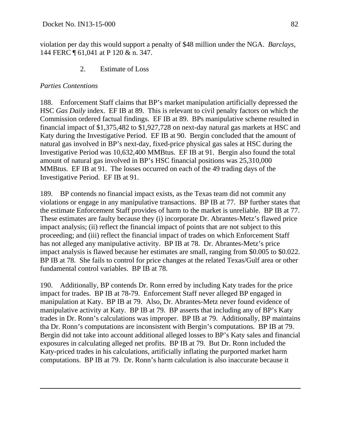violation per day this would support a penalty of \$48 million under the NGA. *Barclays*, 144 FERC ¶ 61,041 at P 120 & n. 347.

2. Estimate of Loss

# *Parties Contentions*

 $\overline{a}$ 

188. Enforcement Staff claims that BP's market manipulation artificially depressed the HSC *Gas Daily* index. EF IB at 89. This is relevant to civil penalty factors on which the Commission ordered factual findings. EF IB at 89. BPs manipulative scheme resulted in financial impact of \$1,375,482 to \$1,927,728 on next-day natural gas markets at HSC and Katy during the Investigative Period. EF IB at 90. Bergin concluded that the amount of natural gas involved in BP's next-day, fixed-price physical gas sales at HSC during the Investigative Period was 10,632,400 MMBtus. EF IB at 91. Bergin also found the total amount of natural gas involved in BP's HSC financial positions was 25,310,000 MMBtus. EF IB at 91. The losses occurred on each of the 49 trading days of the Investigative Period. EF IB at 91.

189. BP contends no financial impact exists, as the Texas team did not commit any violations or engage in any manipulative transactions. BP IB at 77. BP further states that the estimate Enforcement Staff provides of harm to the market is unreliable. BP IB at 77. These estimates are faulty because they (i) incorporate Dr. Abrantes-Metz's flawed price impact analysis; (ii) reflect the financial impact of points that are not subject to this proceeding; and (iii) reflect the financial impact of trades on which Enforcement Staff has not alleged any manipulative activity. BP IB at 78. Dr. Abrantes-Metz's price impact analysis is flawed because her estimates are small, ranging from \$0.005 to \$0.022. BP IB at 78. She fails to control for price changes at the related Texas/Gulf area or other fundamental control variables. BP IB at 78.

190. Additionally, BP contends Dr. Ronn erred by including Katy trades for the price impact for trades. BP IB at 78-79. Enforcement Staff never alleged BP engaged in manipulation at Katy. BP IB at 79. Also, Dr. Abrantes-Metz never found evidence of manipulative activity at Katy. BP IB at 79. BP asserts that including any of BP's Katy trades in Dr. Ronn's calculations was improper. BP IB at 79. Additionally, BP maintains tha Dr. Ronn's computations are inconsistent with Bergin's computations. BP IB at 79. Bergin did not take into account additional alleged losses to BP's Katy sales and financial exposures in calculating alleged net profits. BP IB at 79. But Dr. Ronn included the Katy-priced trades in his calculations, artificially inflating the purported market harm computations. BP IB at 79. Dr. Ronn's harm calculation is also inaccurate because it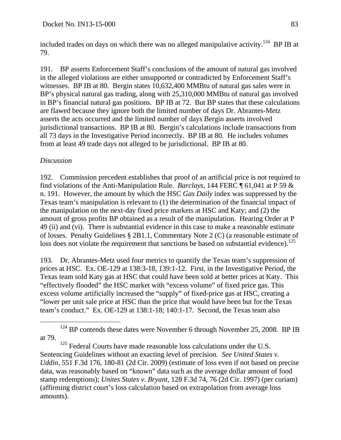included trades on days on which there was no alleged manipulative activity.<sup>124</sup> BP IB at 79.

191. BP asserts Enforcement Staff's conclusions of the amount of natural gas involved in the alleged violations are either unsupported or contradicted by Enforcement Staff's witnesses. BP IB at 80. Bergin states 10,632,400 MMBtu of natural gas sales were in BP's physical natural gas trading, along with 25,310,000 MMBtu of natural gas involved in BP's financial natural gas positions. BP IB at 72. But BP states that these calculations are flawed because they ignore both the limited number of days Dr. Abrantes-Metz asserts the acts occurred and the limited number of days Bergin asserts involved jurisdictional transactions. BP IB at 80. Bergin's calculations include transactions from all 73 days in the Investigative Period incorrectly. BP IB at 80. He includes volumes from at least 49 trade days not alleged to be jurisdictional. BP IB at 80.

## *Discussion*

192. Commission precedent establishes that proof of an artificial price is not required to find violations of the Anti-Manipulation Rule. *Barclays,* 144 FERC ¶ 61,041 at P 59 & n. 191. However, the amount by which the HSC *Gas Daily* index was suppressed by the Texas team's manipulation is relevant to (1) the determination of the financial impact of the manipulation on the next-day fixed price markets at HSC and Katy; and (2) the amount of gross profits BP obtained as a result of the manipulation. Hearing Order at P 49 (ii) and (vi). There is substantial evidence in this case to make a reasonable estimate of losses. Penalty Guidelines § 2B1.1, Commentary Note 2 (C) (a reasonable estimate of loss does not violate the requirement that sanctions be based on substantial evidence).<sup>125</sup>

193. Dr. Abrantes-Metz used four metrics to quantify the Texas team's suppression of prices at HSC. Ex. OE-129 at 138:3-18, 139:1-12. First, in the Investigative Period, the Texas team sold Katy gas at HSC that could have been sold at better prices at Katy. This "effectively flooded" the HSC market with "excess volume" of fixed price gas. This excess volume artificially increased the "supply" of fixed-price gas at HSC, creating a "lower per unit sale price at HSC than the price that would have been but for the Texas team's conduct." Ex. OE-129 at 138:1-18; 140:1-17. Second, the Texas team also

 $124$  BP contends these dates were November 6 through November 25, 2008. BP IB at 79.

<sup>&</sup>lt;sup>125</sup> Federal Courts have made reasonable loss calculations under the U.S. Sentencing Guidelines without an exacting level of precision. *See United States v. Uddin*, 551 F.3d 176, 180-81 (2d Cir. 2009) (estimate of loss even if not based on precise data, was reasonably based on "known" data such as the average dollar amount of food stamp redemptions); *Unites States v. Bryant*, 128 F.3d 74, 76 (2d Cir. 1997) (per curiam) (affirming district court's loss calculation based on extrapolation from average loss amounts).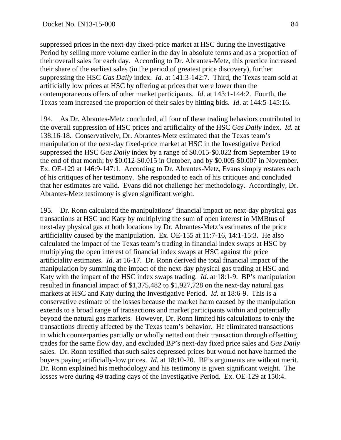suppressed prices in the next-day fixed-price market at HSC during the Investigative Period by selling more volume earlier in the day in absolute terms and as a proportion of their overall sales for each day. According to Dr. Abrantes-Metz, this practice increased their share of the earliest sales (in the period of greatest price discovery), further suppressing the HSC *Gas Daily* index. *Id.* at 141:3-142:7*.* Third, the Texas team sold at artificially low prices at HSC by offering at prices that were lower than the contemporaneous offers of other market participants. *Id*. at 143:1-144:2. Fourth, the Texas team increased the proportion of their sales by hitting bids. *Id*. at 144:5-145:16.

194. As Dr. Abrantes-Metz concluded, all four of these trading behaviors contributed to the overall suppression of HSC prices and artificiality of the HSC *Gas Daily* index. *Id.* at 138:16-18. Conservatively, Dr. Abrantes-Metz estimated that the Texas team's manipulation of the next-day fixed-price market at HSC in the Investigative Period suppressed the HSC *Gas Daily* index by a range of \$0.015-\$0.022 from September 19 to the end of that month; by \$0.012-\$0.015 in October, and by \$0.005-\$0.007 in November. Ex. OE-129 at 146:9-147:1. According to Dr. Abrantes-Metz, Evans simply restates each of his critiques of her testimony. She responded to each of his critiques and concluded that her estimates are valid. Evans did not challenge her methodology. Accordingly, Dr. Abrantes-Metz testimony is given significant weight.

195. Dr. Ronn calculated the manipulations' financial impact on next-day physical gas transactions at HSC and Katy by multiplying the sum of open interest in MMBtus of next-day physical gas at both locations by Dr. Abrantes-Metz's estimates of the price artificiality caused by the manipulation. Ex. OE-155 at 11:7-16, 14:1-15:3. He also calculated the impact of the Texas team's trading in financial index swaps at HSC by multiplying the open interest of financial index swaps at HSC against the price artificiality estimates. *Id*. at 16-17. Dr. Ronn derived the total financial impact of the manipulation by summing the impact of the next-day physical gas trading at HSC and Katy with the impact of the HSC index swaps trading. *Id*. at 18:1-9. BP's manipulation resulted in financial impact of \$1,375,482 to \$1,927,728 on the next-day natural gas markets at HSC and Katy during the Investigative Period. *Id.* at 18:6-9. This is a conservative estimate of the losses because the market harm caused by the manipulation extends to a broad range of transactions and market participants within and potentially beyond the natural gas markets. However, Dr. Ronn limited his calculations to only the transactions directly affected by the Texas team's behavior. He eliminated transactions in which counterparties partially or wholly netted out their transaction through offsetting trades for the same flow day, and excluded BP's next-day fixed price sales and *Gas Daily* sales. Dr. Ronn testified that such sales depressed prices but would not have harmed the buyers paying artificially-low prices. *Id*. at 18:10-20. BP's arguments are without merit. Dr. Ronn explained his methodology and his testimony is given significant weight. The losses were during 49 trading days of the Investigative Period. Ex. OE-129 at 150:4.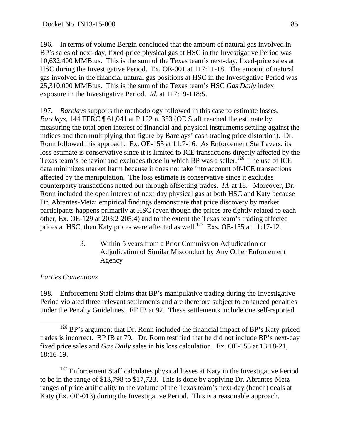196. In terms of volume Bergin concluded that the amount of natural gas involved in BP's sales of next-day, fixed-price physical gas at HSC in the Investigative Period was 10,632,400 MMBtus. This is the sum of the Texas team's next-day, fixed-price sales at HSC during the Investigative Period. Ex. OE-001 at 117:11-18. The amount of natural gas involved in the financial natural gas positions at HSC in the Investigative Period was 25,310,000 MMBtus. This is the sum of the Texas team's HSC *Gas Daily* index exposure in the Investigative Period. *Id.* at 117:19-118:5.

197. *Barclays* supports the methodology followed in this case to estimate losses. *Barclays*, 144 FERC ¶ 61,041 at P 122 n. 353 (OE Staff reached the estimate by measuring the total open interest of financial and physical instruments settling against the indices and then multiplying that figure by Barclays' cash trading price distortion). Dr. Ronn followed this approach. Ex. OE-155 at 11:7-16. As Enforcement Staff avers, its loss estimate is conservative since it is limited to ICE transactions directly affected by the Texas team's behavior and excludes those in which BP was a seller.<sup>126</sup> The use of ICE data minimizes market harm because it does not take into account off-ICE transactions affected by the manipulation. The loss estimate is conservative since it excludes counterparty transactions netted out through offsetting trades. *Id*. at 18. Moreover, Dr. Ronn included the open interest of next-day physical gas at both HSC and Katy because Dr. Abrantes-Metz' empirical findings demonstrate that price discovery by market participants happens primarily at HSC (even though the prices are tightly related to each other, Ex. OE-129 at 203:2-205:4) and to the extent the Texas team's trading affected prices at HSC, then Katy prices were affected as well.<sup>127</sup> Exs. OE-155 at 11:17-12.

> 3. Within 5 years from a Prior Commission Adjudication or Adjudication of Similar Misconduct by Any Other Enforcement Agency

# *Parties Contentions*

198. Enforcement Staff claims that BP's manipulative trading during the Investigative Period violated three relevant settlements and are therefore subject to enhanced penalties under the Penalty Guidelines. EF IB at 92. These settlements include one self-reported

<sup>127</sup> Enforcement Staff calculates physical losses at Katy in the Investigative Period to be in the range of \$13,798 to \$17,723. This is done by applying Dr. Abrantes-Metz ranges of price artificiality to the volume of the Texas team's next-day (bench) deals at Katy (Ex. OE-013) during the Investigative Period. This is a reasonable approach.

<sup>&</sup>lt;sup>126</sup> BP's argument that Dr. Ronn included the financial impact of BP's Katy-priced trades is incorrect. BP IB at 79. Dr. Ronn testified that he did not include BP's next-day fixed price sales and *Gas Daily* sales in his loss calculation. Ex. OE-155 at 13:18-21, 18:16-19.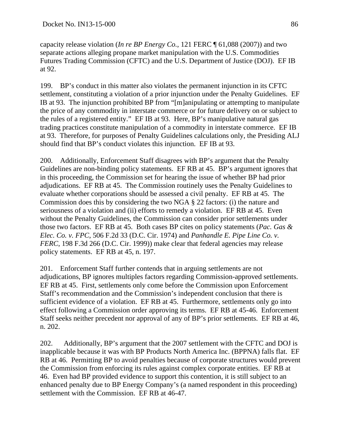capacity release violation (*In re BP Energy Co.*, 121 FERC ¶ 61,088 (2007)) and two separate actions alleging propane market manipulation with the U.S. Commodities Futures Trading Commission (CFTC) and the U.S. Department of Justice (DOJ). EF IB at 92.

199. BP's conduct in this matter also violates the permanent injunction in its CFTC settlement, constituting a violation of a prior injunction under the Penalty Guidelines. EF IB at 93. The injunction prohibited BP from "[m]anipulating or attempting to manipulate the price of any commodity in interstate commerce or for future delivery on or subject to the rules of a registered entity." EF IB at 93. Here, BP's manipulative natural gas trading practices constitute manipulation of a commodity in interstate commerce. EF IB at 93. Therefore, for purposes of Penalty Guidelines calculations only, the Presiding ALJ should find that BP's conduct violates this injunction. EF IB at 93.

200. Additionally, Enforcement Staff disagrees with BP's argument that the Penalty Guidelines are non-binding policy statements. EF RB at 45. BP's argument ignores that in this proceeding, the Commission set for hearing the issue of whether BP had prior adjudications. EF RB at 45. The Commission routinely uses the Penalty Guidelines to evaluate whether corporations should be assessed a civil penalty. EF RB at 45. The Commission does this by considering the two NGA § 22 factors: (i) the nature and seriousness of a violation and (ii) efforts to remedy a violation. EF RB at 45. Even without the Penalty Guidelines, the Commission can consider prior settlements under those two factors. EF RB at 45. Both cases BP cites on policy statements (*Pac. Gas & Elec. Co. v. FPC*, 506 F.2d 33 (D.C. Cir. 1974) and *Panhandle E. Pipe Line Co. v. FERC*, 198 F.3d 266 (D.C. Cir. 1999)) make clear that federal agencies may release policy statements. EF RB at 45, n. 197.

201. Enforcement Staff further contends that in arguing settlements are not adjudications, BP ignores multiples factors regarding Commission-approved settlements. EF RB at 45. First, settlements only come before the Commission upon Enforcement Staff's recommendation and the Commission's independent conclusion that there is sufficient evidence of a violation. EF RB at 45. Furthermore, settlements only go into effect following a Commission order approving its terms. EF RB at 45-46. Enforcement Staff seeks neither precedent nor approval of any of BP's prior settlements. EF RB at 46, n. 202.

202. Additionally, BP's argument that the 2007 settlement with the CFTC and DOJ is inapplicable because it was with BP Products North America Inc. (BPPNA) falls flat. EF RB at 46. Permitting BP to avoid penalties because of corporate structures would prevent the Commission from enforcing its rules against complex corporate entities. EF RB at 46. Even had BP provided evidence to support this contention, it is still subject to an enhanced penalty due to BP Energy Company's (a named respondent in this proceeding) settlement with the Commission. EF RB at 46-47.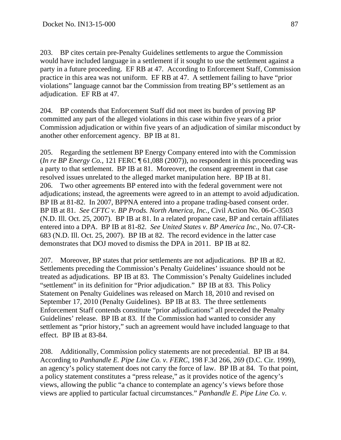203. BP cites certain pre-Penalty Guidelines settlements to argue the Commission would have included language in a settlement if it sought to use the settlement against a party in a future proceeding. EF RB at 47. According to Enforcement Staff, Commission practice in this area was not uniform. EF RB at 47. A settlement failing to have "prior violations" language cannot bar the Commission from treating BP's settlement as an adjudication. EF RB at 47.

204. BP contends that Enforcement Staff did not meet its burden of proving BP committed any part of the alleged violations in this case within five years of a prior Commission adjudication or within five years of an adjudication of similar misconduct by another other enforcement agency. BP IB at 81.

205. Regarding the settlement BP Energy Company entered into with the Commission (*In re BP Energy Co.*, 121 FERC ¶ 61,088 (2007)), no respondent in this proceeding was a party to that settlement. BP IB at 81. Moreover, the consent agreement in that case resolved issues unrelated to the alleged market manipulation here. BP IB at 81. 206. Two other agreements BP entered into with the federal government were not adjudications; instead, the agreements were agreed to in an attempt to avoid adjudication. BP IB at 81-82. In 2007, BPPNA entered into a propane trading-based consent order. BP IB at 81. *See CFTC v. BP Prods. North America, Inc.*, Civil Action No. 06-C-3503 (N.D. Ill. Oct. 25, 2007). BP IB at 81. In a related propane case, BP and certain affiliates entered into a DPA. BP IB at 81-82. *See United States v. BP America Inc.*, No. 07-CR-683 (N.D. Ill. Oct. 25, 2007). BP IB at 82. The record evidence in the latter case demonstrates that DOJ moved to dismiss the DPA in 2011. BP IB at 82.

207. Moreover, BP states that prior settlements are not adjudications. BP IB at 82. Settlements preceding the Commission's Penalty Guidelines' issuance should not be treated as adjudications. BP IB at 83. The Commission's Penalty Guidelines included "settlement" in its definition for "Prior adjudication." BP IB at 83. This Policy Statement on Penalty Guidelines was released on March 18, 2010 and revised on September 17, 2010 (Penalty Guidelines). BP IB at 83. The three settlements Enforcement Staff contends constitute "prior adjudications" all preceded the Penalty Guidelines' release. BP IB at 83. If the Commission had wanted to consider any settlement as "prior history," such an agreement would have included language to that effect. BP IB at 83-84.

208. Additionally, Commission policy statements are not precedential. BP IB at 84. According to *Panhandle E. Pipe Line Co. v. FERC*, 198 F.3d 266, 269 (D.C. Cir. 1999), an agency's policy statement does not carry the force of law. BP IB at 84. To that point, a policy statement constitutes a "press release," as it provides notice of the agency's views, allowing the public "a chance to contemplate an agency's views before those views are applied to particular factual circumstances." *Panhandle E. Pipe Line Co. v.*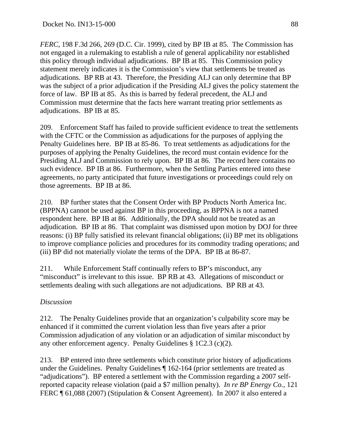*FERC*, 198 F.3d 266, 269 (D.C. Cir. 1999), cited by BP IB at 85. The Commission has not engaged in a rulemaking to establish a rule of general applicability nor established this policy through individual adjudications. BP IB at 85. This Commission policy statement merely indicates it is the Commission's view that settlements be treated as adjudications. BP RB at 43. Therefore, the Presiding ALJ can only determine that BP was the subject of a prior adjudication if the Presiding ALJ gives the policy statement the force of law. BP IB at 85. As this is barred by federal precedent, the ALJ and Commission must determine that the facts here warrant treating prior settlements as adjudications. BP IB at 85.

209. Enforcement Staff has failed to provide sufficient evidence to treat the settlements with the CFTC or the Commission as adjudications for the purposes of applying the Penalty Guidelines here. BP IB at 85-86. To treat settlements as adjudications for the purposes of applying the Penalty Guidelines, the record must contain evidence for the Presiding ALJ and Commission to rely upon. BP IB at 86. The record here contains no such evidence. BP IB at 86. Furthermore, when the Settling Parties entered into these agreements, no party anticipated that future investigations or proceedings could rely on those agreements. BP IB at 86.

210. BP further states that the Consent Order with BP Products North America Inc. (BPPNA) cannot be used against BP in this proceeding, as BPPNA is not a named respondent here. BP IB at 86. Additionally, the DPA should not be treated as an adjudication. BP IB at 86. That complaint was dismissed upon motion by DOJ for three reasons: (i) BP fully satisfied its relevant financial obligations; (ii) BP met its obligations to improve compliance policies and procedures for its commodity trading operations; and (iii) BP did not materially violate the terms of the DPA. BP IB at 86-87.

211. While Enforcement Staff continually refers to BP's misconduct, any "misconduct" is irrelevant to this issue. BP RB at 43. Allegations of misconduct or settlements dealing with such allegations are not adjudications. BP RB at 43.

## *Discussion*

212. The Penalty Guidelines provide that an organization's culpability score may be enhanced if it committed the current violation less than five years after a prior Commission adjudication of any violation or an adjudication of similar misconduct by any other enforcement agency. Penalty Guidelines § 1C2.3 (c)(2).

213. BP entered into three settlements which constitute prior history of adjudications under the Guidelines. Penalty Guidelines ¶ 162-164 (prior settlements are treated as "adjudications"). BP entered a settlement with the Commission regarding a 2007 selfreported capacity release violation (paid a \$7 million penalty). *In re BP Energy Co.,* 121 FERC ¶ 61,088 (2007) (Stipulation & Consent Agreement). In 2007 it also entered a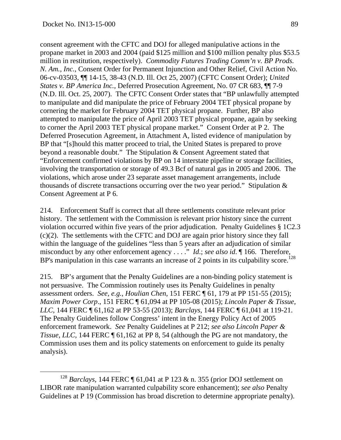consent agreement with the CFTC and DOJ for alleged manipulative actions in the propane market in 2003 and 2004 (paid \$125 million and \$100 million penalty plus \$53.5 million in restitution, respectively). *Commodity Futures Trading Comm'n v. BP Prods. N. Am., Inc.,* Consent Order for Permanent Injunction and Other Relief, Civil Action No. 06-cv-03503, ¶¶ 14-15, 38-43 (N.D. Ill. Oct 25, 2007) (CFTC Consent Order); *United States v. BP America Inc.,* Deferred Prosecution Agreement, No. 07 CR 683, ¶¶ 7-9 (N.D. Ill. Oct. 25, 2007). The CFTC Consent Order states that "BP unlawfully attempted to manipulate and did manipulate the price of February 2004 TET physical propane by cornering the market for February 2004 TET physical propane. Further, BP also attempted to manipulate the price of April 2003 TET physical propane, again by seeking to corner the April 2003 TET physical propane market." Consent Order at P 2. The Deferred Prosecution Agreement, in Attachment A, listed evidence of manipulation by BP that "[s]hould this matter proceed to trial, the United States is prepared to prove beyond a reasonable doubt." The Stipulation & Consent Agreement stated that "Enforcement confirmed violations by BP on 14 interstate pipeline or storage facilities, involving the transportation or storage of 49.3 Bcf of natural gas in 2005 and 2006. The violations, which arose under 23 separate asset management arrangements, include thousands of discrete transactions occurring over the two year period." Stipulation & Consent Agreement at P 6.

214. Enforcement Staff is correct that all three settlements constitute relevant prior history. The settlement with the Commission is relevant prior history since the current violation occurred within five years of the prior adjudication. Penalty Guidelines § 1C2.3 (c)(2). The settlements with the CFTC and DOJ are again prior history since they fall within the language of the guidelines "less than 5 years after an adjudication of similar misconduct by any other enforcement agency . . . ." *Id*.; *see also id*. ¶ 166. Therefore, BP's manipulation in this case warrants an increase of 2 points in its culpability score.<sup>128</sup>

215. BP's argument that the Penalty Guidelines are a non-binding policy statement is not persuasive. The Commission routinely uses its Penalty Guidelines in penalty assessment orders. *See, e.g.*, *Houlian Chen*, 151 FERC ¶ 61, 179 at PP 151-55 (2015); *Maxim Power Corp*., 151 FERC ¶ 61,094 at PP 105-08 (2015); *Lincoln Paper & Tissue, LLC*, 144 FERC ¶ 61,162 at PP 53-55 (2013); *Barclays*, 144 FERC ¶ 61,041 at 119-21. The Penalty Guidelines follow Congress' intent in the Energy Policy Act of 2005 enforcement framework. *See* Penalty Guidelines at P 212; *see also Lincoln Paper & Tissue, LLC,* 144 FERC  $\P$  61,162 at PP 8, 54 (although the PG are not mandatory, the Commission uses them and its policy statements on enforcement to guide its penalty analysis).

 <sup>128</sup> *Barclays*, 144 FERC ¶ 61,041 at P 123 & n. 355 (prior DOJ settlement on LIBOR rate manipulation warranted culpability score enhancement); *see also* Penalty Guidelines at P 19 (Commission has broad discretion to determine appropriate penalty).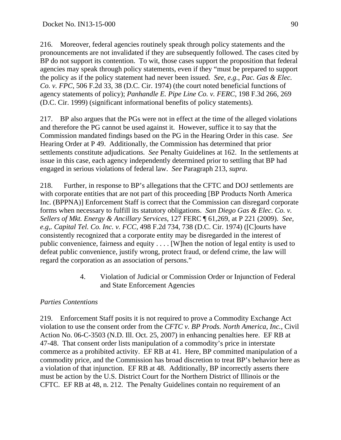216. Moreover, federal agencies routinely speak through policy statements and the pronouncements are not invalidated if they are subsequently followed. The cases cited by BP do not support its contention. To wit, those cases support the proposition that federal agencies may speak through policy statements, even if they "must be prepared to support the policy as if the policy statement had never been issued. *See, e.g.*, *Pac. Gas & Elec. Co. v. FPC,* 506 F.2d 33, 38 (D.C. Cir. 1974) (the court noted beneficial functions of agency statements of policy); *Panhandle E. Pipe Line Co. v. FERC,* 198 F.3d 266, 269 (D.C. Cir. 1999) (significant informational benefits of policy statements).

217. BP also argues that the PGs were not in effect at the time of the alleged violations and therefore the PG cannot be used against it. However, suffice it to say that the Commission mandated findings based on the PG in the Hearing Order in this case. *See*  Hearing Order at P 49. Additionally, the Commission has determined that prior settlements constitute adjudications. *See* Penalty Guidelines at 162. In the settlements at issue in this case, each agency independently determined prior to settling that BP had engaged in serious violations of federal law. *See* Paragraph 213, *supra*.

218. Further, in response to BP's allegations that the CFTC and DOJ settlements are with corporate entities that are not part of this proceeding [BP Products North America Inc. (BPPNA)] Enforcement Staff is correct that the Commission can disregard corporate forms when necessary to fulfill its statutory obligations. *San Diego Gas & Elec. Co. v. Sellers of Mkt. Energy & Ancillary Services,* 127 FERC ¶ 61,269, at P 221 (2009). *See, e.g,. Capital Tel. Co. Inc. v. FCC,* 498 F.2d 734, 738 (D.C. Cir. 1974) ([C]ourts have consistently recognized that a corporate entity may be disregarded in the interest of public convenience, fairness and equity . . . . [W]hen the notion of legal entity is used to defeat public convenience, justify wrong, protect fraud, or defend crime, the law will regard the corporation as an association of persons."

> 4. Violation of Judicial or Commission Order or Injunction of Federal and State Enforcement Agencies

# *Parties Contentions*

219. Enforcement Staff posits it is not required to prove a Commodity Exchange Act violation to use the consent order from the *CFTC v. BP Prods. North America, Inc.*, Civil Action No. 06-C-3503 (N.D. Ill. Oct. 25, 2007) in enhancing penalties here. EF RB at 47-48. That consent order lists manipulation of a commodity's price in interstate commerce as a prohibited activity. EF RB at 41. Here, BP committed manipulation of a commodity price, and the Commission has broad discretion to treat BP's behavior here as a violation of that injunction. EF RB at 48. Additionally, BP incorrectly asserts there must be action by the U.S. District Court for the Northern District of Illinois or the CFTC. EF RB at 48, n. 212. The Penalty Guidelines contain no requirement of an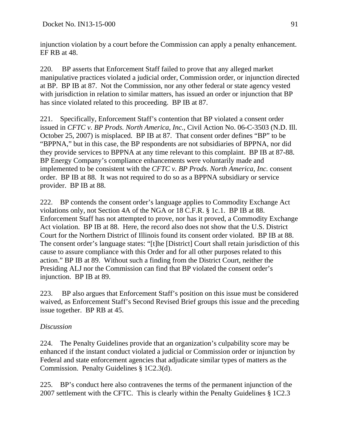injunction violation by a court before the Commission can apply a penalty enhancement. EF RB at 48.

220. BP asserts that Enforcement Staff failed to prove that any alleged market manipulative practices violated a judicial order, Commission order, or injunction directed at BP. BP IB at 87. Not the Commission, nor any other federal or state agency vested with jurisdiction in relation to similar matters, has issued an order or injunction that BP has since violated related to this proceeding. BP IB at 87.

221. Specifically, Enforcement Staff's contention that BP violated a consent order issued in *CFTC v. BP Prods. North America, Inc.*, Civil Action No. 06-C-3503 (N.D. Ill. October 25, 2007) is misplaced. BP IB at 87. That consent order defines "BP" to be "BPPNA," but in this case, the BP respondents are not subsidiaries of BPPNA, nor did they provide services to BPPNA at any time relevant to this complaint. BP IB at 87-88. BP Energy Company's compliance enhancements were voluntarily made and implemented to be consistent with the *CFTC v. BP Prods. North America, Inc.* consent order. BP IB at 88. It was not required to do so as a BPPNA subsidiary or service provider. BP IB at 88.

222. BP contends the consent order's language applies to Commodity Exchange Act violations only, not Section 4A of the NGA or 18 C.F.R. § 1c.1. BP IB at 88. Enforcement Staff has not attempted to prove, nor has it proved, a Commodity Exchange Act violation. BP IB at 88. Here, the record also does not show that the U.S. District Court for the Northern District of Illinois found its consent order violated. BP IB at 88. The consent order's language states: "[t]he [District] Court shall retain jurisdiction of this cause to assure compliance with this Order and for all other purposes related to this action." BP IB at 89. Without such a finding from the District Court, neither the Presiding ALJ nor the Commission can find that BP violated the consent order's injunction. BP IB at 89.

223. BP also argues that Enforcement Staff's position on this issue must be considered waived, as Enforcement Staff's Second Revised Brief groups this issue and the preceding issue together. BP RB at 45.

# *Discussion*

224. The Penalty Guidelines provide that an organization's culpability score may be enhanced if the instant conduct violated a judicial or Commission order or injunction by Federal and state enforcement agencies that adjudicate similar types of matters as the Commission. Penalty Guidelines § 1C2.3(d).

225. BP's conduct here also contravenes the terms of the permanent injunction of the 2007 settlement with the CFTC. This is clearly within the Penalty Guidelines § 1C2.3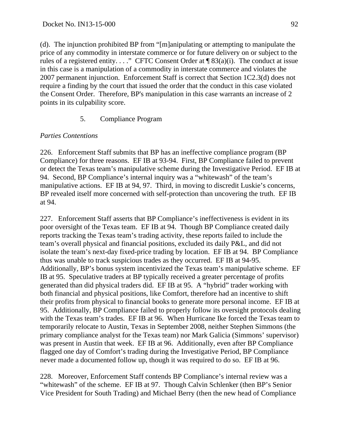(d). The injunction prohibited BP from "[m]anipulating or attempting to manipulate the price of any commodity in interstate commerce or for future delivery on or subject to the rules of a registered entity. . . ." CFTC Consent Order at  $\P$  83(a)(i). The conduct at issue in this case is a manipulation of a commodity in interstate commerce and violates the 2007 permanent injunction. Enforcement Staff is correct that Section 1C2.3(d) does not require a finding by the court that issued the order that the conduct in this case violated the Consent Order. Therefore, BP's manipulation in this case warrants an increase of 2 points in its culpability score.

# 5. Compliance Program

# *Parties Contentions*

226. Enforcement Staff submits that BP has an ineffective compliance program (BP Compliance) for three reasons. EF IB at 93-94. First, BP Compliance failed to prevent or detect the Texas team's manipulative scheme during the Investigative Period. EF IB at 94. Second, BP Compliance's internal inquiry was a "whitewash" of the team's manipulative actions. EF IB at 94, 97. Third, in moving to discredit Luskie's concerns, BP revealed itself more concerned with self-protection than uncovering the truth. EF IB at 94.

227. Enforcement Staff asserts that BP Compliance's ineffectiveness is evident in its poor oversight of the Texas team. EF IB at 94. Though BP Compliance created daily reports tracking the Texas team's trading activity, these reports failed to include the team's overall physical and financial positions, excluded its daily P&L, and did not isolate the team's next-day fixed-price trading by location. EF IB at 94. BP Compliance thus was unable to track suspicious trades as they occurred. EF IB at 94-95. Additionally, BP's bonus system incentivized the Texas team's manipulative scheme. EF IB at 95. Speculative traders at BP typically received a greater percentage of profits generated than did physical traders did. EF IB at 95. A "hybrid" trader working with both financial and physical positions, like Comfort, therefore had an incentive to shift their profits from physical to financial books to generate more personal income. EF IB at 95. Additionally, BP Compliance failed to properly follow its oversight protocols dealing with the Texas team's trades. EF IB at 96. When Hurricane Ike forced the Texas team to temporarily relocate to Austin, Texas in September 2008, neither Stephen Simmons (the primary compliance analyst for the Texas team) nor Mark Galicia (Simmons' supervisor) was present in Austin that week. EF IB at 96. Additionally, even after BP Compliance flagged one day of Comfort's trading during the Investigative Period, BP Compliance never made a documented follow up, though it was required to do so. EF IB at 96.

228. Moreover, Enforcement Staff contends BP Compliance's internal review was a "whitewash" of the scheme. EF IB at 97. Though Calvin Schlenker (then BP's Senior Vice President for South Trading) and Michael Berry (then the new head of Compliance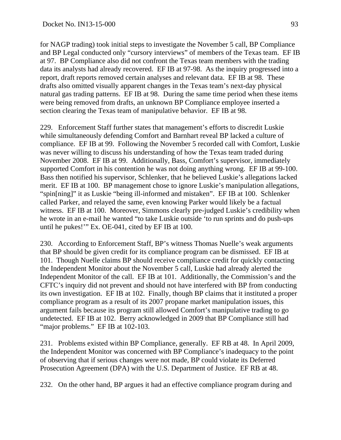for NAGP trading) took initial steps to investigate the November 5 call, BP Compliance and BP Legal conducted only "cursory interviews" of members of the Texas team. EF IB at 97. BP Compliance also did not confront the Texas team members with the trading data its analysts had already recovered. EF IB at 97-98. As the inquiry progressed into a report, draft reports removed certain analyses and relevant data. EF IB at 98. These drafts also omitted visually apparent changes in the Texas team's next-day physical natural gas trading patterns. EF IB at 98. During the same time period when these items were being removed from drafts, an unknown BP Compliance employee inserted a section clearing the Texas team of manipulative behavior. EF IB at 98.

229. Enforcement Staff further states that management's efforts to discredit Luskie while simultaneously defending Comfort and Barnhart reveal BP lacked a culture of compliance. EF IB at 99. Following the November 5 recorded call with Comfort, Luskie was never willing to discuss his understanding of how the Texas team traded during November 2008. EF IB at 99. Additionally, Bass, Comfort's supervisor, immediately supported Comfort in his contention he was not doing anything wrong. EF IB at 99-100. Bass then notified his supervisor, Schlenker, that he believed Luskie's allegations lacked merit. EF IB at 100. BP management chose to ignore Luskie's manipulation allegations, "spin[ning]" it as Luskie "being ill-informed and mistaken". EF IB at 100. Schlenker called Parker, and relayed the same, even knowing Parker would likely be a factual witness. EF IB at 100. Moreover, Simmons clearly pre-judged Luskie's credibility when he wrote in an e-mail he wanted "to take Luskie outside 'to run sprints and do push-ups until he pukes!'" Ex. OE-041, cited by EF IB at 100.

230. According to Enforcement Staff, BP's witness Thomas Nuelle's weak arguments that BP should be given credit for its compliance program can be dismissed. EF IB at 101. Though Nuelle claims BP should receive compliance credit for quickly contacting the Independent Monitor about the November 5 call, Luskie had already alerted the Independent Monitor of the call. EF IB at 101. Additionally, the Commission's and the CFTC's inquiry did not prevent and should not have interfered with BP from conducting its own investigation. EF IB at 102. Finally, though BP claims that it instituted a proper compliance program as a result of its 2007 propane market manipulation issues, this argument fails because its program still allowed Comfort's manipulative trading to go undetected. EF IB at 102. Berry acknowledged in 2009 that BP Compliance still had "major problems." EF IB at 102-103.

231. Problems existed within BP Compliance, generally. EF RB at 48. In April 2009, the Independent Monitor was concerned with BP Compliance's inadequacy to the point of observing that if serious changes were not made, BP could violate its Deferred Prosecution Agreement (DPA) with the U.S. Department of Justice. EF RB at 48.

232. On the other hand, BP argues it had an effective compliance program during and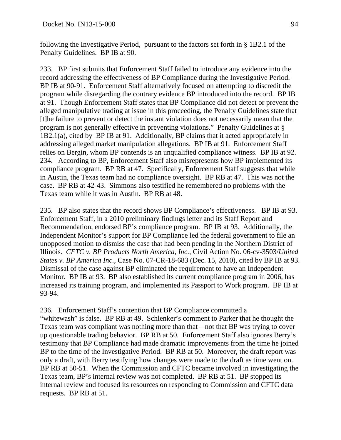following the Investigative Period, pursuant to the factors set forth in § 1B2.1 of the Penalty Guidelines. BP IB at 90.

233. BP first submits that Enforcement Staff failed to introduce any evidence into the record addressing the effectiveness of BP Compliance during the Investigative Period. BP IB at 90-91. Enforcement Staff alternatively focused on attempting to discredit the program while disregarding the contrary evidence BP introduced into the record. BP IB at 91. Though Enforcement Staff states that BP Compliance did not detect or prevent the alleged manipulative trading at issue in this proceeding, the Penalty Guidelines state that [t]he failure to prevent or detect the instant violation does not necessarily mean that the program is not generally effective in preventing violations." Penalty Guidelines at § 1B2.1(a), cited by BP IB at 91. Additionally, BP claims that it acted appropriately in addressing alleged market manipulation allegations. BP IB at 91. Enforcement Staff relies on Bergin, whom BP contends is an unqualified compliance witness. BP IB at 92. 234. According to BP, Enforcement Staff also misrepresents how BP implemented its compliance program. BP RB at 47. Specifically, Enforcement Staff suggests that while in Austin, the Texas team had no compliance oversight. BP RB at 47. This was not the case. BP RB at 42-43. Simmons also testified he remembered no problems with the Texas team while it was in Austin. BP RB at 48.

235. BP also states that the record shows BP Compliance's effectiveness. BP IB at 93. Enforcement Staff, in a 2010 preliminary findings letter and its Staff Report and Recommendation, endorsed BP's compliance program. BP IB at 93. Additionally, the Independent Monitor's support for BP Compliance led the federal government to file an unopposed motion to dismiss the case that had been pending in the Northern District of Illinois. *CFTC v. BP Products North America, Inc.*, Civil Action No. 06-cv-3503/*United States v. BP America Inc.*, Case No. 07-CR-18-683 (Dec. 15, 2010), cited by BP IB at 93. Dismissal of the case against BP eliminated the requirement to have an Independent Monitor. BP IB at 93. BP also established its current compliance program in 2006, has increased its training program, and implemented its Passport to Work program. BP IB at 93-94.

236. Enforcement Staff's contention that BP Compliance committed a "whitewash" is false. BP RB at 49. Schlenker's comment to Parker that he thought the Texas team was compliant was nothing more than that – not that BP was trying to cover up questionable trading behavior. BP RB at 50. Enforcement Staff also ignores Berry's testimony that BP Compliance had made dramatic improvements from the time he joined BP to the time of the Investigative Period. BP RB at 50. Moreover, the draft report was only a draft, with Berry testifying how changes were made to the draft as time went on. BP RB at 50-51. When the Commission and CFTC became involved in investigating the Texas team, BP's internal review was not completed. BP RB at 51. BP stopped its internal review and focused its resources on responding to Commission and CFTC data requests. BP RB at 51.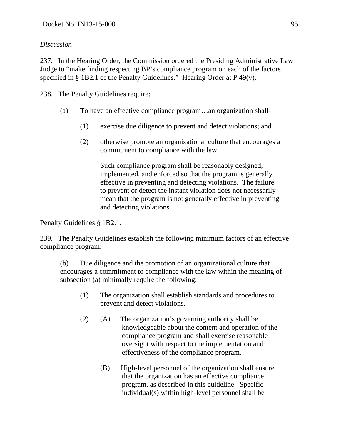# *Discussion*

237. In the Hearing Order, the Commission ordered the Presiding Administrative Law Judge to "make finding respecting BP's compliance program on each of the factors specified in § 1B2.1 of the Penalty Guidelines." Hearing Order at P 49(v).

238. The Penalty Guidelines require:

- (a) To have an effective compliance program…an organization shall-
	- (1) exercise due diligence to prevent and detect violations; and
	- (2) otherwise promote an organizational culture that encourages a commitment to compliance with the law.

Such compliance program shall be reasonably designed, implemented, and enforced so that the program is generally effective in preventing and detecting violations. The failure to prevent or detect the instant violation does not necessarily mean that the program is not generally effective in preventing and detecting violations.

Penalty Guidelines § 1B2.1.

239. The Penalty Guidelines establish the following minimum factors of an effective compliance program:

(b) Due diligence and the promotion of an organizational culture that encourages a commitment to compliance with the law within the meaning of subsection (a) minimally require the following:

- (1) The organization shall establish standards and procedures to prevent and detect violations.
- (2) (A) The organization's governing authority shall be knowledgeable about the content and operation of the compliance program and shall exercise reasonable oversight with respect to the implementation and effectiveness of the compliance program.
	- (B) High-level personnel of the organization shall ensure that the organization has an effective compliance program, as described in this guideline. Specific individual(s) within high-level personnel shall be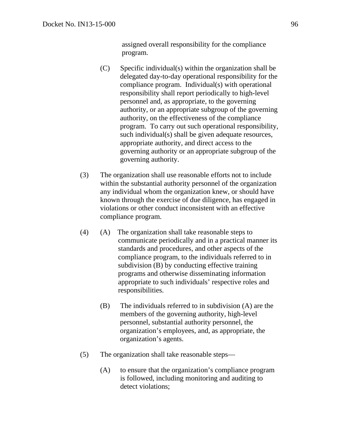assigned overall responsibility for the compliance program.

- (C) Specific individual(s) within the organization shall be delegated day-to-day operational responsibility for the compliance program. Individual(s) with operational responsibility shall report periodically to high-level personnel and, as appropriate, to the governing authority, or an appropriate subgroup of the governing authority, on the effectiveness of the compliance program. To carry out such operational responsibility, such individual(s) shall be given adequate resources, appropriate authority, and direct access to the governing authority or an appropriate subgroup of the governing authority.
- (3) The organization shall use reasonable efforts not to include within the substantial authority personnel of the organization any individual whom the organization knew, or should have known through the exercise of due diligence, has engaged in violations or other conduct inconsistent with an effective compliance program.
- (4) (A) The organization shall take reasonable steps to communicate periodically and in a practical manner its standards and procedures, and other aspects of the compliance program, to the individuals referred to in subdivision (B) by conducting effective training programs and otherwise disseminating information appropriate to such individuals' respective roles and responsibilities.
	- (B) The individuals referred to in subdivision (A) are the members of the governing authority, high-level personnel, substantial authority personnel, the organization's employees, and, as appropriate, the organization's agents.
- (5) The organization shall take reasonable steps—
	- (A) to ensure that the organization's compliance program is followed, including monitoring and auditing to detect violations;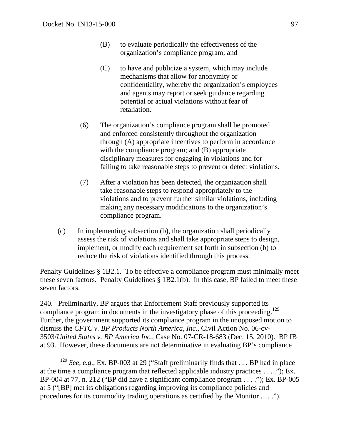- (B) to evaluate periodically the effectiveness of the organization's compliance program; and
- (C) to have and publicize a system, which may include mechanisms that allow for anonymity or confidentiality, whereby the organization's employees and agents may report or seek guidance regarding potential or actual violations without fear of retaliation.
- (6) The organization's compliance program shall be promoted and enforced consistently throughout the organization through (A) appropriate incentives to perform in accordance with the compliance program; and (B) appropriate disciplinary measures for engaging in violations and for failing to take reasonable steps to prevent or detect violations.
- (7) After a violation has been detected, the organization shall take reasonable steps to respond appropriately to the violations and to prevent further similar violations, including making any necessary modifications to the organization's compliance program.
- (c) In implementing subsection (b), the organization shall periodically assess the risk of violations and shall take appropriate steps to design, implement, or modify each requirement set forth in subsection (b) to reduce the risk of violations identified through this process.

Penalty Guidelines § 1B2.1. To be effective a compliance program must minimally meet these seven factors. Penalty Guidelines § 1B2.1(b). In this case, BP failed to meet these seven factors.

240. Preliminarily, BP argues that Enforcement Staff previously supported its compliance program in documents in the investigatory phase of this proceeding.<sup>129</sup> Further, the government supported its compliance program in the unopposed motion to dismiss the *CFTC v. BP Products North America, Inc.*, Civil Action No. 06-cv-3503/*United States v. BP America Inc.*, Case No. 07-CR-18-683 (Dec. 15, 2010). BP IB at 93. However, these documents are not determinative in evaluating BP's compliance

<sup>&</sup>lt;sup>129</sup> *See, e.g.,* Ex. BP-003 at 29 ("Staff preliminarily finds that . . . BP had in place at the time a compliance program that reflected applicable industry practices . . . ."); Ex. BP-004 at 77, n. 212 ("BP did have a significant compliance program . . . ."); Ex. BP-005 at 5 ("[BP] met its obligations regarding improving its compliance policies and procedures for its commodity trading operations as certified by the Monitor . . . .").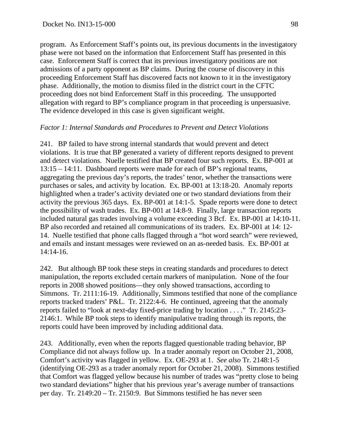program. As Enforcement Staff's points out, its previous documents in the investigatory phase were not based on the information that Enforcement Staff has presented in this case. Enforcement Staff is correct that its previous investigatory positions are not admissions of a party opponent as BP claims. During the course of discovery in this proceeding Enforcement Staff has discovered facts not known to it in the investigatory phase. Additionally, the motion to dismiss filed in the district court in the CFTC proceeding does not bind Enforcement Staff in this proceeding. The unsupported allegation with regard to BP's compliance program in that proceeding is unpersuasive. The evidence developed in this case is given significant weight.

#### *Factor 1: Internal Standards and Procedures to Prevent and Detect Violations*

241. BP failed to have strong internal standards that would prevent and detect violations. It is true that BP generated a variety of different reports designed to prevent and detect violations. Nuelle testified that BP created four such reports. Ex. BP-001 at 13:15 – 14:11. Dashboard reports were made for each of BP's regional teams, aggregating the previous day's reports, the trades' tenor, whether the transactions were purchases or sales, and activity by location. Ex. BP-001 at 13:18-20. Anomaly reports highlighted when a trader's activity deviated one or two standard deviations from their activity the previous 365 days. Ex. BP-001 at 14:1-5. Spade reports were done to detect the possibility of wash trades. Ex. BP-001 at 14:8-9. Finally, large transaction reports included natural gas trades involving a volume exceeding 3 Bcf. Ex. BP-001 at 14:10-11. BP also recorded and retained all communications of its traders. Ex. BP-001 at 14: 12- 14. Nuelle testified that phone calls flagged through a "hot word search" were reviewed, and emails and instant messages were reviewed on an as-needed basis. Ex. BP-001 at 14:14-16.

242. But although BP took these steps in creating standards and procedures to detect manipulation, the reports excluded certain markers of manipulation. None of the four reports in 2008 showed positions—they only showed transactions, according to Simmons. Tr. 2111:16-19. Additionally, Simmons testified that none of the compliance reports tracked traders' P&L. Tr. 2122:4-6. He continued, agreeing that the anomaly reports failed to "look at next-day fixed-price trading by location . . . ." Tr. 2145:23- 2146:1. While BP took steps to identify manipulative trading through its reports, the reports could have been improved by including additional data.

243. Additionally, even when the reports flagged questionable trading behavior, BP Compliance did not always follow up. In a trader anomaly report on October 21, 2008, Comfort's activity was flagged in yellow. Ex. OE-293 at 1. *See also* Tr. 2148:1-5 (identifying OE-293 as a trader anomaly report for October 21, 2008). Simmons testified that Comfort was flagged yellow because his number of trades was "pretty close to being two standard deviations" higher that his previous year's average number of transactions per day. Tr. 2149:20 – Tr. 2150:9. But Simmons testified he has never seen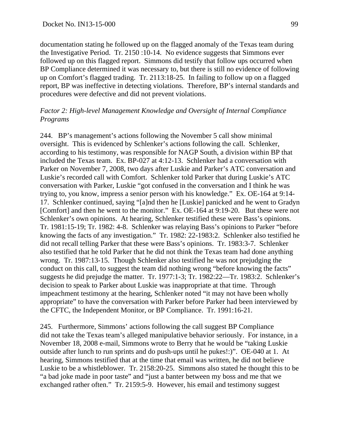documentation stating he followed up on the flagged anomaly of the Texas team during the Investigative Period. Tr. 2150 :10-14. No evidence suggests that Simmons ever followed up on this flagged report. Simmons did testify that follow ups occurred when BP Compliance determined it was necessary to, but there is still no evidence of following up on Comfort's flagged trading. Tr. 2113:18-25. In failing to follow up on a flagged report, BP was ineffective in detecting violations. Therefore, BP's internal standards and procedures were defective and did not prevent violations.

#### *Factor 2: High-level Management Knowledge and Oversight of Internal Compliance Programs*

244. BP's management's actions following the November 5 call show minimal oversight. This is evidenced by Schlenker's actions following the call. Schlenker, according to his testimony, was responsible for NAGP South, a division within BP that included the Texas team. Ex. BP-027 at 4:12-13. Schlenker had a conversation with Parker on November 7, 2008, two days after Luskie and Parker's ATC conversation and Luskie's recorded call with Comfort. Schlenker told Parker that during Luskie's ATC conversation with Parker, Luskie "got confused in the conversation and I think he was trying to, you know, impress a senior person with his knowledge." Ex. OE-164 at 9:14- 17. Schlenker continued, saying "[a]nd then he [Luskie] panicked and he went to Gradyn [Comfort] and then he went to the monitor." Ex. OE-164 at 9:19-20. But these were not Schlenker's own opinions. At hearing, Schlenker testified these were Bass's opinions. Tr. 1981:15-19; Tr. 1982: 4-8. Schlenker was relaying Bass's opinions to Parker "before knowing the facts of any investigation." Tr. 1982: 22-1983:2. Schlenker also testified he did not recall telling Parker that these were Bass's opinions. Tr. 1983:3-7. Schlenker also testified that he told Parker that he did not think the Texas team had done anything wrong. Tr. 1987:13-15. Though Schlenker also testified he was not prejudging the conduct on this call, to suggest the team did nothing wrong "before knowing the facts" suggests he did prejudge the matter. Tr. 1977:1-3; Tr. 1982:22—Tr. 1983:2. Schlenker's decision to speak to Parker about Luskie was inappropriate at that time. Through impeachment testimony at the hearing, Schlenker noted "it may not have been wholly appropriate" to have the conversation with Parker before Parker had been interviewed by the CFTC, the Independent Monitor, or BP Compliance. Tr. 1991:16-21.

245. Furthermore, Simmons' actions following the call suggest BP Compliance did not take the Texas team's alleged manipulative behavior seriously. For instance, in a November 18, 2008 e-mail, Simmons wrote to Berry that he would be "taking Luskie outside after lunch to run sprints and do push-ups until he pukes!:)". OE-040 at 1. At hearing, Simmons testified that at the time that email was written, he did not believe Luskie to be a whistleblower. Tr. 2158:20-25. Simmons also stated he thought this to be "a bad joke made in poor taste" and "just a banter between my boss and me that we exchanged rather often." Tr. 2159:5-9. However, his email and testimony suggest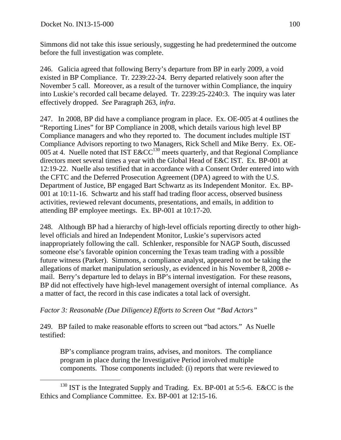Simmons did not take this issue seriously, suggesting he had predetermined the outcome before the full investigation was complete.

246. Galicia agreed that following Berry's departure from BP in early 2009, a void existed in BP Compliance. Tr. 2239:22-24. Berry departed relatively soon after the November 5 call. Moreover, as a result of the turnover within Compliance, the inquiry into Luskie's recorded call became delayed. Tr. 2239:25-2240:3. The inquiry was later effectively dropped. *See* Paragraph 263, *infra*.

247. In 2008, BP did have a compliance program in place. Ex. OE-005 at 4 outlines the "Reporting Lines" for BP Compliance in 2008, which details various high level BP Compliance managers and who they reported to. The document includes multiple IST Compliance Advisors reporting to two Managers, Rick Schell and Mike Berry. Ex. OE-005 at 4. Nuelle noted that IST  $E&CC^{130}$  meets quarterly, and that Regional Compliance directors meet several times a year with the Global Head of E&C IST. Ex. BP-001 at 12:19-22. Nuelle also testified that in accordance with a Consent Order entered into with the CFTC and the Deferred Prosecution Agreement (DPA) agreed to with the U.S. Department of Justice, BP engaged Bart Schwartz as its Independent Monitor. Ex. BP-001 at 10:11-16. Schwartz and his staff had trading floor access, observed business activities, reviewed relevant documents, presentations, and emails, in addition to attending BP employee meetings. Ex. BP-001 at 10:17-20.

248. Although BP had a hierarchy of high-level officials reporting directly to other highlevel officials and hired an Independent Monitor, Luskie's supervisors acted inappropriately following the call. Schlenker, responsible for NAGP South, discussed someone else's favorable opinion concerning the Texas team trading with a possible future witness (Parker). Simmons, a compliance analyst, appeared to not be taking the allegations of market manipulation seriously, as evidenced in his November 8, 2008 email. Berry's departure led to delays in BP's internal investigation. For these reasons, BP did not effectively have high-level management oversight of internal compliance. As a matter of fact, the record in this case indicates a total lack of oversight.

# *Factor 3: Reasonable (Due Diligence) Efforts to Screen Out "Bad Actors"*

249. BP failed to make reasonable efforts to screen out "bad actors." As Nuelle testified:

BP's compliance program trains, advises, and monitors. The compliance program in place during the Investigative Period involved multiple components. Those components included: (i) reports that were reviewed to

<sup>&</sup>lt;sup>130</sup> IST is the Integrated Supply and Trading. Ex. BP-001 at 5:5-6. E&CC is the Ethics and Compliance Committee. Ex. BP-001 at 12:15-16.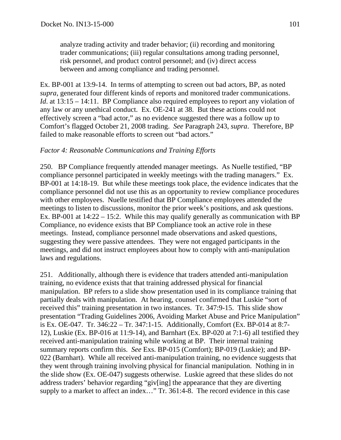analyze trading activity and trader behavior; (ii) recording and monitoring trader communications; (iii) regular consultations among trading personnel, risk personnel, and product control personnel; and (iv) direct access between and among compliance and trading personnel.

Ex. BP-001 at 13:9-14. In terms of attempting to screen out bad actors, BP, as noted *supra*, generated four different kinds of reports and monitored trader communications. *Id.* at 13:15 – 14:11. BP Compliance also required employees to report any violation of any law or any unethical conduct. Ex. OE-241 at 38. But these actions could not effectively screen a "bad actor," as no evidence suggested there was a follow up to Comfort's flagged October 21, 2008 trading. *See* Paragraph 243, *supra*. Therefore, BP failed to make reasonable efforts to screen out "bad actors."

## *Factor 4: Reasonable Communications and Training Efforts*

250. BP Compliance frequently attended manager meetings. As Nuelle testified, "BP compliance personnel participated in weekly meetings with the trading managers." Ex. BP-001 at 14:18-19. But while these meetings took place, the evidence indicates that the compliance personnel did not use this as an opportunity to review compliance procedures with other employees. Nuelle testified that BP Compliance employees attended the meetings to listen to discussions, monitor the prior week's positions, and ask questions. Ex. BP-001 at 14:22 – 15:2. While this may qualify generally as communication with BP Compliance, no evidence exists that BP Compliance took an active role in these meetings. Instead, compliance personnel made observations and asked questions, suggesting they were passive attendees. They were not engaged participants in the meetings, and did not instruct employees about how to comply with anti-manipulation laws and regulations.

251. Additionally, although there is evidence that traders attended anti-manipulation training, no evidence exists that that training addressed physical for financial manipulation. BP refers to a slide show presentation used in its compliance training that partially deals with manipulation. At hearing, counsel confirmed that Luskie "sort of received this" training presentation in two instances. Tr. 347:9-15. This slide show presentation "Trading Guidelines 2006, Avoiding Market Abuse and Price Manipulation" is Ex. OE-047. Tr. 346:22 – Tr. 347:1-15. Additionally, Comfort (Ex. BP-014 at 8:7- 12), Luskie (Ex. BP-016 at 11:9-14), and Barnhart (Ex. BP-020 at 7:1-6) all testified they received anti-manipulation training while working at BP. Their internal training summary reports confirm this. *See* Exs. BP-015 (Comfort); BP-019 (Luskie); and BP-022 (Barnhart). While all received anti-manipulation training, no evidence suggests that they went through training involving physical for financial manipulation. Nothing in in the slide show (Ex. OE-047) suggests otherwise. Luskie agreed that these slides do not address traders' behavior regarding "giv[ing] the appearance that they are diverting supply to a market to affect an index…" Tr. 361:4-8. The record evidence in this case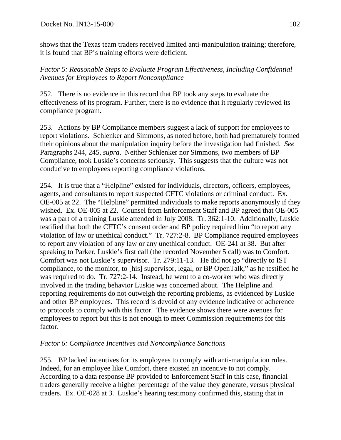shows that the Texas team traders received limited anti-manipulation training; therefore, it is found that BP's training efforts were deficient.

*Factor 5: Reasonable Steps to Evaluate Program Effectiveness, Including Confidential Avenues for Employees to Report Noncompliance* 

252. There is no evidence in this record that BP took any steps to evaluate the effectiveness of its program. Further, there is no evidence that it regularly reviewed its compliance program.

253. Actions by BP Compliance members suggest a lack of support for employees to report violations. Schlenker and Simmons, as noted before, both had prematurely formed their opinions about the manipulation inquiry before the investigation had finished. *See* Paragraphs 244, 245, *supra*. Neither Schlenker nor Simmons, two members of BP Compliance, took Luskie's concerns seriously. This suggests that the culture was not conducive to employees reporting compliance violations.

254. It is true that a "Helpline" existed for individuals, directors, officers, employees, agents, and consultants to report suspected CFTC violations or criminal conduct. Ex. OE-005 at 22. The "Helpline" permitted individuals to make reports anonymously if they wished. Ex. OE-005 at 22. Counsel from Enforcement Staff and BP agreed that OE-005 was a part of a training Luskie attended in July 2008. Tr. 362:1-10. Additionally, Luskie testified that both the CFTC's consent order and BP policy required him "to report any violation of law or unethical conduct." Tr. 727:2-8. BP Compliance required employees to report any violation of any law or any unethical conduct. OE-241 at 38. But after speaking to Parker, Luskie's first call (the recorded November 5 call) was to Comfort. Comfort was not Luskie's supervisor. Tr. 279:11-13. He did not go "directly to IST compliance, to the monitor, to [his] supervisor, legal, or BP OpenTalk," as he testified he was required to do. Tr. 727:2-14. Instead, he went to a co-worker who was directly involved in the trading behavior Luskie was concerned about. The Helpline and reporting requirements do not outweigh the reporting problems, as evidenced by Luskie and other BP employees. This record is devoid of any evidence indicative of adherence to protocols to comply with this factor. The evidence shows there were avenues for employees to report but this is not enough to meet Commission requirements for this factor.

## *Factor 6: Compliance Incentives and Noncompliance Sanctions*

255. BP lacked incentives for its employees to comply with anti-manipulation rules. Indeed, for an employee like Comfort, there existed an incentive to not comply. According to a data response BP provided to Enforcement Staff in this case, financial traders generally receive a higher percentage of the value they generate, versus physical traders. Ex. OE-028 at 3. Luskie's hearing testimony confirmed this, stating that in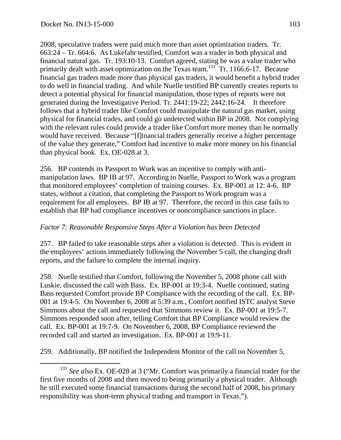2008, speculative traders were paid much more than asset optimization traders. Tr. 663:24 – Tr. 664:6. As Lukefahr testified, Comfort was a trader in both physical and financial natural gas. Tr. 193:10-13. Comfort agreed, stating he was a value trader who primarily dealt with asset optimization on the Texas team.<sup>131</sup> Tr. 1166:6-17. Because financial gas traders made more than physical gas traders, it would benefit a hybrid trader to do well in financial trading. And while Nuelle testified BP currently creates reports to detect a potential physical for financial manipulation, those types of reports were not generated during the Investigative Period. Tr. 2441:19-22; 2442:16-24. It therefore follows that a hybrid trader like Comfort could manipulate the natural gas market, using physical for financial trades, and could go undetected within BP in 2008. Not complying with the relevant rules could provide a trader like Comfort more money than he normally would have received. Because "[f]inancial traders generally receive a higher percentage of the value they generate," Comfort had incentive to make more money on his financial than physical book. Ex. OE-028 at 3.

256. BP contends its Passport to Work was an incentive to comply with antimanipulation laws. BP IB at 97. According to Nuelle, Passport to Work was a program that monitored employees' completion of training courses. Ex. BP-001 at 12: 4-6. BP states, without a citation, that completing the Passport to Work program was a requirement for all employees. BP IB at 97. Therefore, the record in this case fails to establish that BP had compliance incentives or noncompliance sanctions in place.

## *Factor 7: Reasonable Responsive Steps After a Violation has been Detected*

257. BP failed to take reasonable steps after a violation is detected. This is evident in the employees' actions immediately following the November 5 call, the changing draft reports, and the failure to complete the internal inquiry.

258. Nuelle testified that Comfort, following the November 5, 2008 phone call with Luskie, discussed the call with Bass. Ex. BP-001 at 19:3-4. Nuelle continued, stating Bass requested Comfort provide BP Compliance with the recording of the call. Ex. BP-001 at 19:4-5. On November 6, 2008 at 5:39 a.m., Comfort notified ISTC analyst Steve Simmons about the call and requested that Simmons review it. Ex. BP-001 at 19:5-7. Simmons responded soon after, telling Comfort that BP Compliance would review the call. Ex. BP-001 at 19:7-9. On November 6, 2008, BP Compliance reviewed the recorded call and started an investigation. Ex. BP-001 at 19:9-11.

259. Additionally, BP notified the Independent Monitor of the call on November 5,

<sup>&</sup>lt;sup>131</sup> See also Ex. OE-028 at 3 ("Mr. Comfort was primarily a financial trader for the first five months of 2008 and then moved to being primarily a physical trader. Although he still executed some financial transactions during the second half of 2008, his primary responsibility was short-term physical trading and transport in Texas.").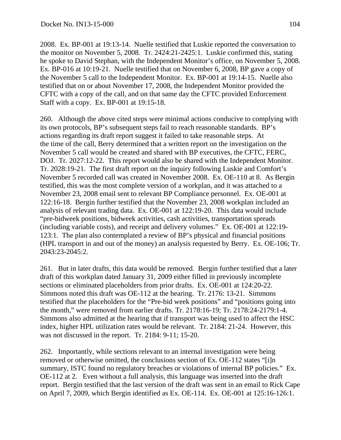2008. Ex. BP-001 at 19:13-14. Nuelle testified that Luskie reported the conversation to the monitor on November 5, 2008. Tr. 2424:21-2425:1. Luskie confirmed this, stating he spoke to David Stephan, with the Independent Monitor's office, on November 5, 2008. Ex. BP-016 at 10:19-21. Nuelle testified that on November 6, 2008, BP gave a copy of the November 5 call to the Independent Monitor. Ex. BP-001 at 19:14-15. Nuelle also testified that on or about November 17, 2008, the Independent Monitor provided the CFTC with a copy of the call, and on that same day the CFTC provided Enforcement Staff with a copy. Ex. BP-001 at 19:15-18.

260. Although the above cited steps were minimal actions conducive to complying with its own protocols, BP's subsequent steps fail to reach reasonable standards. BP's actions regarding its draft report suggest it failed to take reasonable steps. At the time of the call, Berry determined that a written report on the investigation on the November 5 call would be created and shared with BP executives, the CFTC, FERC, DOJ. Tr. 2027:12-22. This report would also be shared with the Independent Monitor. Tr. 2028:19-21. The first draft report on the inquiry following Luskie and Comfort's November 5 recorded call was created in November 2008. Ex. OE-110 at 8. As Bergin testified, this was the most complete version of a workplan, and it was attached to a November 23, 2008 email sent to relevant BP Compliance personnel. Ex. OE-001 at 122:16-18. Bergin further testified that the November 23, 2008 workplan included an analysis of relevant trading data. Ex. OE-001 at 122:19-20. This data would include "pre-bidweek positions, bidweek activities, cash activities, transportation spreads (including variable costs), and receipt and delivery volumes." Ex. OE-001 at 122:19- 123:1. The plan also contemplated a review of BP's physical and financial positions (HPL transport in and out of the money) an analysis requested by Berry. Ex. OE-106; Tr. 2043:23-2045:2.

261. But in later drafts, this data would be removed. Bergin further testified that a later draft of this workplan dated January 31, 2009 either filled in previously incomplete sections or eliminated placeholders from prior drafts. Ex. OE-001 at 124:20-22. Simmons noted this draft was OE-112 at the hearing. Tr. 2176: 13-21. Simmons testified that the placeholders for the "Pre-bid week positions" and "positions going into the month," were removed from earlier drafts. Tr. 2178:16-19; Tr. 2178:24-2179:1-4. Simmons also admitted at the hearing that if transport was being used to affect the HSC index, higher HPL utilization rates would be relevant. Tr. 2184: 21-24. However, this was not discussed in the report. Tr. 2184: 9-11; 15-20.

262. Importantly, while sections relevant to an internal investigation were being removed or otherwise omitted, the conclusions section of Ex. OE-112 states "[i]n summary, ISTC found no regulatory breaches or violations of internal BP policies." Ex. OE-112 at 2. Even without a full analysis, this language was inserted into the draft report. Bergin testified that the last version of the draft was sent in an email to Rick Cape on April 7, 2009, which Bergin identified as Ex. OE-114. Ex. OE-001 at 125:16-126:1.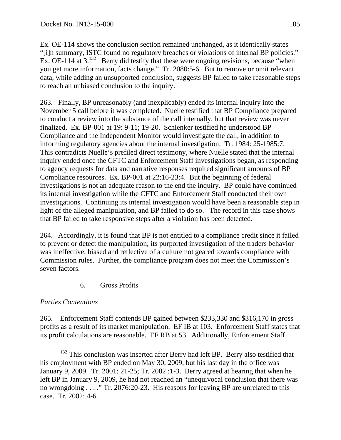Ex. OE-114 shows the conclusion section remained unchanged, as it identically states "[i]n summary, ISTC found no regulatory breaches or violations of internal BP policies." Ex. OE-114 at  $3^{132}$  Berry did testify that these were ongoing revisions, because "when you get more information, facts change." Tr. 2080:5-6. But to remove or omit relevant data, while adding an unsupported conclusion, suggests BP failed to take reasonable steps to reach an unbiased conclusion to the inquiry.

263. Finally, BP unreasonably (and inexplicably) ended its internal inquiry into the November 5 call before it was completed. Nuelle testified that BP Compliance prepared to conduct a review into the substance of the call internally, but that review was never finalized. Ex. BP-001 at 19: 9-11; 19-20. Schlenker testified he understood BP Compliance and the Independent Monitor would investigate the call, in addition to informing regulatory agencies about the internal investigation. Tr. 1984: 25-1985:7. This contradicts Nuelle's prefiled direct testimony, where Nuelle stated that the internal inquiry ended once the CFTC and Enforcement Staff investigations began, as responding to agency requests for data and narrative responses required significant amounts of BP Compliance resources. Ex. BP-001 at 22:16-23:4. But the beginning of federal investigations is not an adequate reason to the end the inquiry. BP could have continued its internal investigation while the CFTC and Enforcement Staff conducted their own investigations. Continuing its internal investigation would have been a reasonable step in light of the alleged manipulation, and BP failed to do so. The record in this case shows that BP failed to take responsive steps after a violation has been detected.

264. Accordingly, it is found that BP is not entitled to a compliance credit since it failed to prevent or detect the manipulation; its purported investigation of the traders behavior was ineffective, biased and reflective of a culture not geared towards compliance with Commission rules. Further, the compliance program does not meet the Commission's seven factors.

## 6. Gross Profits

## *Parties Contentions*

265. Enforcement Staff contends BP gained between \$233,330 and \$316,170 in gross profits as a result of its market manipulation. EF IB at 103. Enforcement Staff states that its profit calculations are reasonable. EF RB at 53. Additionally, Enforcement Staff

<sup>&</sup>lt;sup>132</sup> This conclusion was inserted after Berry had left BP. Berry also testified that his employment with BP ended on May 30, 2009, but his last day in the office was January 9, 2009. Tr. 2001: 21-25; Tr. 2002 :1-3. Berry agreed at hearing that when he left BP in January 9, 2009, he had not reached an "unequivocal conclusion that there was no wrongdoing . . . ." Tr. 2076:20-23. His reasons for leaving BP are unrelated to this case. Tr. 2002: 4-6.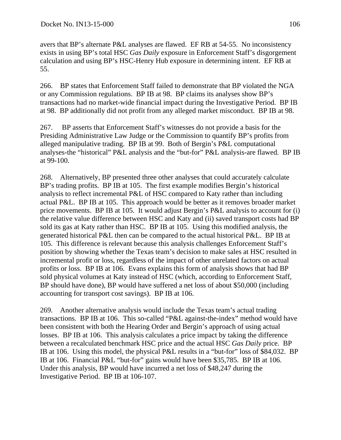avers that BP's alternate P&L analyses are flawed. EF RB at 54-55. No inconsistency exists in using BP's total HSC *Gas Daily* exposure in Enforcement Staff's disgorgement calculation and using BP's HSC-Henry Hub exposure in determining intent. EF RB at 55.

266. BP states that Enforcement Staff failed to demonstrate that BP violated the NGA or any Commission regulations. BP IB at 98. BP claims its analyses show BP's transactions had no market-wide financial impact during the Investigative Period. BP IB at 98. BP additionally did not profit from any alleged market misconduct. BP IB at 98.

267. BP asserts that Enforcement Staff's witnesses do not provide a basis for the Presiding Administrative Law Judge or the Commission to quantify BP's profits from alleged manipulative trading. BP IB at 99. Both of Bergin's P&L computational analyses-the "historical" P&L analysis and the "but-for" P&L analysis-are flawed. BP IB at 99-100.

268. Alternatively, BP presented three other analyses that could accurately calculate BP's trading profits. BP IB at 105. The first example modifies Bergin's historical analysis to reflect incremental P&L of HSC compared to Katy rather than including actual P&L. BP IB at 105. This approach would be better as it removes broader market price movements. BP IB at 105. It would adjust Bergin's P&L analysis to account for (i) the relative value difference between HSC and Katy and (ii) saved transport costs had BP sold its gas at Katy rather than HSC. BP IB at 105. Using this modified analysis, the generated historical P&L then can be compared to the actual historical P&L. BP IB at 105. This difference is relevant because this analysis challenges Enforcement Staff's position by showing whether the Texas team's decision to make sales at HSC resulted in incremental profit or loss, regardless of the impact of other unrelated factors on actual profits or loss. BP IB at 106. Evans explains this form of analysis shows that had BP sold physical volumes at Katy instead of HSC (which, according to Enforcement Staff, BP should have done), BP would have suffered a net loss of about \$50,000 (including accounting for transport cost savings). BP IB at 106.

269. Another alternative analysis would include the Texas team's actual trading transactions. BP IB at 106. This so-called "P&L against-the-index" method would have been consistent with both the Hearing Order and Bergin's approach of using actual losses. BP IB at 106. This analysis calculates a price impact by taking the difference between a recalculated benchmark HSC price and the actual HSC *Gas Daily* price. BP IB at 106. Using this model, the physical P&L results in a "but-for" loss of \$84,032. BP IB at 106. Financial P&L "but-for" gains would have been \$35,785. BP IB at 106. Under this analysis, BP would have incurred a net loss of \$48,247 during the Investigative Period. BP IB at 106-107.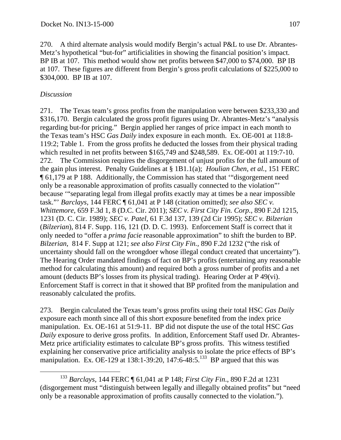270. A third alternate analysis would modify Bergin's actual P&L to use Dr. Abrantes-Metz's hypothetical "but-for" artificialities in showing the financial position's impact. BP IB at 107. This method would show net profits between \$47,000 to \$74,000. BP IB at 107. These figures are different from Bergin's gross profit calculations of \$225,000 to \$304,000. BP IB at 107.

# *Discussion*

271. The Texas team's gross profits from the manipulation were between \$233,330 and \$316,170. Bergin calculated the gross profit figures using Dr. Abrantes-Metz's "analysis regarding but-for pricing." Bergin applied her ranges of price impact in each month to the Texas team's HSC *Gas Daily* index exposure in each month. Ex. OE-001 at 118:8- 119:2; Table 1. From the gross profits he deducted the losses from their physical trading which resulted in net profits between \$165,749 and \$248,589. Ex. OE-001 at 119:7-10. 272. The Commission requires the disgorgement of unjust profits for the full amount of the gain plus interest. Penalty Guidelines at § 1B1.1(a); *Houlian Chen*, *et al.*, 151 FERC ¶ 61,179 at P 188. Additionally, the Commission has stated that '"disgorgement need only be a reasonable approximation of profits casually connected to the violation"' because '"separating legal from illegal profits exactly may at times be a near impossible task."' *Barclays,* 144 FERC ¶ 61,041 at P 148 (citation omitted); *see also SEC v. Whittemore*, 659 F.3d 1, 8 (D.C. Cir. 2011); *SEC v. First City Fin. Corp.*, 890 F.2d 1215, 1231 (D. C. Cir. 1989); *SEC v. Patel*, 61 F.3d 137, 139 (2d Cir 1995); *SEC v. Bilzerian* (*Bilzerian*), 814 F. Supp. 116, 121 (D. D. C. 1993). Enforcement Staff is correct that it only needed to "offer a *prima facie* reasonable approximation" to shift the burden to BP. *Bilzerian*, 814 F. Supp at 121; *see also First City Fin.,* 890 F.2d 1232 ("the risk of uncertainty should fall on the wrongdoer whose illegal conduct created that uncertainty"). The Hearing Order mandated findings of fact on BP's profits (entertaining any reasonable method for calculating this amount) and required both a gross number of profits and a net amount (deducts BP's losses from its physical trading). Hearing Order at P 49(vi). Enforcement Staff is correct in that it showed that BP profited from the manipulation and reasonably calculated the profits.

273. Bergin calculated the Texas team's gross profits using their total HSC *Gas Daily* exposure each month since all of this short exposure benefited from the index price manipulation. Ex. OE-161 at 51:9-11. BP did not dispute the use of the total HSC *Gas Daily* exposure to derive gross profits. In addition, Enforcement Staff used Dr. Abrantes-Metz price artificiality estimates to calculate BP's gross profits. This witness testified explaining her conservative price artificiality analysis to isolate the price effects of BP's manipulation. Ex. OE-129 at 138:1-39:20, 147:6-48:5.<sup>133</sup> BP argued that this was

 <sup>133</sup> *Barclays,* 144 FERC ¶ 61,041 at P 148; *First City Fin*., 890 F.2d at 1231 (disgorgement must "distinguish between legally and illegally obtained profits" but "need only be a reasonable approximation of profits causally connected to the violation.").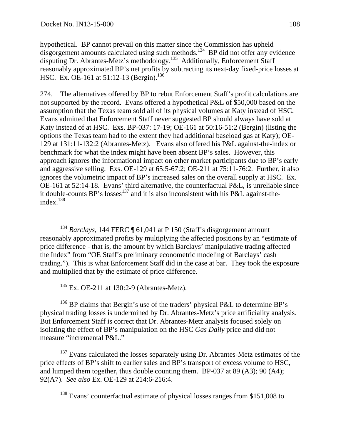$\overline{a}$ 

hypothetical. BP cannot prevail on this matter since the Commission has upheld disgorgement amounts calculated using such methods.<sup>134</sup> BP did not offer any evidence disputing Dr. Abrantes-Metz's methodology.135 Additionally, Enforcement Staff reasonably approximated BP's net profits by subtracting its next-day fixed-price losses at HSC. Ex. OE-161 at  $51:12-13$  (Bergin).<sup>136</sup>

274. The alternatives offered by BP to rebut Enforcement Staff's profit calculations are not supported by the record. Evans offered a hypothetical P&L of \$50,000 based on the assumption that the Texas team sold all of its physical volumes at Katy instead of HSC. Evans admitted that Enforcement Staff never suggested BP should always have sold at Katy instead of at HSC. Exs. BP-037: 17-19; OE-161 at 50:16-51:2 (Bergin) (listing the options the Texas team had to the extent they had additional baseload gas at Katy); OE-129 at 131:11-132:2 (Abrantes-Metz). Evans also offered his P&L against-the-index or benchmark for what the index might have been absent BP's sales. However, this approach ignores the informational impact on other market participants due to BP's early and aggressive selling. Exs. OE-129 at 65:5-67:2; OE-211 at 75:11-76:2. Further, it also ignores the volumetric impact of BP's increased sales on the overall supply at HSC. Ex. OE-161 at 52:14-18. Evans' third alternative, the counterfactual P&L, is unreliable since it double-counts BP's losses<sup>137</sup> and it is also inconsistent with his P&L against-theindex.<sup>138</sup>

<sup>134</sup> *Barclays*, 144 FERC ¶ 61,041 at P 150 (Staff's disgorgement amount reasonably approximated profits by multiplying the affected positions by an "estimate of price difference - that is, the amount by which Barclays' manipulative trading affected the Index" from "OE Staff's preliminary econometric modeling of Barclays' cash trading."). This is what Enforcement Staff did in the case at bar. They took the exposure and multiplied that by the estimate of price difference.

 $135$  Ex. OE-211 at 130:2-9 (Abrantes-Metz).

 $136$  BP claims that Bergin's use of the traders' physical P&L to determine BP's physical trading losses is undermined by Dr. Abrantes-Metz's price artificiality analysis. But Enforcement Staff is correct that Dr. Abrantes-Metz analysis focused solely on isolating the effect of BP's manipulation on the HSC *Gas Daily* price and did not measure "incremental P&L."

<sup>137</sup> Evans calculated the losses separately using Dr. Abrantes-Metz estimates of the price effects of BP's shift to earlier sales and BP's transport of excess volume to HSC, and lumped them together, thus double counting them. BP-037 at 89 (A3); 90 (A4); 92(A7). *See also* Ex. OE-129 at 214:6-216:4.

<sup>138</sup> Evans' counterfactual estimate of physical losses ranges from \$151,008 to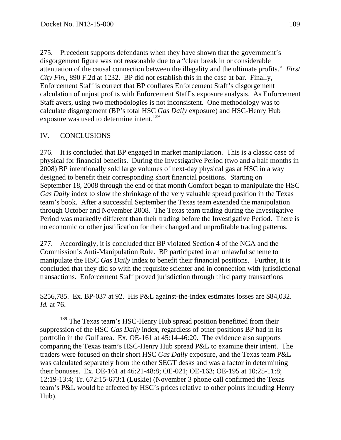275. Precedent supports defendants when they have shown that the government's disgorgement figure was not reasonable due to a "clear break in or considerable attenuation of the causal connection between the illegality and the ultimate profits." *First City Fin.*, 890 F.2d at 1232. BP did not establish this in the case at bar. Finally, Enforcement Staff is correct that BP conflates Enforcement Staff's disgorgement calculation of unjust profits with Enforcement Staff's exposure analysis. As Enforcement Staff avers, using two methodologies is not inconsistent. One methodology was to calculate disgorgement (BP's total HSC *Gas Daily* exposure) and HSC-Henry Hub exposure was used to determine intent.<sup>139</sup>

## IV. CONCLUSIONS

 $\overline{a}$ 

276. It is concluded that BP engaged in market manipulation. This is a classic case of physical for financial benefits. During the Investigative Period (two and a half months in 2008) BP intentionally sold large volumes of next-day physical gas at HSC in a way designed to benefit their corresponding short financial positions. Starting on September 18, 2008 through the end of that month Comfort began to manipulate the HSC *Gas Daily* index to slow the shrinkage of the very valuable spread position in the Texas team's book. After a successful September the Texas team extended the manipulation through October and November 2008. The Texas team trading during the Investigative Period was markedly different than their trading before the Investigative Period. There is no economic or other justification for their changed and unprofitable trading patterns.

277. Accordingly, it is concluded that BP violated Section 4 of the NGA and the Commission's Anti-Manipulation Rule. BP participated in an unlawful scheme to manipulate the HSC *Gas Daily* index to benefit their financial positions. Further, it is concluded that they did so with the requisite scienter and in connection with jurisdictional transactions. Enforcement Staff proved jurisdiction through third party transactions

\$256,785. Ex. BP-037 at 92. His P&L against-the-index estimates losses are \$84,032. *Id.* at 76.

<sup>139</sup> The Texas team's HSC-Henry Hub spread position benefitted from their suppression of the HSC *Gas Daily* index, regardless of other positions BP had in its portfolio in the Gulf area. Ex. OE-161 at 45:14-46:20. The evidence also supports comparing the Texas team's HSC-Henry Hub spread P&L to examine their intent. The traders were focused on their short HSC *Gas Daily* exposure, and the Texas team P&L was calculated separately from the other SEGT desks and was a factor in determining their bonuses. Ex. OE-161 at 46:21-48:8; OE-021; OE-163; OE-195 at 10:25-11:8; 12:19-13:4; Tr. 672:15-673:1 (Luskie) (November 3 phone call confirmed the Texas team's P&L would be affected by HSC's prices relative to other points including Henry Hub).